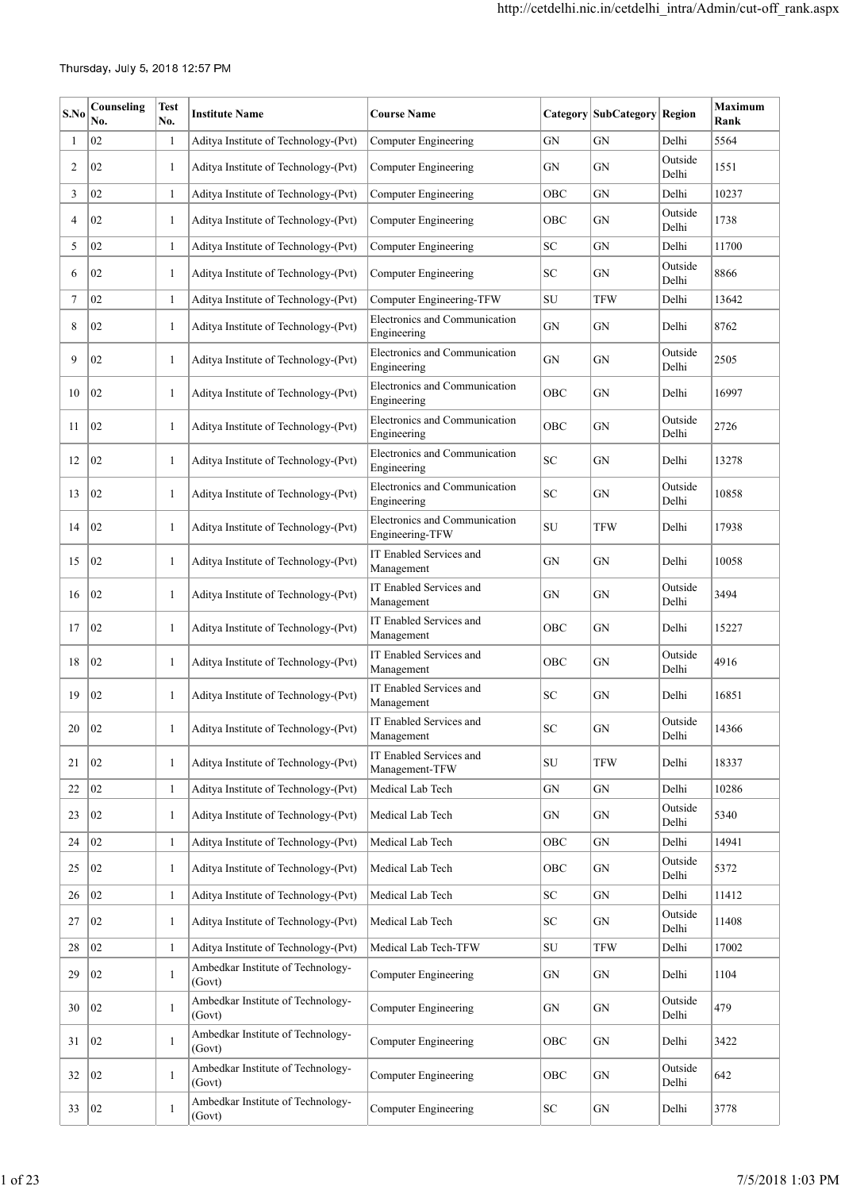| S.No   | Counseling<br>No. | Test<br>No.  | <b>Institute Name</b>                       | <b>Course Name</b>                               |                            | Category SubCategory Region |                  | <b>Maximum</b><br>Rank |
|--------|-------------------|--------------|---------------------------------------------|--------------------------------------------------|----------------------------|-----------------------------|------------------|------------------------|
| 1      | 02                | 1            | Aditya Institute of Technology-(Pvt)        | Computer Engineering                             | GN                         | <b>GN</b>                   | Delhi            | 5564                   |
| 2      | 02                | 1            | Aditya Institute of Technology-(Pvt)        | Computer Engineering                             | GN                         | GN                          | Outside<br>Delhi | 1551                   |
| 3      | 02                | $\mathbf{1}$ | Aditya Institute of Technology-(Pvt)        | <b>Computer Engineering</b>                      | OBC                        | <b>GN</b>                   | Delhi            | 10237                  |
| 4      | 02                | 1            | Aditya Institute of Technology-(Pvt)        | Computer Engineering                             | OBC                        | GN                          | Outside<br>Delhi | 1738                   |
| 5      | 02                | 1            | Aditya Institute of Technology-(Pvt)        | <b>Computer Engineering</b>                      | SC                         | GN                          | Delhi            | 11700                  |
| 6      | 02                | 1            | Aditya Institute of Technology-(Pvt)        | Computer Engineering                             | SC                         | GN                          | Outside<br>Delhi | 8866                   |
| 7      | 02                | 1            | Aditya Institute of Technology-(Pvt)        | Computer Engineering-TFW                         | SU                         | <b>TFW</b>                  | Delhi            | 13642                  |
| 8      | 02                | 1            | Aditya Institute of Technology-(Pvt)        | Electronics and Communication<br>Engineering     | GN                         | <b>GN</b>                   | Delhi            | 8762                   |
| 9      | 02                | 1            | Aditya Institute of Technology-(Pvt)        | Electronics and Communication<br>Engineering     | ${\rm GN}$                 | GN                          | Outside<br>Delhi | 2505                   |
| 10     | 02                | 1            | Aditya Institute of Technology-(Pvt)        | Electronics and Communication<br>Engineering     | OBC                        | <b>GN</b>                   | Delhi            | 16997                  |
| 11     | 02                | 1            | Aditya Institute of Technology-(Pvt)        | Electronics and Communication<br>Engineering     | OBC                        | GN                          | Outside<br>Delhi | 2726                   |
| 12     | 02                | 1            | Aditya Institute of Technology-(Pvt)        | Electronics and Communication<br>Engineering     | SC.                        | GN                          | Delhi            | 13278                  |
| 13     | 02                | 1            | Aditya Institute of Technology-(Pvt)        | Electronics and Communication<br>Engineering     | $\ensuremath{\mathbf{SC}}$ | GN                          | Outside<br>Delhi | 10858                  |
| 14     | 02                | 1            | Aditya Institute of Technology-(Pvt)        | Electronics and Communication<br>Engineering-TFW | ${\rm SU}$                 | <b>TFW</b>                  | Delhi            | 17938                  |
| 15     | 02                | 1            | Aditya Institute of Technology-(Pvt)        | IT Enabled Services and<br>Management            | GN                         | <b>GN</b>                   | Delhi            | 10058                  |
| 16     | 02                | 1            | Aditya Institute of Technology-(Pvt)        | IT Enabled Services and<br>Management            | GN                         | GN                          | Outside<br>Delhi | 3494                   |
| 17     | 02                | 1            | Aditya Institute of Technology-(Pvt)        | IT Enabled Services and<br>Management            | OBC                        | <b>GN</b>                   | Delhi            | 15227                  |
| 18     | 02                | 1            | Aditya Institute of Technology-(Pvt)        | IT Enabled Services and<br>Management            | OBC                        | GN                          | Outside<br>Delhi | 4916                   |
| 19     | 02                | 1            | Aditya Institute of Technology-(Pvt)        | IT Enabled Services and<br>Management            | SC                         | GN                          | Delhi            | 16851                  |
| $20\,$ | 02                |              | Aditya Institute of Technology-(Pvt)        | IT Enabled Services and<br>Management            | ${\rm SC}$                 | GN                          | Outside<br>Delhi | 14366                  |
| 21     | 02                | $\mathbf{1}$ | Aditya Institute of Technology-(Pvt)        | IT Enabled Services and<br>Management-TFW        | ${\rm SU}$                 | <b>TFW</b>                  | Delhi            | 18337                  |
| 22     | $02\,$            | 1            | Aditya Institute of Technology-(Pvt)        | Medical Lab Tech                                 | GN                         | GN                          | Delhi            | 10286                  |
| 23     | 02                | 1            | Aditya Institute of Technology-(Pvt)        | Medical Lab Tech                                 | GN                         | GN                          | Outside<br>Delhi | 5340                   |
| 24     | 02                | 1            | Aditya Institute of Technology-(Pvt)        | Medical Lab Tech                                 | OBC                        | ${\rm GN}$                  | Delhi            | 14941                  |
| 25     | 02                | 1            | Aditya Institute of Technology-(Pvt)        | Medical Lab Tech                                 | OBC                        | GN                          | Outside<br>Delhi | 5372                   |
| 26     | $02\,$            | 1            | Aditya Institute of Technology-(Pvt)        | Medical Lab Tech                                 | SC                         | ${\rm GN}$                  | Delhi            | 11412                  |
| 27     | 02                | 1            | Aditya Institute of Technology-(Pvt)        | Medical Lab Tech                                 | SC                         | ${\rm GN}$                  | Outside<br>Delhi | 11408                  |
| 28     | 02                | 1            | Aditya Institute of Technology-(Pvt)        | Medical Lab Tech-TFW                             | SU                         | TFW                         | Delhi            | 17002                  |
| 29     | 02                | 1            | Ambedkar Institute of Technology-<br>(Govt) | Computer Engineering                             | GN                         | GN                          | Delhi            | 1104                   |
| 30     | 02                | 1            | Ambedkar Institute of Technology-<br>(Govt) | <b>Computer Engineering</b>                      | GN                         | GN                          | Outside<br>Delhi | 479                    |
| 31     | 02                | 1            | Ambedkar Institute of Technology-<br>(Govt) | <b>Computer Engineering</b>                      | OBC                        | GN                          | Delhi            | 3422                   |
| 32     | 02                | 1            | Ambedkar Institute of Technology-<br>(Govt) | <b>Computer Engineering</b>                      | OBC                        | ${\rm GN}$                  | Outside<br>Delhi | 642                    |
| 33     | 02                | 1            | Ambedkar Institute of Technology-<br>(Govt) | <b>Computer Engineering</b>                      | SC                         | ${\rm GN}$                  | Delhi            | 3778                   |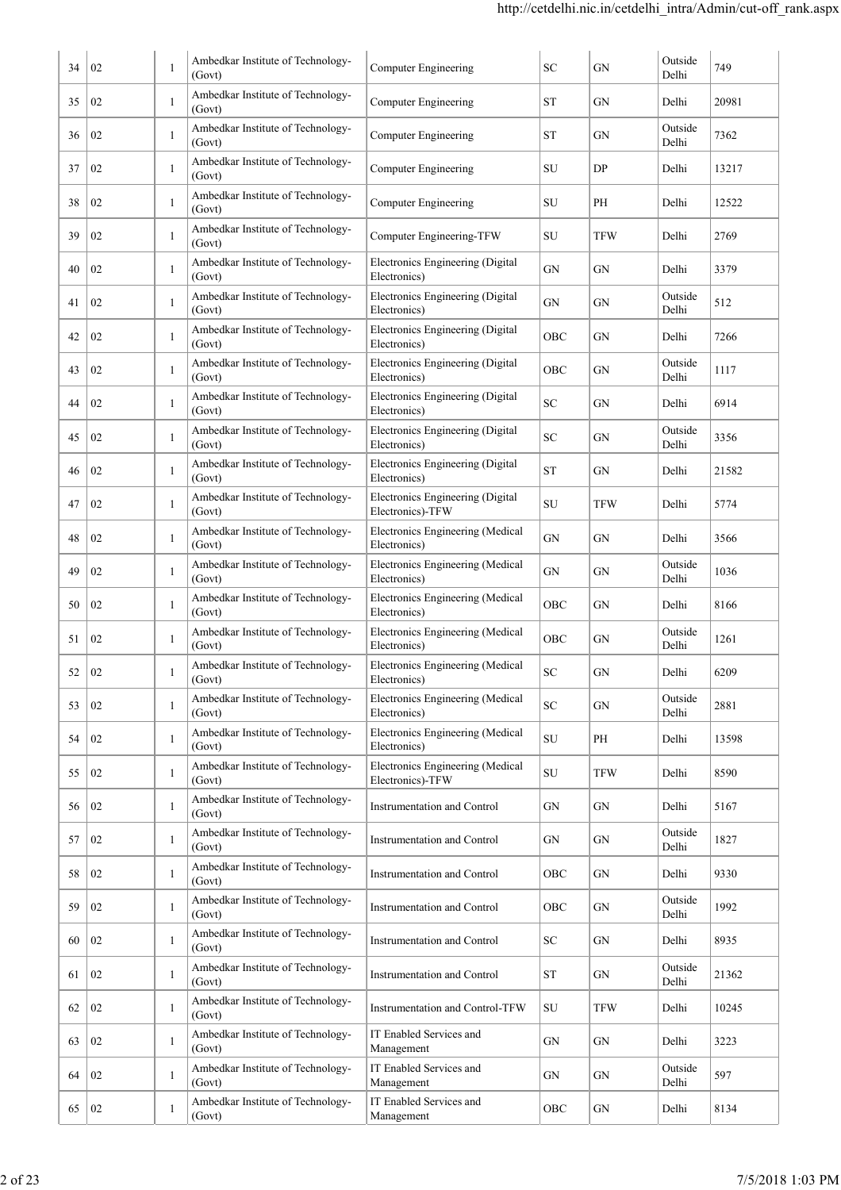| 34 | 02 | 1            | Ambedkar Institute of Technology-<br>(Govt) | <b>Computer Engineering</b>                          | SC         | GN         | Outside<br>Delhi | 749   |
|----|----|--------------|---------------------------------------------|------------------------------------------------------|------------|------------|------------------|-------|
| 35 | 02 | 1            | Ambedkar Institute of Technology-<br>(Govt) | Computer Engineering                                 | ST         | GN         | Delhi            | 20981 |
| 36 | 02 | 1            | Ambedkar Institute of Technology-<br>(Govt) | Computer Engineering                                 | ST         | GN         | Outside<br>Delhi | 7362  |
| 37 | 02 | 1            | Ambedkar Institute of Technology-<br>(Govt) | <b>Computer Engineering</b>                          | SU         | DP         | Delhi            | 13217 |
| 38 | 02 | 1            | Ambedkar Institute of Technology-<br>(Govt) | <b>Computer Engineering</b>                          | SU         | PH         | Delhi            | 12522 |
| 39 | 02 | 1            | Ambedkar Institute of Technology-<br>(Govt) | Computer Engineering-TFW                             | SU         | <b>TFW</b> | Delhi            | 2769  |
| 40 | 02 | 1            | Ambedkar Institute of Technology-<br>(Govt) | Electronics Engineering (Digital<br>Electronics)     | <b>GN</b>  | GN         | Delhi            | 3379  |
| 41 | 02 | 1            | Ambedkar Institute of Technology-<br>(Govt) | Electronics Engineering (Digital<br>Electronics)     | GN         | GN         | Outside<br>Delhi | 512   |
| 42 | 02 | 1            | Ambedkar Institute of Technology-<br>(Govt) | Electronics Engineering (Digital<br>Electronics)     | OBC        | GN         | Delhi            | 7266  |
| 43 | 02 | 1            | Ambedkar Institute of Technology-<br>(Govt) | Electronics Engineering (Digital<br>Electronics)     | OBC        | GN         | Outside<br>Delhi | 1117  |
| 44 | 02 | 1            | Ambedkar Institute of Technology-<br>(Govt) | Electronics Engineering (Digital<br>Electronics)     | SC         | GN         | Delhi            | 6914  |
| 45 | 02 | $\mathbf{1}$ | Ambedkar Institute of Technology-<br>(Govt) | Electronics Engineering (Digital<br>Electronics)     | <b>SC</b>  | GN         | Outside<br>Delhi | 3356  |
| 46 | 02 | 1            | Ambedkar Institute of Technology-<br>(Govt) | Electronics Engineering (Digital<br>Electronics)     | <b>ST</b>  | GN         | Delhi            | 21582 |
| 47 | 02 | 1            | Ambedkar Institute of Technology-<br>(Govt) | Electronics Engineering (Digital<br>Electronics)-TFW | SU         | <b>TFW</b> | Delhi            | 5774  |
| 48 | 02 | $\mathbf{1}$ | Ambedkar Institute of Technology-<br>(Govt) | Electronics Engineering (Medical<br>Electronics)     | GN         | GN         | Delhi            | 3566  |
| 49 | 02 | 1            | Ambedkar Institute of Technology-<br>(Govt) | Electronics Engineering (Medical<br>Electronics)     | GN         | GN         | Outside<br>Delhi | 1036  |
| 50 | 02 | 1            | Ambedkar Institute of Technology-<br>(Govt) | Electronics Engineering (Medical<br>Electronics)     | OBC        | GN         | Delhi            | 8166  |
| 51 | 02 | 1            | Ambedkar Institute of Technology-<br>(Govt) | Electronics Engineering (Medical<br>Electronics)     | OBC        | GN         | Outside<br>Delhi | 1261  |
| 52 | 02 |              | Ambedkar Institute of Technology-<br>(Govt) | Electronics Engineering (Medical<br>Electronics)     | $\rm SC$   | GN         | Delhi            | 6209  |
| 53 | 02 | 1            | Ambedkar Institute of Technology-<br>(Govt) | Electronics Engineering (Medical<br>Electronics)     | SC.        | GN         | Outside<br>Delhi | 2881  |
| 54 | 02 | 1            | Ambedkar Institute of Technology-<br>(Govt) | Electronics Engineering (Medical<br>Electronics)     | ${\rm SU}$ | PH         | Delhi            | 13598 |
| 55 | 02 | 1            | Ambedkar Institute of Technology-<br>(Govt) | Electronics Engineering (Medical<br>Electronics)-TFW | SU         | <b>TFW</b> | Delhi            | 8590  |
| 56 | 02 | 1            | Ambedkar Institute of Technology-<br>(Govt) | Instrumentation and Control                          | GN         | GN         | Delhi            | 5167  |
| 57 | 02 | 1            | Ambedkar Institute of Technology-<br>(Govt) | Instrumentation and Control                          | GN         | GN         | Outside<br>Delhi | 1827  |
| 58 | 02 | 1            | Ambedkar Institute of Technology-<br>(Govt) | Instrumentation and Control                          | OBC        | GN         | Delhi            | 9330  |
| 59 | 02 | 1            | Ambedkar Institute of Technology-<br>(Govt) | Instrumentation and Control                          | OBC        | GN         | Outside<br>Delhi | 1992  |
| 60 | 02 | 1            | Ambedkar Institute of Technology-<br>(Govt) | Instrumentation and Control                          | SC         | GN         | Delhi            | 8935  |
| 61 | 02 | 1            | Ambedkar Institute of Technology-<br>(Govt) | Instrumentation and Control                          | ST         | GN         | Outside<br>Delhi | 21362 |
| 62 | 02 | 1            | Ambedkar Institute of Technology-<br>(Govt) | Instrumentation and Control-TFW                      | SU         | <b>TFW</b> | Delhi            | 10245 |
| 63 | 02 | 1            | Ambedkar Institute of Technology-<br>(Govt) | IT Enabled Services and<br>Management                | GN         | GN         | Delhi            | 3223  |
| 64 | 02 | 1            | Ambedkar Institute of Technology-<br>(Govt) | IT Enabled Services and<br>Management                | GN         | GN         | Outside<br>Delhi | 597   |
| 65 | 02 | 1            | Ambedkar Institute of Technology-<br>(Govt) | IT Enabled Services and<br>Management                | OBC        | GN         | Delhi            | 8134  |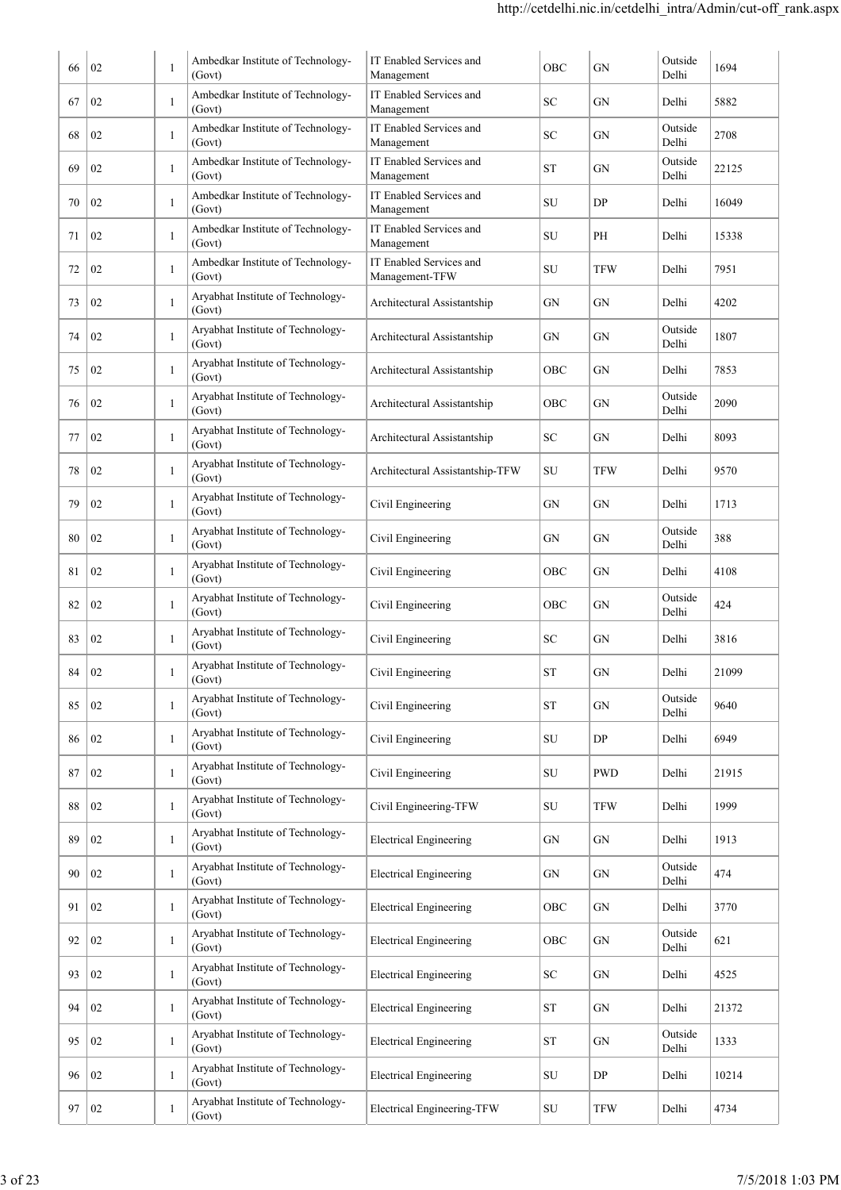| 66 | 02     | -1           | Ambedkar Institute of Technology-<br>(Govt) | IT Enabled Services and<br>Management     | OBC                | GN         | Outside<br>Delhi | 1694  |
|----|--------|--------------|---------------------------------------------|-------------------------------------------|--------------------|------------|------------------|-------|
| 67 | 02     | 1            | Ambedkar Institute of Technology-<br>(Govt) | IT Enabled Services and<br>Management     | SС                 | GN         | Delhi            | 5882  |
| 68 | 02     | 1            | Ambedkar Institute of Technology-<br>(Govt) | IT Enabled Services and<br>Management     | SC                 | GN         | Outside<br>Delhi | 2708  |
| 69 | 02     | $\mathbf{1}$ | Ambedkar Institute of Technology-<br>(Govt) | IT Enabled Services and<br>Management     | <b>ST</b>          | GN         | Outside<br>Delhi | 22125 |
| 70 | 02     | $\mathbf{1}$ | Ambedkar Institute of Technology-<br>(Govt) | IT Enabled Services and<br>Management     | SU                 | DP         | Delhi            | 16049 |
| 71 | 02     | $\mathbf{1}$ | Ambedkar Institute of Technology-<br>(Govt) | IT Enabled Services and<br>Management     | SU                 | PH         | Delhi            | 15338 |
| 72 | 02     | 1            | Ambedkar Institute of Technology-<br>(Govt) | IT Enabled Services and<br>Management-TFW | SU                 | TFW        | Delhi            | 7951  |
| 73 | 02     | 1            | Aryabhat Institute of Technology-<br>(Govt) | Architectural Assistantship               | GN                 | GN         | Delhi            | 4202  |
| 74 | 02     | 1            | Aryabhat Institute of Technology-<br>(Govt) | Architectural Assistantship               | GN                 | GN         | Outside<br>Delhi | 1807  |
| 75 | 02     | $\mathbf{1}$ | Aryabhat Institute of Technology-<br>(Govt) | Architectural Assistantship               | OBC                | GN         | Delhi            | 7853  |
| 76 | 02     | 1            | Aryabhat Institute of Technology-<br>(Govt) | Architectural Assistantship               | OBC                | GN         | Outside<br>Delhi | 2090  |
| 77 | 02     | 1            | Aryabhat Institute of Technology-<br>(Govt) | Architectural Assistantship               | SC                 | GN         | Delhi            | 8093  |
| 78 | 02     | 1            | Aryabhat Institute of Technology-<br>(Govt) | Architectural Assistantship-TFW           | SU                 | TFW        | Delhi            | 9570  |
| 79 | 02     | 1            | Aryabhat Institute of Technology-<br>(Govt) | Civil Engineering                         | GN                 | GN         | Delhi            | 1713  |
| 80 | 02     | 1            | Aryabhat Institute of Technology-<br>(Govt) | Civil Engineering                         | GN                 | GN         | Outside<br>Delhi | 388   |
| 81 | 02     | 1            | Aryabhat Institute of Technology-<br>(Govt) | Civil Engineering                         | OBC                | GN         | Delhi            | 4108  |
| 82 | 02     | 1            | Aryabhat Institute of Technology-<br>(Govt) | Civil Engineering                         | OBC                | GN         | Outside<br>Delhi | 424   |
| 83 | 02     | $\mathbf{1}$ | Aryabhat Institute of Technology-<br>(Govt) | Civil Engineering                         | SC                 | GN         | Delhi            | 3816  |
| 84 | $02\,$ |              | Aryabhat Institute of Technology-<br>(Govt) | Civil Engineering                         | <b>ST</b>          | ${\rm GN}$ | Delhi            | 21099 |
| 85 | 02     | $\mathbf{1}$ | Aryabhat Institute of Technology-<br>(Govt) | Civil Engineering                         | ST                 | GN         | Outside<br>Delhi | 9640  |
| 86 | 02     | 1            | Aryabhat Institute of Technology-<br>(Govt) | Civil Engineering                         | SU                 | DP         | Delhi            | 6949  |
| 87 | 02     | 1            | Aryabhat Institute of Technology-<br>(Govt) | Civil Engineering                         | SU                 | <b>PWD</b> | Delhi            | 21915 |
| 88 | 02     | 1            | Aryabhat Institute of Technology-<br>(Govt) | Civil Engineering-TFW                     | SU                 | <b>TFW</b> | Delhi            | 1999  |
| 89 | 02     | 1            | Aryabhat Institute of Technology-<br>(Govt) | <b>Electrical Engineering</b>             | GN                 | ${\rm GN}$ | Delhi            | 1913  |
| 90 | 02     | 1            | Aryabhat Institute of Technology-<br>(Govt) | <b>Electrical Engineering</b>             | GN                 | GN         | Outside<br>Delhi | 474   |
| 91 | 02     | 1            | Aryabhat Institute of Technology-<br>(Govt) | <b>Electrical Engineering</b>             | OBC                | GN         | Delhi            | 3770  |
| 92 | 02     | 1            | Aryabhat Institute of Technology-<br>(Govt) | <b>Electrical Engineering</b>             | OBC                | ${\rm GN}$ | Outside<br>Delhi | 621   |
| 93 | 02     | 1            | Aryabhat Institute of Technology-<br>(Govt) | <b>Electrical Engineering</b>             | ${\rm SC}$         | ${\rm GN}$ | Delhi            | 4525  |
| 94 | 02     | 1            | Aryabhat Institute of Technology-<br>(Govt) | <b>Electrical Engineering</b>             | ${\cal S}{\cal T}$ | ${\rm GN}$ | Delhi            | 21372 |
| 95 | 02     | $\mathbf{1}$ | Aryabhat Institute of Technology-<br>(Govt) | <b>Electrical Engineering</b>             | ${\cal S}{\cal T}$ | ${\rm GN}$ | Outside<br>Delhi | 1333  |
| 96 | 02     | 1            | Aryabhat Institute of Technology-<br>(Govt) | <b>Electrical Engineering</b>             | SU                 | DP         | Delhi            | 10214 |
| 97 | 02     | 1            | Aryabhat Institute of Technology-<br>(Govt) | <b>Electrical Engineering-TFW</b>         | ${\rm SU}$         | TFW        | Delhi            | 4734  |
|    |        |              |                                             |                                           |                    |            |                  |       |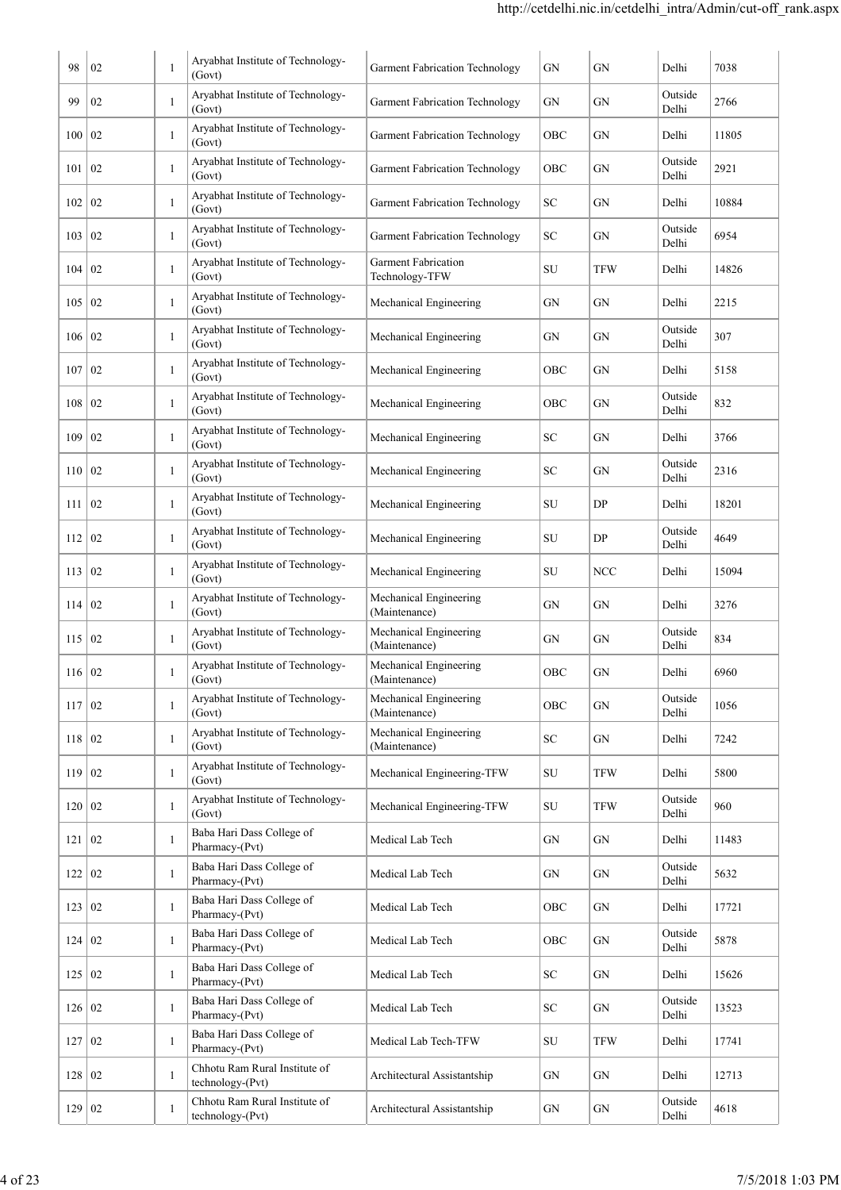| 98            | 02             | $\mathbf{1}$ | Aryabhat Institute of Technology-                 | <b>Garment Fabrication Technology</b>                               | GN         | GN         | Delhi            | 7038  |
|---------------|----------------|--------------|---------------------------------------------------|---------------------------------------------------------------------|------------|------------|------------------|-------|
| 99            | 02             | 1            | (Govt)<br>Aryabhat Institute of Technology-       | <b>Garment Fabrication Technology</b>                               | GN         | GN         | Outside          | 2766  |
| 100           | 02             | 1            | (Govt)<br>Aryabhat Institute of Technology-       | <b>Garment Fabrication Technology</b>                               | OBC        | GN         | Delhi<br>Delhi   | 11805 |
| 101           |                | 1            | (Govt)<br>Aryabhat Institute of Technology-       |                                                                     | OBC        |            | Outside          | 2921  |
|               | 02             |              | (Govt)<br>Aryabhat Institute of Technology-       | <b>Garment Fabrication Technology</b>                               |            | GN         | Delhi            |       |
| 102           | 02             | -1           | (Govt)<br>Aryabhat Institute of Technology-       | <b>Garment Fabrication Technology</b>                               | SС         | GN         | Delhi<br>Outside | 10884 |
| 103           | 02             | 1            | (Govt)                                            | <b>Garment Fabrication Technology</b><br><b>Garment Fabrication</b> | SC         | GN         | Delhi            | 6954  |
| 104           | 02             | 1            | Aryabhat Institute of Technology-<br>(Govt)       | Technology-TFW                                                      | SU         | TFW        | Delhi            | 14826 |
| 105           | 02             | 1            | Aryabhat Institute of Technology-<br>(Govt)       | Mechanical Engineering                                              | GN         | GN         | Delhi            | 2215  |
| 106   02      |                | 1            | Aryabhat Institute of Technology-<br>(Govt)       | Mechanical Engineering                                              | GN         | GN         | Outside<br>Delhi | 307   |
| 107           | 02             | $\mathbf{1}$ | Aryabhat Institute of Technology-<br>(Govt)       | Mechanical Engineering                                              | OBC        | GN         | Delhi            | 5158  |
| 108           | 02             | $\mathbf{1}$ | Aryabhat Institute of Technology-<br>(Govt)       | Mechanical Engineering                                              | OBC        | GN         | Outside<br>Delhi | 832   |
| 109           | 02             | $\mathbf{1}$ | Aryabhat Institute of Technology-<br>(Govt)       | Mechanical Engineering                                              | SC         | GN         | Delhi            | 3766  |
| 110           | $\overline{0}$ | $\mathbf{1}$ | Aryabhat Institute of Technology-<br>(Govt)       | Mechanical Engineering                                              | SC         | GN         | Outside<br>Delhi | 2316  |
| 111           | 02             | $\mathbf{1}$ | Aryabhat Institute of Technology-<br>(Govt)       | Mechanical Engineering                                              | SU         | DP         | Delhi            | 18201 |
| 112           | 02             | $\mathbf{1}$ | Aryabhat Institute of Technology-<br>(Govt)       | Mechanical Engineering                                              | SU         | DP         | Outside<br>Delhi | 4649  |
| 113           | 02             | -1           | Aryabhat Institute of Technology-<br>(Govt)       | Mechanical Engineering                                              | SU         | NCC        | Delhi            | 15094 |
| 114           | 02             | -1           | Aryabhat Institute of Technology-<br>(Govt)       | Mechanical Engineering<br>(Maintenance)                             | GN         | GN         | Delhi            | 3276  |
| 115           | 02             | -1           | Aryabhat Institute of Technology-<br>(Govt)       | Mechanical Engineering<br>(Maintenance)                             | GN         | GN         | Outside<br>Delhi | 834   |
| 116 02        |                |              | Aryabhat Institute of Technology-<br>(Govt)       | Mechanical Engineering<br>(Maintenance)                             | OBC        | GN         | Delhi            | 6960  |
| 117           | 02             | 1            | Aryabhat Institute of Technology-<br>(Govt)       | Mechanical Engineering<br>(Maintenance)                             | OBC        | GN         | Outside<br>Delhi | 1056  |
| 118 02        |                | 1            | Aryabhat Institute of Technology-<br>(Govt)       | Mechanical Engineering<br>(Maintenance)                             | ${\rm SC}$ | GN         | Delhi            | 7242  |
| 119 02        |                | 1            | Aryabhat Institute of Technology-<br>(Govt)       | Mechanical Engineering-TFW                                          | ${\rm SU}$ | <b>TFW</b> | Delhi            | 5800  |
| 120           | 02             | 1            | Aryabhat Institute of Technology-<br>(Govt)       | Mechanical Engineering-TFW                                          | SU         | TFW        | Outside<br>Delhi | 960   |
| $121 \mid 02$ |                | $\mathbf{1}$ | Baba Hari Dass College of<br>Pharmacy-(Pvt)       | Medical Lab Tech                                                    | GN         | GN         | Delhi            | 11483 |
| 122           | 02             | $\mathbf{1}$ | Baba Hari Dass College of<br>Pharmacy-(Pvt)       | Medical Lab Tech                                                    | GN         | GN         | Outside<br>Delhi | 5632  |
| 123           | 02             | $\mathbf{1}$ | Baba Hari Dass College of<br>Pharmacy-(Pvt)       | Medical Lab Tech                                                    | OBC        | GN         | Delhi            | 17721 |
| 124 02        |                | $\mathbf{1}$ | Baba Hari Dass College of                         | Medical Lab Tech                                                    | OBC        | GN         | Outside          | 5878  |
| 125 02        |                | $\mathbf{1}$ | Pharmacy-(Pvt)<br>Baba Hari Dass College of       | Medical Lab Tech                                                    | SC         | GN         | Delhi<br>Delhi   | 15626 |
| 126 02        |                | $\mathbf{1}$ | Pharmacy-(Pvt)<br>Baba Hari Dass College of       | Medical Lab Tech                                                    | ${\rm SC}$ | GN         | Outside          | 13523 |
|               |                | $\mathbf{1}$ | Pharmacy-(Pvt)<br>Baba Hari Dass College of       |                                                                     |            |            | Delhi            |       |
| 127           | 02             |              | Pharmacy-(Pvt)<br>Chhotu Ram Rural Institute of   | Medical Lab Tech-TFW                                                | SU         | TFW        | Delhi            | 17741 |
| 128           | 02             | 1            | technology-(Pvt)<br>Chhotu Ram Rural Institute of | Architectural Assistantship                                         | GN         | GN         | Delhi<br>Outside | 12713 |
| 129 02        |                | $\mathbf{1}$ | technology-(Pvt)                                  | Architectural Assistantship                                         | GN         | GN         | Delhi            | 4618  |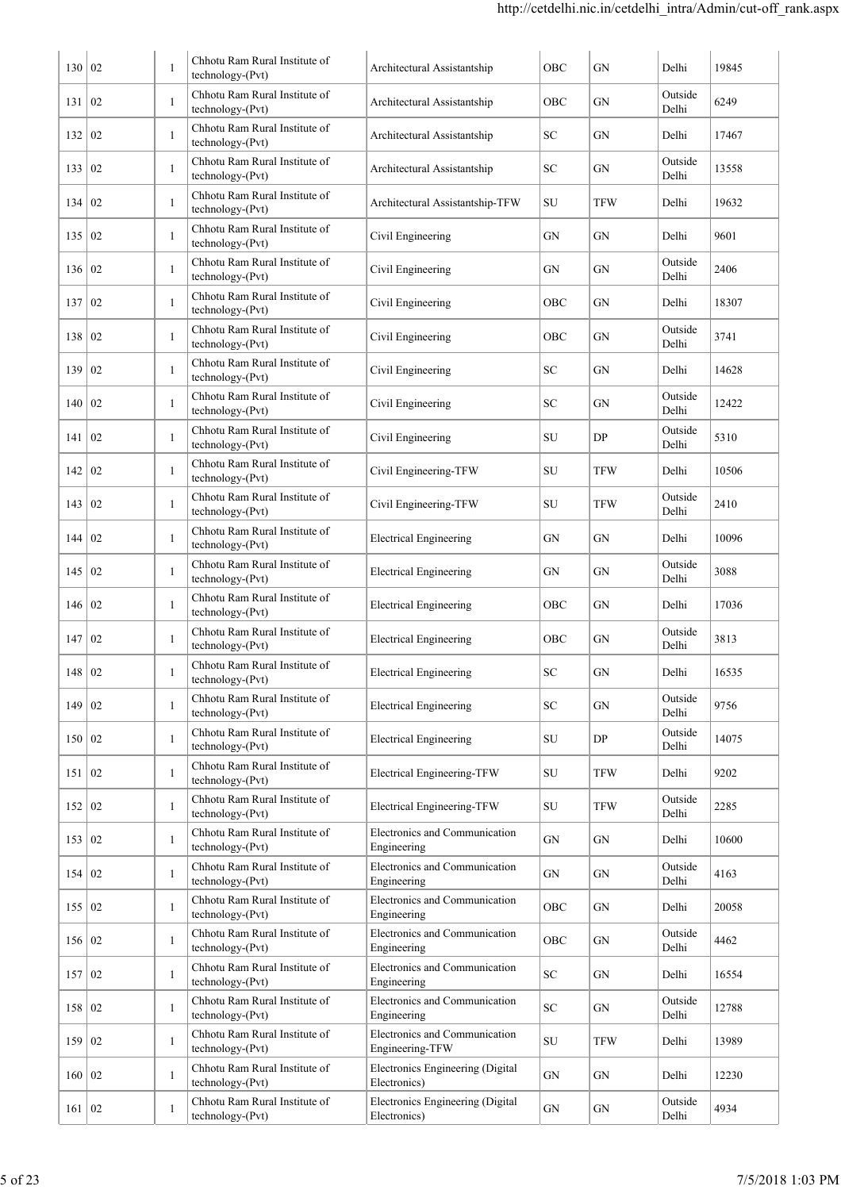| 130      | $\overline{0}$   | $\mathbf{1}$ | Chhotu Ram Rural Institute of                     | Architectural Assistantship                      | OBC        | GN         | Delhi            | 19845 |
|----------|------------------|--------------|---------------------------------------------------|--------------------------------------------------|------------|------------|------------------|-------|
| 131      | 02               | 1            | technology-(Pvt)<br>Chhotu Ram Rural Institute of | Architectural Assistantship                      | OBC        | GN         | Outside          | 6249  |
|          |                  |              | technology-(Pvt)<br>Chhotu Ram Rural Institute of |                                                  |            |            | Delhi            |       |
| 132      | 02               | 1            | technology-(Pvt)<br>Chhotu Ram Rural Institute of | Architectural Assistantship                      | SС         | GN         | Delhi<br>Outside | 17467 |
| 133      | 02               | 1            | technology-(Pvt)                                  | Architectural Assistantship                      | SС         | GN         | Delhi            | 13558 |
| 134      | 02               | 1            | Chhotu Ram Rural Institute of<br>technology-(Pvt) | Architectural Assistantship-TFW                  | SU         | TFW        | Delhi            | 19632 |
| 135      | 02               | $\mathbf{1}$ | Chhotu Ram Rural Institute of<br>technology-(Pvt) | Civil Engineering                                | GN         | GN         | Delhi            | 9601  |
| 136      | 02               | 1            | Chhotu Ram Rural Institute of<br>technology-(Pvt) | Civil Engineering                                | GN         | GN         | Outside<br>Delhi | 2406  |
| 137      | 02               | $\mathbf{1}$ | Chhotu Ram Rural Institute of<br>technology-(Pvt) | Civil Engineering                                | OBC        | GN         | Delhi            | 18307 |
| 138      | 02               | $\mathbf{1}$ | Chhotu Ram Rural Institute of<br>technology-(Pvt) | Civil Engineering                                | OBC        | GN         | Outside<br>Delhi | 3741  |
| 139      | 02               | $\mathbf{1}$ | Chhotu Ram Rural Institute of<br>technology-(Pvt) | Civil Engineering                                | SC         | GN         | Delhi            | 14628 |
| 140      | 02               | $\mathbf{1}$ | Chhotu Ram Rural Institute of<br>technology-(Pvt) | Civil Engineering                                | SC         | GN         | Outside<br>Delhi | 12422 |
| 141      | 02               | $\mathbf{1}$ | Chhotu Ram Rural Institute of<br>technology-(Pvt) | Civil Engineering                                | SU         | DP         | Outside<br>Delhi | 5310  |
| 142      | 02               | $\mathbf{1}$ | Chhotu Ram Rural Institute of<br>technology-(Pvt) | Civil Engineering-TFW                            | SU         | <b>TFW</b> | Delhi            | 10506 |
| 143      | 02               | $\mathbf{1}$ | Chhotu Ram Rural Institute of<br>technology-(Pvt) | Civil Engineering-TFW                            | SU         | <b>TFW</b> | Outside<br>Delhi | 2410  |
| 144      | 02               | 1            | Chhotu Ram Rural Institute of<br>technology-(Pvt) | <b>Electrical Engineering</b>                    | GN         | GN         | Delhi            | 10096 |
| 145      | 02               | 1            | Chhotu Ram Rural Institute of<br>technology-(Pvt) | <b>Electrical Engineering</b>                    | GN         | GN         | Outside<br>Delhi | 3088  |
| 146      | 02               | 1            | Chhotu Ram Rural Institute of<br>technology-(Pvt) | <b>Electrical Engineering</b>                    | OBC        | GN         | Delhi            | 17036 |
| 147      | 02               | 1            | Chhotu Ram Rural Institute of<br>technology-(Pvt) | <b>Electrical Engineering</b>                    | OBC        | GN         | Outside<br>Delhi | 3813  |
| 148      | 02               |              | Chhotu Ram Rural Institute of<br>technology-(Pvt) | <b>Electrical Engineering</b>                    | ${\rm SC}$ | GN         | Delhi            | 16535 |
| 149      | 02               | 1            | Chhotu Ram Rural Institute of<br>technology-(Pvt) | <b>Electrical Engineering</b>                    | SC         | GN         | Outside<br>Delhi | 9756  |
| 150      | 02               | $\mathbf{1}$ | Chhotu Ram Rural Institute of<br>technology-(Pvt) | <b>Electrical Engineering</b>                    | SU         | DP         | Outside<br>Delhi | 14075 |
| 151      | 02               | $\mathbf{1}$ | Chhotu Ram Rural Institute of<br>technology-(Pvt) | Electrical Engineering-TFW                       | SU         | TFW        | Delhi            | 9202  |
| 152      | $\vert 02 \vert$ | 1            | Chhotu Ram Rural Institute of<br>technology-(Pvt) | Electrical Engineering-TFW                       | ${\rm SU}$ | TFW        | Outside<br>Delhi | 2285  |
| 153      | 02               | $\mathbf{1}$ | Chhotu Ram Rural Institute of<br>technology-(Pvt) | Electronics and Communication<br>Engineering     | GN         | GN         | Delhi            | 10600 |
| 154      | 02               | $\mathbf{1}$ | Chhotu Ram Rural Institute of<br>technology-(Pvt) | Electronics and Communication<br>Engineering     | GN         | GN         | Outside<br>Delhi | 4163  |
| 155 02   |                  | $\mathbf{1}$ | Chhotu Ram Rural Institute of<br>technology-(Pvt) | Electronics and Communication<br>Engineering     | OBC        | GN         | Delhi            | 20058 |
| 156 02   |                  | $\mathbf{1}$ | Chhotu Ram Rural Institute of<br>technology-(Pvt) | Electronics and Communication<br>Engineering     | OBC        | GN         | Outside<br>Delhi | 4462  |
| 157      | $\vert 02 \vert$ | $\mathbf{1}$ | Chhotu Ram Rural Institute of<br>technology-(Pvt) | Electronics and Communication<br>Engineering     | SC         | GN         | Delhi            | 16554 |
| 158      | 02               | $\mathbf{1}$ | Chhotu Ram Rural Institute of<br>technology-(Pvt) | Electronics and Communication<br>Engineering     | ${\rm SC}$ | GN         | Outside<br>Delhi | 12788 |
| 159      | $\vert 02 \vert$ | $\mathbf{1}$ | Chhotu Ram Rural Institute of<br>technology-(Pvt) | Electronics and Communication<br>Engineering-TFW | SU         | TFW        | Delhi            | 13989 |
| 160   02 |                  | 1            | Chhotu Ram Rural Institute of<br>technology-(Pvt) | Electronics Engineering (Digital<br>Electronics) | GN         | GN         | Delhi            | 12230 |
| 161   02 |                  | $\mathbf{1}$ | Chhotu Ram Rural Institute of                     | Electronics Engineering (Digital                 | GN         | GN         | Outside          | 4934  |
|          |                  |              | technology-(Pvt)                                  | Electronics)                                     |            |            | Delhi            |       |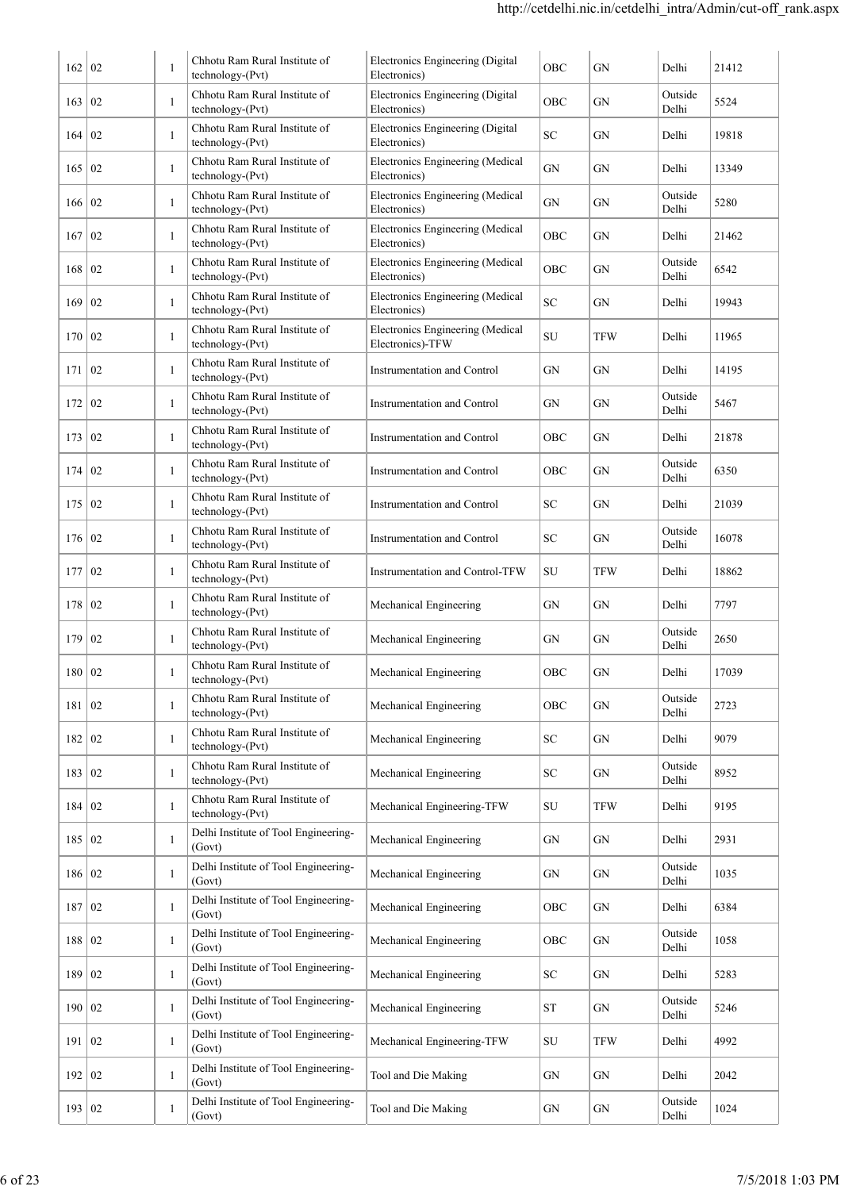| 162      | 02              | $\mathbf{1}$ | Chhotu Ram Rural Institute of<br>technology-(Pvt) | Electronics Engineering (Digital<br>Electronics)        | OBC        | GN         | Delhi            | 21412 |
|----------|-----------------|--------------|---------------------------------------------------|---------------------------------------------------------|------------|------------|------------------|-------|
| 163      | 02              | $\mathbf{1}$ | Chhotu Ram Rural Institute of<br>technology-(Pvt) | Electronics Engineering (Digital<br>Electronics)        | OBC        | GN         | Outside<br>Delhi | 5524  |
| 164      | 02              | $\mathbf{1}$ | Chhotu Ram Rural Institute of<br>technology-(Pvt) | Electronics Engineering (Digital<br>Electronics)        | <b>SC</b>  | GN         | Delhi            | 19818 |
| 165      | $\overline{0}$  | 1            | Chhotu Ram Rural Institute of<br>technology-(Pvt) | Electronics Engineering (Medical<br>Electronics)        | GN         | GN         | Delhi            | 13349 |
| 166 02   |                 | 1            | Chhotu Ram Rural Institute of<br>technology-(Pvt) | Electronics Engineering (Medical<br>Electronics)        | GN         | GN         | Outside<br>Delhi | 5280  |
| 167      | 02              | $\mathbf{1}$ | Chhotu Ram Rural Institute of<br>technology-(Pvt) | <b>Electronics Engineering (Medical</b><br>Electronics) | OBC        | GN         | Delhi            | 21462 |
| 168      | 02              | 1            | Chhotu Ram Rural Institute of<br>technology-(Pvt) | Electronics Engineering (Medical<br>Electronics)        | OBC        | GN         | Outside<br>Delhi | 6542  |
| 169      | 02              | 1            | Chhotu Ram Rural Institute of<br>technology-(Pvt) | Electronics Engineering (Medical<br>Electronics)        | <b>SC</b>  | GN         | Delhi            | 19943 |
| 170      | 02              | 1            | Chhotu Ram Rural Institute of<br>technology-(Pvt) | Electronics Engineering (Medical<br>Electronics)-TFW    | <b>SU</b>  | TFW        | Delhi            | 11965 |
| 171      | 02              | 1            | Chhotu Ram Rural Institute of<br>technology-(Pvt) | Instrumentation and Control                             | GN         | GN         | Delhi            | 14195 |
| 172      | 02              | 1            | Chhotu Ram Rural Institute of<br>technology-(Pvt) | Instrumentation and Control                             | GN         | GN         | Outside<br>Delhi | 5467  |
| 173      | 02              | $\mathbf{1}$ | Chhotu Ram Rural Institute of<br>technology-(Pvt) | Instrumentation and Control                             | OBC        | GN         | Delhi            | 21878 |
| 174      | 02              | $\mathbf{1}$ | Chhotu Ram Rural Institute of<br>technology-(Pvt) | Instrumentation and Control                             | OBC        | GN         | Outside<br>Delhi | 6350  |
| 175      | 02              | $\mathbf{1}$ | Chhotu Ram Rural Institute of<br>technology-(Pvt) | Instrumentation and Control                             | <b>SC</b>  | GN         | Delhi            | 21039 |
| 176      | $\overline{02}$ | $\mathbf{1}$ | Chhotu Ram Rural Institute of<br>technology-(Pvt) | Instrumentation and Control                             | <b>SC</b>  | GN         | Outside<br>Delhi | 16078 |
| 177      | 02              | $\mathbf{1}$ | Chhotu Ram Rural Institute of<br>technology-(Pvt) | <b>Instrumentation and Control-TFW</b>                  | SU         | <b>TFW</b> | Delhi            | 18862 |
| 178      | 02              | $\mathbf{1}$ | Chhotu Ram Rural Institute of<br>technology-(Pvt) | Mechanical Engineering                                  | GN         | GN         | Delhi            | 7797  |
| 179      | 02              | $\mathbf{1}$ | Chhotu Ram Rural Institute of<br>technology-(Pvt) | Mechanical Engineering                                  | GN         | GN         | Outside<br>Delhi | 2650  |
| 180 02   |                 | $\mathbf{1}$ | Chhotu Ram Rural Institute of<br>technology-(Pvt) | Mechanical Engineering                                  | OBC        | GN         | Delhi            | 17039 |
| 181 02   |                 | $\mathbf{1}$ | Chhotu Ram Rural Institute of<br>technology-(Pvt) | Mechanical Engineering                                  | OBC        | ${\rm GN}$ | Outside<br>Delhi | 2723  |
| 182 02   |                 | $\mathbf{1}$ | Chhotu Ram Rural Institute of<br>technology-(Pvt) | Mechanical Engineering                                  | SC         | GN         | Delhi            | 9079  |
| 183   02 |                 | $\mathbf{1}$ | Chhotu Ram Rural Institute of<br>technology-(Pvt) | Mechanical Engineering                                  | SC         | ${\rm GN}$ | Outside<br>Delhi | 8952  |
| 184 02   |                 | $\mathbf{1}$ | Chhotu Ram Rural Institute of<br>technology-(Pvt) | Mechanical Engineering-TFW                              | ${\rm SU}$ | <b>TFW</b> | Delhi            | 9195  |
| 185 02   |                 | $\mathbf{1}$ | Delhi Institute of Tool Engineering-<br>(Govt)    | Mechanical Engineering                                  | GN         | GN         | Delhi            | 2931  |
| 186 02   |                 | $\mathbf{1}$ | Delhi Institute of Tool Engineering-<br>(Govt)    | Mechanical Engineering                                  | ${\rm GN}$ | GN         | Outside<br>Delhi | 1035  |
| 187      | $ 02\rangle$    | $\mathbf{1}$ | Delhi Institute of Tool Engineering-<br>(Govt)    | Mechanical Engineering                                  | OBC        | GN         | Delhi            | 6384  |
| 188 02   |                 | $\mathbf{1}$ | Delhi Institute of Tool Engineering-<br>(Govt)    | Mechanical Engineering                                  | OBC        | GN         | Outside<br>Delhi | 1058  |
| 189 02   |                 | $\mathbf{1}$ | Delhi Institute of Tool Engineering-<br>(Govt)    | Mechanical Engineering                                  | ${\rm SC}$ | GN         | Delhi            | 5283  |
| 190 02   |                 | $\mathbf{1}$ | Delhi Institute of Tool Engineering-<br>(Govt)    | Mechanical Engineering                                  | <b>ST</b>  | GN         | Outside<br>Delhi | 5246  |
| 191 02   |                 | 1            | Delhi Institute of Tool Engineering-<br>(Govt)    | Mechanical Engineering-TFW                              | SU         | <b>TFW</b> | Delhi            | 4992  |
| 192      | 02              | 1            | Delhi Institute of Tool Engineering-<br>(Govt)    | Tool and Die Making                                     | ${\rm GN}$ | GN         | Delhi            | 2042  |
| 193 02   |                 | 1            | Delhi Institute of Tool Engineering-<br>(Govt)    | Tool and Die Making                                     | GN         | GN         | Outside<br>Delhi | 1024  |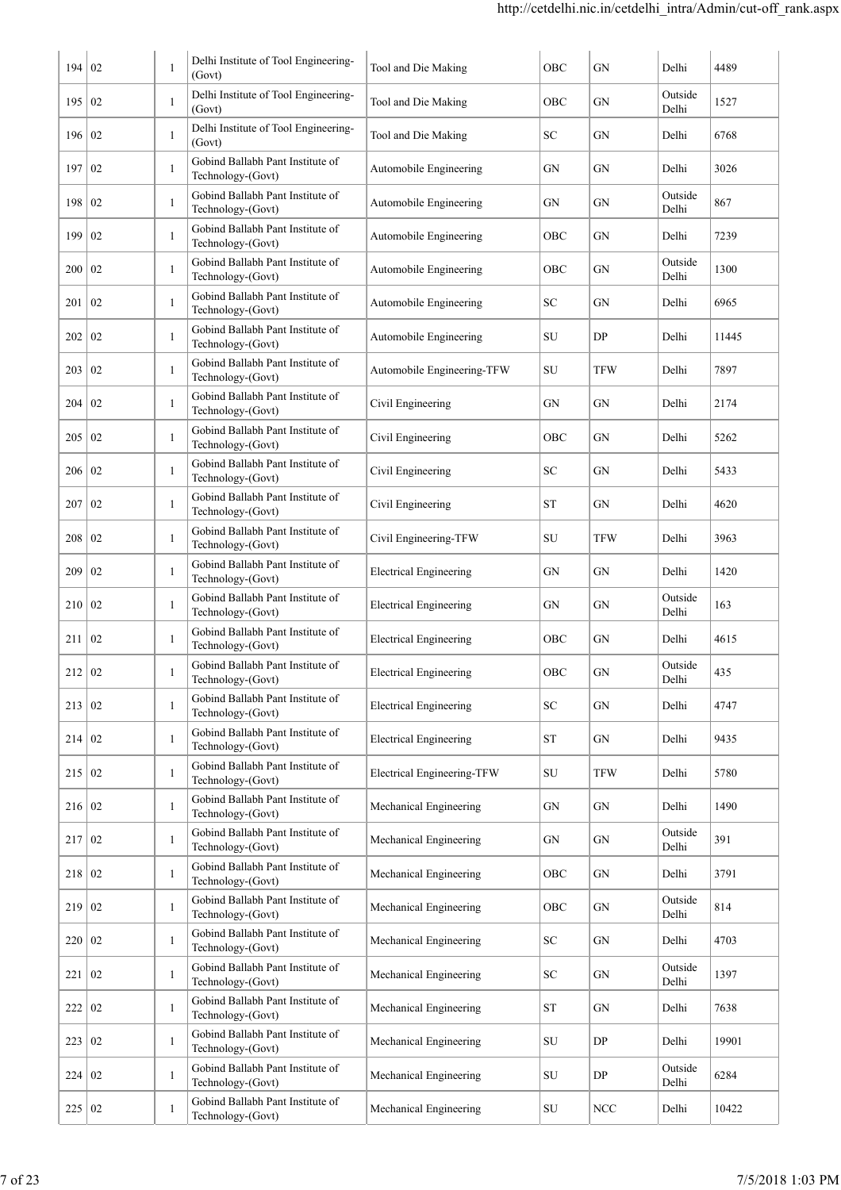| 194           | 02              | 1            | Delhi Institute of Tool Engineering-<br>(Govt)        | Tool and Die Making           | OBC       | <b>GN</b>  | Delhi            | 4489  |
|---------------|-----------------|--------------|-------------------------------------------------------|-------------------------------|-----------|------------|------------------|-------|
| 195 02        |                 | $\mathbf{1}$ | Delhi Institute of Tool Engineering-<br>(Govt)        | Tool and Die Making           | OBC       | GN         | Outside<br>Delhi | 1527  |
| 196 02        |                 | $\mathbf{1}$ | Delhi Institute of Tool Engineering-<br>(Govt)        | Tool and Die Making           | SC        | GN         | Delhi            | 6768  |
| 197 02        |                 | $\mathbf{1}$ | Gobind Ballabh Pant Institute of<br>Technology-(Govt) | Automobile Engineering        | GN        | <b>GN</b>  | Delhi            | 3026  |
| 198 02        |                 | $\mathbf{1}$ | Gobind Ballabh Pant Institute of<br>Technology-(Govt) | Automobile Engineering        | GN        | GN         | Outside<br>Delhi | 867   |
| 199           | 02              | 1            | Gobind Ballabh Pant Institute of<br>Technology-(Govt) | Automobile Engineering        | OBC       | GN         | Delhi            | 7239  |
| 200           | 02              | 1            | Gobind Ballabh Pant Institute of<br>Technology-(Govt) | Automobile Engineering        | OBC       | GN         | Outside<br>Delhi | 1300  |
| 201           | 02              | 1            | Gobind Ballabh Pant Institute of<br>Technology-(Govt) | Automobile Engineering        | SС        | GN         | Delhi            | 6965  |
| 202           | $\overline{0}$  | 1            | Gobind Ballabh Pant Institute of<br>Technology-(Govt) | Automobile Engineering        | SU        | DP         | Delhi            | 11445 |
| 203           | $\overline{0}$  | 1            | Gobind Ballabh Pant Institute of<br>Technology-(Govt) | Automobile Engineering-TFW    | SU        | <b>TFW</b> | Delhi            | 7897  |
| 204           | 02              | 1            | Gobind Ballabh Pant Institute of<br>Technology-(Govt) | Civil Engineering             | GN        | GN         | Delhi            | 2174  |
| 205           | $\overline{0}$  | $\mathbf{1}$ | Gobind Ballabh Pant Institute of<br>Technology-(Govt) | Civil Engineering             | OBC       | GN         | Delhi            | 5262  |
| $206 \mid 02$ |                 | $\mathbf{1}$ | Gobind Ballabh Pant Institute of<br>Technology-(Govt) | Civil Engineering             | SC        | GN         | Delhi            | 5433  |
| 207           | $\overline{0}$  | $\mathbf{1}$ | Gobind Ballabh Pant Institute of<br>Technology-(Govt) | Civil Engineering             | ST        | GN         | Delhi            | 4620  |
| 208   02      |                 | $\mathbf{1}$ | Gobind Ballabh Pant Institute of<br>Technology-(Govt) | Civil Engineering-TFW         | SU        | TFW        | Delhi            | 3963  |
| 209           | 02              | $\mathbf{1}$ | Gobind Ballabh Pant Institute of<br>Technology-(Govt) | <b>Electrical Engineering</b> | GN        | GN         | Delhi            | 1420  |
| 210 02        |                 | $\mathbf{1}$ | Gobind Ballabh Pant Institute of<br>Technology-(Govt) | <b>Electrical Engineering</b> | GN        | GN         | Outside<br>Delhi | 163   |
| 211           | $\overline{0}$  | $\mathbf{1}$ | Gobind Ballabh Pant Institute of<br>Technology-(Govt) | <b>Electrical Engineering</b> | OBC       | <b>GN</b>  | Delhi            | 4615  |
| 212   02      |                 | $\mathbf{1}$ | Gobind Ballabh Pant Institute of<br>Technology-(Govt) | <b>Electrical Engineering</b> | OBC       | <b>GN</b>  | Outside<br>Delhi | 435   |
| 213   02      |                 | $\mathbf{1}$ | Gobind Ballabh Pant Institute of<br>Technology-(Govt) | <b>Electrical Engineering</b> | SC        | GN         | Delhi            | 4747  |
| 214   02      |                 | $\mathbf{1}$ | Gobind Ballabh Pant Institute of<br>Technology-(Govt) | <b>Electrical Engineering</b> | <b>ST</b> | GN         | Delhi            | 9435  |
| 215 02        |                 | $\mathbf{1}$ | Gobind Ballabh Pant Institute of<br>Technology-(Govt) | Electrical Engineering-TFW    | SU        | <b>TFW</b> | Delhi            | 5780  |
| 216 02        |                 | $\mathbf{1}$ | Gobind Ballabh Pant Institute of<br>Technology-(Govt) | Mechanical Engineering        | GN        | ${\rm GN}$ | Delhi            | 1490  |
| 217           | $\overline{02}$ | $\mathbf{1}$ | Gobind Ballabh Pant Institute of<br>Technology-(Govt) | Mechanical Engineering        | GN        | GN         | Outside<br>Delhi | 391   |
| 218 02        |                 | $\mathbf{1}$ | Gobind Ballabh Pant Institute of<br>Technology-(Govt) | Mechanical Engineering        | OBC       | ${\rm GN}$ | Delhi            | 3791  |
| 219 02        |                 | $\mathbf{1}$ | Gobind Ballabh Pant Institute of<br>Technology-(Govt) | Mechanical Engineering        | OBC       | GN         | Outside<br>Delhi | 814   |
| 220 02        |                 | $\mathbf{1}$ | Gobind Ballabh Pant Institute of<br>Technology-(Govt) | Mechanical Engineering        | SC        | GN         | Delhi            | 4703  |
| 221   02      |                 | $\mathbf{1}$ | Gobind Ballabh Pant Institute of<br>Technology-(Govt) | Mechanical Engineering        | SC        | GN         | Outside<br>Delhi | 1397  |
| 222   02      |                 | $\mathbf{1}$ | Gobind Ballabh Pant Institute of<br>Technology-(Govt) | Mechanical Engineering        | <b>ST</b> | GN         | Delhi            | 7638  |
| 223           | 02              | $\mathbf{1}$ | Gobind Ballabh Pant Institute of<br>Technology-(Govt) | Mechanical Engineering        | SU        | DP         | Delhi            | 19901 |
| 224 02        |                 | 1            | Gobind Ballabh Pant Institute of<br>Technology-(Govt) | Mechanical Engineering        | SU        | DP         | Outside<br>Delhi | 6284  |
| 225 02        |                 | 1            | Gobind Ballabh Pant Institute of<br>Technology-(Govt) | Mechanical Engineering        | SU        | $\rm NCC$  | Delhi            | 10422 |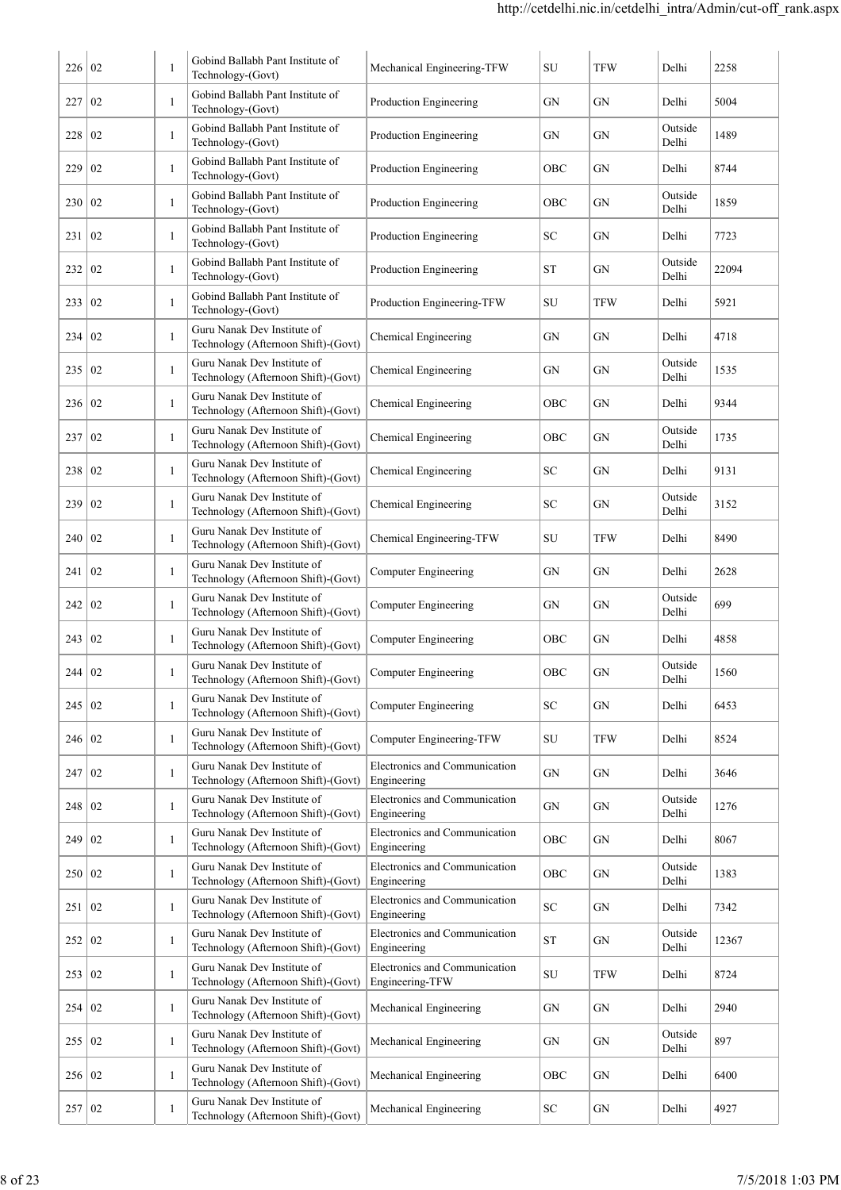| 226      | 02               | 1            | Gobind Ballabh Pant Institute of<br>Technology-(Govt)              | Mechanical Engineering-TFW                       | SU         | <b>TFW</b> | Delhi            | 2258  |
|----------|------------------|--------------|--------------------------------------------------------------------|--------------------------------------------------|------------|------------|------------------|-------|
| 227      | 02               | $\mathbf{1}$ | Gobind Ballabh Pant Institute of<br>Technology-(Govt)              | Production Engineering                           | GN         | GN         | Delhi            | 5004  |
| 228      | $\overline{02}$  | $\mathbf{1}$ | Gobind Ballabh Pant Institute of<br>Technology-(Govt)              | Production Engineering                           | GN         | GN         | Outside<br>Delhi | 1489  |
| 229      | 02               | $\mathbf{1}$ | Gobind Ballabh Pant Institute of<br>Technology-(Govt)              | Production Engineering                           | OBC        | GN         | Delhi            | 8744  |
| 230      | $\overline{02}$  | $\mathbf{1}$ | Gobind Ballabh Pant Institute of<br>Technology-(Govt)              | Production Engineering                           | OBC        | GN         | Outside<br>Delhi | 1859  |
| 231      | 02               | -1           | Gobind Ballabh Pant Institute of<br>Technology-(Govt)              | Production Engineering                           | SC         | GN         | Delhi            | 7723  |
| 232      | $\overline{02}$  | $\mathbf{1}$ | Gobind Ballabh Pant Institute of<br>Technology-(Govt)              | Production Engineering                           | ST         | GN         | Outside<br>Delhi | 22094 |
| 233      | $\overline{02}$  | 1            | Gobind Ballabh Pant Institute of<br>Technology-(Govt)              | Production Engineering-TFW                       | SU         | TFW        | Delhi            | 5921  |
| 234      | 02               | 1            | Guru Nanak Dev Institute of<br>Technology (Afternoon Shift)-(Govt) | Chemical Engineering                             | GN         | GN         | Delhi            | 4718  |
| 235      | 02               | $\mathbf{1}$ | Guru Nanak Dev Institute of<br>Technology (Afternoon Shift)-(Govt) | Chemical Engineering                             | GN         | GN         | Outside<br>Delhi | 1535  |
| 236      | 02               | 1            | Guru Nanak Dev Institute of<br>Technology (Afternoon Shift)-(Govt) | Chemical Engineering                             | OBC        | GN         | Delhi            | 9344  |
| 237      | 02               | $\mathbf{1}$ | Guru Nanak Dev Institute of<br>Technology (Afternoon Shift)-(Govt) | Chemical Engineering                             | OBC        | GN         | Outside<br>Delhi | 1735  |
| 238      | 02               | $\mathbf{1}$ | Guru Nanak Dev Institute of<br>Technology (Afternoon Shift)-(Govt) | Chemical Engineering                             | SC         | GN         | Delhi            | 9131  |
| 239      | 02               | $\mathbf{1}$ | Guru Nanak Dev Institute of<br>Technology (Afternoon Shift)-(Govt) | Chemical Engineering                             | SC         | GN         | Outside<br>Delhi | 3152  |
| 240      | $\overline{02}$  | 1            | Guru Nanak Dev Institute of<br>Technology (Afternoon Shift)-(Govt) | Chemical Engineering-TFW                         | SU         | TFW        | Delhi            | 8490  |
| 241      | 02               | 1            | Guru Nanak Dev Institute of<br>Technology (Afternoon Shift)-(Govt) | Computer Engineering                             | GN         | GN         | Delhi            | 2628  |
| 242      | 02               | 1            | Guru Nanak Dev Institute of<br>Technology (Afternoon Shift)-(Govt) | <b>Computer Engineering</b>                      | GN         | GN         | Outside<br>Delhi | 699   |
| 243      | 02               | 1            | Guru Nanak Dev Institute of<br>Technology (Afternoon Shift)-(Govt) | <b>Computer Engineering</b>                      | OBC        | GN         | Delhi            | 4858  |
| 244      | 02               | 1            | Guru Nanak Dev Institute of<br>Technology (Afternoon Shift)-(Govt) | <b>Computer Engineering</b>                      | OBC        | GN         | Outside<br>Delhi | 1560  |
| 245      | 02               | 1            | Guru Nanak Dev Institute of<br>Technology (Afternoon Shift)-(Govt) | <b>Computer Engineering</b>                      | SC         | GN         | Delhi            | 6453  |
| 246 02   |                  | 1            | Guru Nanak Dev Institute of<br>Technology (Afternoon Shift)-(Govt) | Computer Engineering-TFW                         | SU         | TFW        | Delhi            | 8524  |
| 247      | 02               | 1            | Guru Nanak Dev Institute of<br>Technology (Afternoon Shift)-(Govt) | Electronics and Communication<br>Engineering     | GN         | GN         | Delhi            | 3646  |
| 248      | 02               | 1            | Guru Nanak Dev Institute of<br>Technology (Afternoon Shift)-(Govt) | Electronics and Communication<br>Engineering     | GN         | GN         | Outside<br>Delhi | 1276  |
| 249      | 02               | $\mathbf{1}$ | Guru Nanak Dev Institute of<br>Technology (Afternoon Shift)-(Govt) | Electronics and Communication<br>Engineering     | OBC        | GN         | Delhi            | 8067  |
| 250 02   |                  | $\mathbf{1}$ | Guru Nanak Dev Institute of<br>Technology (Afternoon Shift)-(Govt) | Electronics and Communication<br>Engineering     | OBC        | GN         | Outside<br>Delhi | 1383  |
| 251      | 02               | $\mathbf{1}$ | Guru Nanak Dev Institute of<br>Technology (Afternoon Shift)-(Govt) | Electronics and Communication<br>Engineering     | SC         | GN         | Delhi            | 7342  |
| 252 02   |                  | $\mathbf{1}$ | Guru Nanak Dev Institute of<br>Technology (Afternoon Shift)-(Govt) | Electronics and Communication<br>Engineering     | ST         | GN         | Outside<br>Delhi | 12367 |
| 253   02 |                  | 1            | Guru Nanak Dev Institute of<br>Technology (Afternoon Shift)-(Govt) | Electronics and Communication<br>Engineering-TFW | SU         | TFW        | Delhi            | 8724  |
| 254      | $\vert 02 \vert$ | 1            | Guru Nanak Dev Institute of<br>Technology (Afternoon Shift)-(Govt) | Mechanical Engineering                           | GN         | GN         | Delhi            | 2940  |
| 255 02   |                  | $\mathbf{1}$ | Guru Nanak Dev Institute of<br>Technology (Afternoon Shift)-(Govt) | Mechanical Engineering                           | ${\rm GN}$ | GN         | Outside<br>Delhi | 897   |
| 256 02   |                  | 1            | Guru Nanak Dev Institute of<br>Technology (Afternoon Shift)-(Govt) | Mechanical Engineering                           | OBC        | GN         | Delhi            | 6400  |
| 257 02   |                  | 1            | Guru Nanak Dev Institute of<br>Technology (Afternoon Shift)-(Govt) | Mechanical Engineering                           | SC         | GN         | Delhi            | 4927  |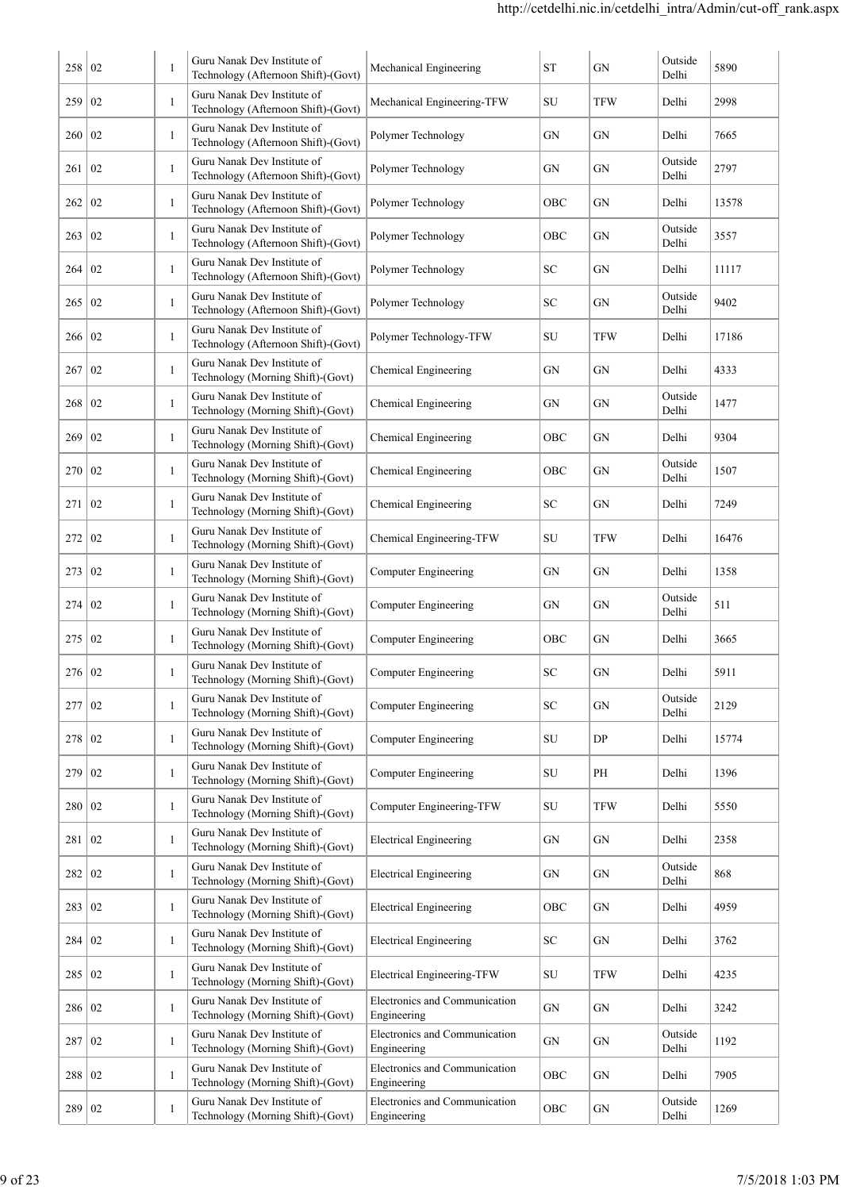| 258      | 02 | 1            | Guru Nanak Dev Institute of<br>Technology (Afternoon Shift)-(Govt) | Mechanical Engineering                       | $\operatorname{ST}$ | GN         | Outside<br>Delhi | 5890  |
|----------|----|--------------|--------------------------------------------------------------------|----------------------------------------------|---------------------|------------|------------------|-------|
| 259      | 02 | 1            | Guru Nanak Dev Institute of<br>Technology (Afternoon Shift)-(Govt) | Mechanical Engineering-TFW                   | SU                  | <b>TFW</b> | Delhi            | 2998  |
| 260      | 02 | 1            | Guru Nanak Dev Institute of<br>Technology (Afternoon Shift)-(Govt) | Polymer Technology                           | GN                  | GN         | Delhi            | 7665  |
| 261      | 02 | 1            | Guru Nanak Dev Institute of<br>Technology (Afternoon Shift)-(Govt) | Polymer Technology                           | GN                  | GN         | Outside<br>Delhi | 2797  |
| 262      | 02 | 1            | Guru Nanak Dev Institute of<br>Technology (Afternoon Shift)-(Govt) | Polymer Technology                           | OBC                 | GN         | Delhi            | 13578 |
| 263      | 02 | 1            | Guru Nanak Dev Institute of<br>Technology (Afternoon Shift)-(Govt) | Polymer Technology                           | OBC                 | GN         | Outside<br>Delhi | 3557  |
| 264      | 02 | 1            | Guru Nanak Dev Institute of<br>Technology (Afternoon Shift)-(Govt) | Polymer Technology                           | SC.                 | GN         | Delhi            | 11117 |
| 265      | 02 | 1            | Guru Nanak Dev Institute of<br>Technology (Afternoon Shift)-(Govt) | Polymer Technology                           | SC                  | GN         | Outside<br>Delhi | 9402  |
| 266      | 02 | 1            | Guru Nanak Dev Institute of<br>Technology (Afternoon Shift)-(Govt) | Polymer Technology-TFW                       | SU                  | <b>TFW</b> | Delhi            | 17186 |
| 267      | 02 | $\mathbf{1}$ | Guru Nanak Dev Institute of<br>Technology (Morning Shift)-(Govt)   | Chemical Engineering                         | GN                  | GN         | Delhi            | 4333  |
| 268      | 02 | 1            | Guru Nanak Dev Institute of<br>Technology (Morning Shift)-(Govt)   | Chemical Engineering                         | GN                  | GN         | Outside<br>Delhi | 1477  |
| 269      | 02 | 1            | Guru Nanak Dev Institute of<br>Technology (Morning Shift)-(Govt)   | Chemical Engineering                         | OBC                 | GN         | Delhi            | 9304  |
| 270      | 02 | $\mathbf{1}$ | Guru Nanak Dev Institute of<br>Technology (Morning Shift)-(Govt)   | Chemical Engineering                         | OBC                 | GN         | Outside<br>Delhi | 1507  |
| 271      | 02 | $\mathbf{1}$ | Guru Nanak Dev Institute of<br>Technology (Morning Shift)-(Govt)   | Chemical Engineering                         | SC                  | GN         | Delhi            | 7249  |
| 272      | 02 | 1            | Guru Nanak Dev Institute of<br>Technology (Morning Shift)-(Govt)   | Chemical Engineering-TFW                     | SU                  | TFW        | Delhi            | 16476 |
| 273      | 02 | $\mathbf{1}$ | Guru Nanak Dev Institute of<br>Technology (Morning Shift)-(Govt)   | Computer Engineering                         | GN                  | GN         | Delhi            | 1358  |
| 274      | 02 | $\mathbf{1}$ | Guru Nanak Dev Institute of<br>Technology (Morning Shift)-(Govt)   | Computer Engineering                         | GN                  | GN         | Outside<br>Delhi | 511   |
| 275      | 02 | $\mathbf{1}$ | Guru Nanak Dev Institute of<br>Technology (Morning Shift)-(Govt)   | Computer Engineering                         | OBC                 | GN         | Delhi            | 3665  |
| 276   02 |    |              | Guru Nanak Dev Institute of<br>Technology (Morning Shift)-(Govt)   | Computer Engineering                         | ${\rm SC}$          | ${\rm GN}$ | Delhi            | 5911  |
| 277      | 02 | $\mathbf{1}$ | Guru Nanak Dev Institute of<br>Technology (Morning Shift)-(Govt)   | <b>Computer Engineering</b>                  | ${\rm SC}$          | GN         | Outside<br>Delhi | 2129  |
| 278      | 02 | $\mathbf{1}$ | Guru Nanak Dev Institute of<br>Technology (Morning Shift)-(Govt)   | <b>Computer Engineering</b>                  | SU                  | DP         | Delhi            | 15774 |
| 279      | 02 | 1            | Guru Nanak Dev Institute of<br>Technology (Morning Shift)-(Govt)   | Computer Engineering                         | ${\rm SU}$          | PH         | Delhi            | 1396  |
| 280      | 02 | $\mathbf{1}$ | Guru Nanak Dev Institute of<br>Technology (Morning Shift)-(Govt)   | Computer Engineering-TFW                     | ${\rm SU}$          | <b>TFW</b> | Delhi            | 5550  |
| 281      | 02 | 1            | Guru Nanak Dev Institute of<br>Technology (Morning Shift)-(Govt)   | <b>Electrical Engineering</b>                | GN                  | ${\rm GN}$ | Delhi            | 2358  |
| 282      | 02 | $\mathbf{1}$ | Guru Nanak Dev Institute of<br>Technology (Morning Shift)-(Govt)   | <b>Electrical Engineering</b>                | GN                  | ${\rm GN}$ | Outside<br>Delhi | 868   |
| 283      | 02 | $\mathbf{1}$ | Guru Nanak Dev Institute of<br>Technology (Morning Shift)-(Govt)   | <b>Electrical Engineering</b>                | OBC                 | ${\rm GN}$ | Delhi            | 4959  |
| 284      | 02 | 1            | Guru Nanak Dev Institute of<br>Technology (Morning Shift)-(Govt)   | <b>Electrical Engineering</b>                | SC                  | ${\rm GN}$ | Delhi            | 3762  |
| 285      | 02 | $\mathbf{1}$ | Guru Nanak Dev Institute of<br>Technology (Morning Shift)-(Govt)   | Electrical Engineering-TFW                   | SU                  | <b>TFW</b> | Delhi            | 4235  |
| 286      | 02 | 1            | Guru Nanak Dev Institute of<br>Technology (Morning Shift)-(Govt)   | Electronics and Communication<br>Engineering | ${\rm GN}$          | ${\rm GN}$ | Delhi            | 3242  |
| 287      | 02 | 1            | Guru Nanak Dev Institute of<br>Technology (Morning Shift)-(Govt)   | Electronics and Communication<br>Engineering | GN                  | GN         | Outside<br>Delhi | 1192  |
| 288      | 02 | 1            | Guru Nanak Dev Institute of<br>Technology (Morning Shift)-(Govt)   | Electronics and Communication<br>Engineering | OBC                 | GN         | Delhi            | 7905  |
| 289 02   |    | 1            | Guru Nanak Dev Institute of<br>Technology (Morning Shift)-(Govt)   | Electronics and Communication<br>Engineering | OBC                 | GN         | Outside<br>Delhi | 1269  |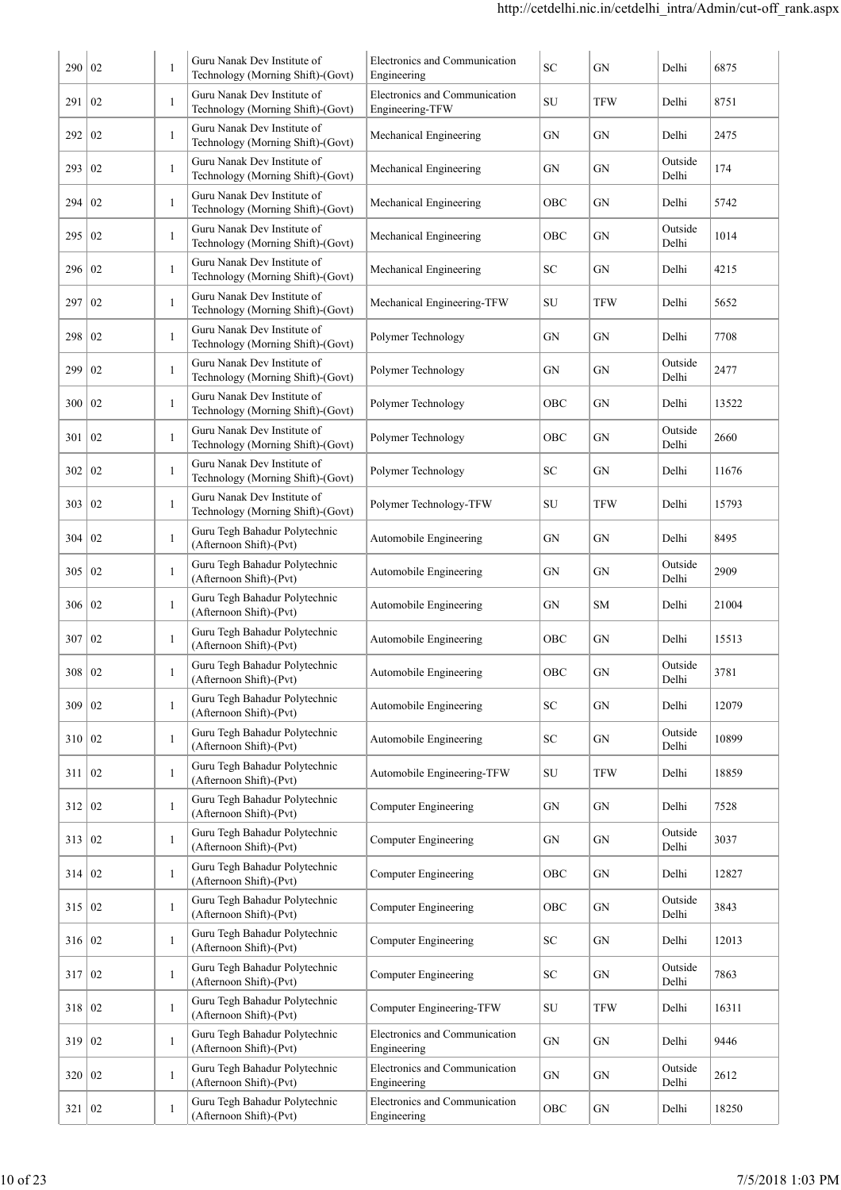| 02<br>291<br>292<br>02 | $\mathbf{1}$                                                                                                                                                                                                                                     | Technology (Morning Shift)-(Govt)<br>Guru Nanak Dev Institute of | Engineering                                                                                                                                                                                                                                                                                       |                                           |            |                  |       |
|------------------------|--------------------------------------------------------------------------------------------------------------------------------------------------------------------------------------------------------------------------------------------------|------------------------------------------------------------------|---------------------------------------------------------------------------------------------------------------------------------------------------------------------------------------------------------------------------------------------------------------------------------------------------|-------------------------------------------|------------|------------------|-------|
|                        |                                                                                                                                                                                                                                                  |                                                                  | Electronics and Communication                                                                                                                                                                                                                                                                     | SU                                        | TFW        | Delhi            | 8751  |
|                        |                                                                                                                                                                                                                                                  | Technology (Morning Shift)-(Govt)<br>Guru Nanak Dev Institute of | Engineering-TFW                                                                                                                                                                                                                                                                                   |                                           |            |                  |       |
|                        | $\mathbf{1}$                                                                                                                                                                                                                                     | Technology (Morning Shift)-(Govt)<br>Guru Nanak Dev Institute of | Mechanical Engineering                                                                                                                                                                                                                                                                            | GN                                        | GN         | Delhi<br>Outside | 2475  |
| 293   02               | $\mathbf{1}$                                                                                                                                                                                                                                     | Technology (Morning Shift)-(Govt)<br>Guru Nanak Dev Institute of | Mechanical Engineering                                                                                                                                                                                                                                                                            | GN                                        | GN         | Delhi            | 174   |
| 294 02                 | $\mathbf{1}$                                                                                                                                                                                                                                     | Technology (Morning Shift)-(Govt)                                | Mechanical Engineering                                                                                                                                                                                                                                                                            | OBC                                       | GN         | Delhi            | 5742  |
|                        | $\mathbf{1}$                                                                                                                                                                                                                                     | Guru Nanak Dev Institute of<br>Technology (Morning Shift)-(Govt) | Mechanical Engineering                                                                                                                                                                                                                                                                            | OBC                                       | GN         | Outside<br>Delhi | 1014  |
|                        | $\mathbf{1}$                                                                                                                                                                                                                                     | Guru Nanak Dev Institute of<br>Technology (Morning Shift)-(Govt) | Mechanical Engineering                                                                                                                                                                                                                                                                            | SС                                        | GN         | Delhi            | 4215  |
| 02                     | $\mathbf{1}$                                                                                                                                                                                                                                     | Guru Nanak Dev Institute of<br>Technology (Morning Shift)-(Govt) | Mechanical Engineering-TFW                                                                                                                                                                                                                                                                        | SU                                        | TFW        | Delhi            | 5652  |
|                        | 1                                                                                                                                                                                                                                                | Guru Nanak Dev Institute of<br>Technology (Morning Shift)-(Govt) | Polymer Technology                                                                                                                                                                                                                                                                                | GN                                        | GN         | Delhi            | 7708  |
| 02                     | $\mathbf{1}$                                                                                                                                                                                                                                     | Guru Nanak Dev Institute of                                      | Polymer Technology                                                                                                                                                                                                                                                                                | GN                                        | GN         | Outside<br>Delhi | 2477  |
| 02                     | $\mathbf{1}$                                                                                                                                                                                                                                     | Guru Nanak Dev Institute of                                      | Polymer Technology                                                                                                                                                                                                                                                                                | OBC                                       | GN         | Delhi            | 13522 |
|                        | $\mathbf{1}$                                                                                                                                                                                                                                     | Guru Nanak Dev Institute of                                      | Polymer Technology                                                                                                                                                                                                                                                                                | OBC                                       | GN         | Outside<br>Delhi | 2660  |
| 02                     | $\mathbf{1}$                                                                                                                                                                                                                                     | Guru Nanak Dev Institute of                                      | Polymer Technology                                                                                                                                                                                                                                                                                | SC                                        | GN         | Delhi            | 11676 |
| 02                     | $\mathbf{1}$                                                                                                                                                                                                                                     | Guru Nanak Dev Institute of                                      | Polymer Technology-TFW                                                                                                                                                                                                                                                                            | SU                                        | <b>TFW</b> | Delhi            | 15793 |
| 02                     | $\mathbf{1}$                                                                                                                                                                                                                                     | Guru Tegh Bahadur Polytechnic<br>(Afternoon Shift)-(Pvt)         | Automobile Engineering                                                                                                                                                                                                                                                                            | GN                                        | GN         | Delhi            | 8495  |
| 02                     | $\mathbf{1}$                                                                                                                                                                                                                                     | Guru Tegh Bahadur Polytechnic<br>(Afternoon Shift)-(Pvt)         | Automobile Engineering                                                                                                                                                                                                                                                                            | GN                                        | GN         | Outside<br>Delhi | 2909  |
| 02                     | $\mathbf{1}$                                                                                                                                                                                                                                     | Guru Tegh Bahadur Polytechnic<br>(Afternoon Shift)-(Pvt)         | Automobile Engineering                                                                                                                                                                                                                                                                            | GN                                        | SM         | Delhi            | 21004 |
| 02                     | 1                                                                                                                                                                                                                                                | Guru Tegh Bahadur Polytechnic<br>(Afternoon Shift)-(Pvt)         | Automobile Engineering                                                                                                                                                                                                                                                                            | OBC                                       | GN         | Delhi            | 15513 |
|                        | 1                                                                                                                                                                                                                                                | Guru Tegh Bahadur Polytechnic<br>(Afternoon Shift)-(Pvt)         | Automobile Engineering                                                                                                                                                                                                                                                                            | OBC                                       | GN         | Outside<br>Delhi | 3781  |
|                        | $\mathbf{1}$                                                                                                                                                                                                                                     | Guru Tegh Bahadur Polytechnic<br>(Afternoon Shift)-(Pvt)         | Automobile Engineering                                                                                                                                                                                                                                                                            | ${\rm SC}$                                | GN         | Delhi            | 12079 |
|                        | $\mathbf{1}$                                                                                                                                                                                                                                     | Guru Tegh Bahadur Polytechnic<br>(Afternoon Shift)-(Pvt)         | Automobile Engineering                                                                                                                                                                                                                                                                            | ${\rm SC}$                                | GN         | Outside<br>Delhi | 10899 |
|                        | $\mathbf{1}$                                                                                                                                                                                                                                     | Guru Tegh Bahadur Polytechnic<br>(Afternoon Shift)-(Pvt)         | Automobile Engineering-TFW                                                                                                                                                                                                                                                                        | ${\rm SU}$                                | <b>TFW</b> | Delhi            | 18859 |
|                        | $\mathbf{1}$                                                                                                                                                                                                                                     | Guru Tegh Bahadur Polytechnic<br>(Afternoon Shift)-(Pvt)         | Computer Engineering                                                                                                                                                                                                                                                                              | ${\rm GN}$                                | GN         | Delhi            | 7528  |
|                        | $\mathbf{1}$                                                                                                                                                                                                                                     | Guru Tegh Bahadur Polytechnic<br>(Afternoon Shift)-(Pvt)         | <b>Computer Engineering</b>                                                                                                                                                                                                                                                                       | ${\rm GN}$                                | GN         | Outside<br>Delhi | 3037  |
|                        | $\mathbf{1}$                                                                                                                                                                                                                                     | Guru Tegh Bahadur Polytechnic<br>(Afternoon Shift)-(Pvt)         | <b>Computer Engineering</b>                                                                                                                                                                                                                                                                       | OBC                                       | GN         | Delhi            | 12827 |
|                        | $\mathbf{1}$                                                                                                                                                                                                                                     | Guru Tegh Bahadur Polytechnic<br>(Afternoon Shift)-(Pvt)         | <b>Computer Engineering</b>                                                                                                                                                                                                                                                                       | OBC                                       | GN         | Outside<br>Delhi | 3843  |
|                        | $\mathbf{1}$                                                                                                                                                                                                                                     | Guru Tegh Bahadur Polytechnic<br>(Afternoon Shift)-(Pvt)         | <b>Computer Engineering</b>                                                                                                                                                                                                                                                                       | SC                                        | GN         | Delhi            | 12013 |
|                        | $\mathbf{1}$                                                                                                                                                                                                                                     | Guru Tegh Bahadur Polytechnic<br>(Afternoon Shift)-(Pvt)         | <b>Computer Engineering</b>                                                                                                                                                                                                                                                                       | SC                                        | GN         | Outside<br>Delhi | 7863  |
|                        | $\mathbf{1}$                                                                                                                                                                                                                                     | Guru Tegh Bahadur Polytechnic                                    | Computer Engineering-TFW                                                                                                                                                                                                                                                                          | SU                                        | <b>TFW</b> | Delhi            | 16311 |
|                        | $\mathbf{1}$                                                                                                                                                                                                                                     | Guru Tegh Bahadur Polytechnic                                    | Electronics and Communication                                                                                                                                                                                                                                                                     | ${\rm GN}$                                | GN         | Delhi            | 9446  |
|                        | $\mathbf{1}$                                                                                                                                                                                                                                     | Guru Tegh Bahadur Polytechnic                                    | Electronics and Communication                                                                                                                                                                                                                                                                     | ${\rm GN}$                                | GN         | Outside          | 2612  |
|                        | $\mathbf{1}$                                                                                                                                                                                                                                     | Guru Tegh Bahadur Polytechnic                                    | Electronics and Communication                                                                                                                                                                                                                                                                     | OBC                                       | GN         | Delhi            | 18250 |
| 297<br>307             | 295 02<br>296 02<br>298 02<br>299<br>300<br>301   02<br>302<br>303<br>304<br>305<br>306<br>308   02<br>$309 \mid 02$<br>310 02<br>311 02<br>312 02<br>313   02<br>314 02<br>315 02<br>316 02<br>317 02<br>318 02<br>319 02<br>320 02<br>321   02 |                                                                  | Technology (Morning Shift)-(Govt)<br>Technology (Morning Shift)-(Govt)<br>Technology (Morning Shift)-(Govt)<br>Technology (Morning Shift)-(Govt)<br>Technology (Morning Shift)-(Govt)<br>(Afternoon Shift)-(Pvt)<br>(Afternoon Shift)-(Pvt)<br>(Afternoon Shift)-(Pvt)<br>(Afternoon Shift)-(Pvt) | Engineering<br>Engineering<br>Engineering |            |                  | Delhi |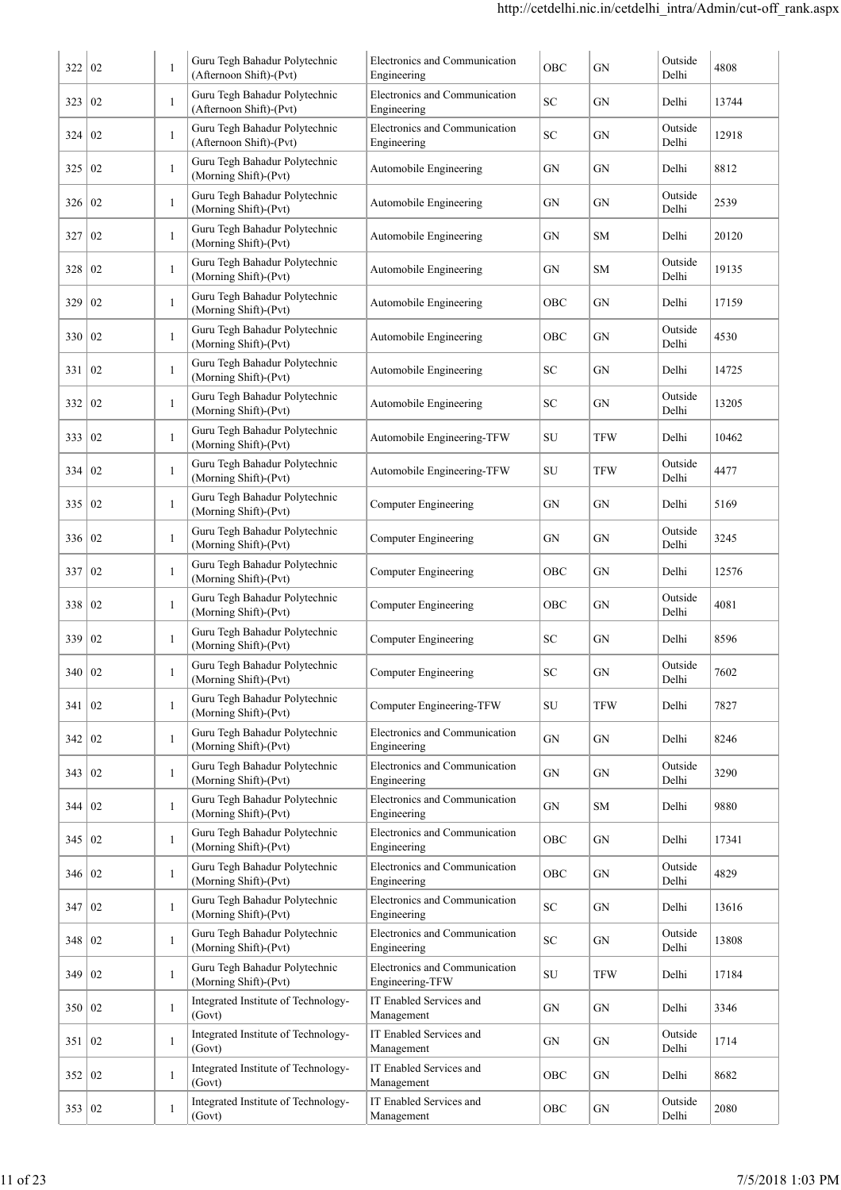| 322      | 02 | 1            | Guru Tegh Bahadur Polytechnic<br>(Afternoon Shift)-(Pvt) | Electronics and Communication<br>Engineering     | OBC        | GN         | Outside<br>Delhi | 4808  |
|----------|----|--------------|----------------------------------------------------------|--------------------------------------------------|------------|------------|------------------|-------|
| 323      | 02 | $\mathbf{1}$ | Guru Tegh Bahadur Polytechnic<br>(Afternoon Shift)-(Pvt) | Electronics and Communication<br>Engineering     | SC         | GN         | Delhi            | 13744 |
| 324      | 02 | 1            | Guru Tegh Bahadur Polytechnic<br>(Afternoon Shift)-(Pvt) | Electronics and Communication<br>Engineering     | SC         | GN         | Outside<br>Delhi | 12918 |
| 325      | 02 | $\,1\,$      | Guru Tegh Bahadur Polytechnic<br>(Morning Shift)-(Pvt)   | Automobile Engineering                           | GN         | GN         | Delhi            | 8812  |
| 326      | 02 | 1            | Guru Tegh Bahadur Polytechnic<br>(Morning Shift)-(Pvt)   | Automobile Engineering                           | GN         | GN         | Outside<br>Delhi | 2539  |
| 327      | 02 | $\mathbf{1}$ | Guru Tegh Bahadur Polytechnic<br>(Morning Shift)-(Pvt)   | Automobile Engineering                           | GN         | <b>SM</b>  | Delhi            | 20120 |
| 328      | 02 | 1            | Guru Tegh Bahadur Polytechnic<br>(Morning Shift)-(Pvt)   | Automobile Engineering                           | GN         | SM         | Outside<br>Delhi | 19135 |
| 329      | 02 | $\mathbf{1}$ | Guru Tegh Bahadur Polytechnic<br>(Morning Shift)-(Pvt)   | Automobile Engineering                           | OBC        | GN         | Delhi            | 17159 |
| 330      | 02 | 1            | Guru Tegh Bahadur Polytechnic<br>(Morning Shift)-(Pvt)   | Automobile Engineering                           | OBC        | GN         | Outside<br>Delhi | 4530  |
| 331      | 02 | $\mathbf{1}$ | Guru Tegh Bahadur Polytechnic<br>(Morning Shift)-(Pvt)   | Automobile Engineering                           | SC         | GN         | Delhi            | 14725 |
| 332      | 02 | $\mathbf{1}$ | Guru Tegh Bahadur Polytechnic<br>(Morning Shift)-(Pvt)   | Automobile Engineering                           | SC         | GN         | Outside<br>Delhi | 13205 |
| 333      | 02 | $\mathbf{1}$ | Guru Tegh Bahadur Polytechnic<br>(Morning Shift)-(Pvt)   | Automobile Engineering-TFW                       | SU         | <b>TFW</b> | Delhi            | 10462 |
| 334      | 02 | 1            | Guru Tegh Bahadur Polytechnic<br>(Morning Shift)-(Pvt)   | Automobile Engineering-TFW                       | SU         | <b>TFW</b> | Outside<br>Delhi | 4477  |
| 335      | 02 | -1           | Guru Tegh Bahadur Polytechnic<br>(Morning Shift)-(Pvt)   | Computer Engineering                             | GN         | GN         | Delhi            | 5169  |
| 336      | 02 | -1           | Guru Tegh Bahadur Polytechnic<br>(Morning Shift)-(Pvt)   | Computer Engineering                             | GN         | GN         | Outside<br>Delhi | 3245  |
| 337      | 02 | 1            | Guru Tegh Bahadur Polytechnic<br>(Morning Shift)-(Pvt)   | <b>Computer Engineering</b>                      | OBC        | GN         | Delhi            | 12576 |
| 338      | 02 | 1            | Guru Tegh Bahadur Polytechnic<br>(Morning Shift)-(Pvt)   | <b>Computer Engineering</b>                      | OBC        | GN         | Outside<br>Delhi | 4081  |
| 339      | 02 | 1            | Guru Tegh Bahadur Polytechnic<br>(Morning Shift)-(Pvt)   | <b>Computer Engineering</b>                      | SC         | GN         | Delhi            | 8596  |
| 340      | 02 |              | Guru Tegh Bahadur Polytechnic<br>(Morning Shift)-(Pvt)   | Computer Engineering                             | SC         | ${\rm GN}$ | Outside<br>Delhi | 7602  |
| 341      | 02 | 1            | Guru Tegh Bahadur Polytechnic<br>(Morning Shift)-(Pvt)   | Computer Engineering-TFW                         | SU         | <b>TFW</b> | Delhi            | 7827  |
| 342      | 02 | 1            | Guru Tegh Bahadur Polytechnic<br>(Morning Shift)-(Pvt)   | Electronics and Communication<br>Engineering     | GN         | GN         | Delhi            | 8246  |
| 343      | 02 | $\mathbf{1}$ | Guru Tegh Bahadur Polytechnic<br>(Morning Shift)-(Pvt)   | Electronics and Communication<br>Engineering     | GN         | ${\rm GN}$ | Outside<br>Delhi | 3290  |
| 344      | 02 | $\mathbf{1}$ | Guru Tegh Bahadur Polytechnic<br>(Morning Shift)-(Pvt)   | Electronics and Communication<br>Engineering     | GN         | SM         | Delhi            | 9880  |
| 345      | 02 | $\mathbf{1}$ | Guru Tegh Bahadur Polytechnic<br>(Morning Shift)-(Pvt)   | Electronics and Communication<br>Engineering     | OBC        | GN         | Delhi            | 17341 |
| 346      | 02 | $\mathbf{1}$ | Guru Tegh Bahadur Polytechnic<br>(Morning Shift)-(Pvt)   | Electronics and Communication<br>Engineering     | OBC        | GN         | Outside<br>Delhi | 4829  |
| 347      | 02 | $\mathbf{1}$ | Guru Tegh Bahadur Polytechnic<br>(Morning Shift)-(Pvt)   | Electronics and Communication<br>Engineering     | ${\rm SC}$ | GN         | Delhi            | 13616 |
| 348      | 02 | $\mathbf{1}$ | Guru Tegh Bahadur Polytechnic<br>(Morning Shift)-(Pvt)   | Electronics and Communication<br>Engineering     | ${\rm SC}$ | GN         | Outside<br>Delhi | 13808 |
| 349      | 02 | $\,1\,$      | Guru Tegh Bahadur Polytechnic<br>(Morning Shift)-(Pvt)   | Electronics and Communication<br>Engineering-TFW | SU         | <b>TFW</b> | Delhi            | 17184 |
| 350      | 02 | $\mathbf{1}$ | Integrated Institute of Technology-<br>(Govt)            | IT Enabled Services and<br>Management            | GN         | GN         | Delhi            | 3346  |
| 351      | 02 | $\mathbf{1}$ | Integrated Institute of Technology-<br>(Govt)            | IT Enabled Services and<br>Management            | GN         | GN         | Outside<br>Delhi | 1714  |
| 352      | 02 | $\mathbf{1}$ | Integrated Institute of Technology-<br>(Govt)            | IT Enabled Services and<br>Management            | OBC        | GN         | Delhi            | 8682  |
| 353   02 |    | $\mathbf{1}$ | Integrated Institute of Technology-<br>(Govt)            | IT Enabled Services and<br>Management            | OBC        | GN         | Outside<br>Delhi | 2080  |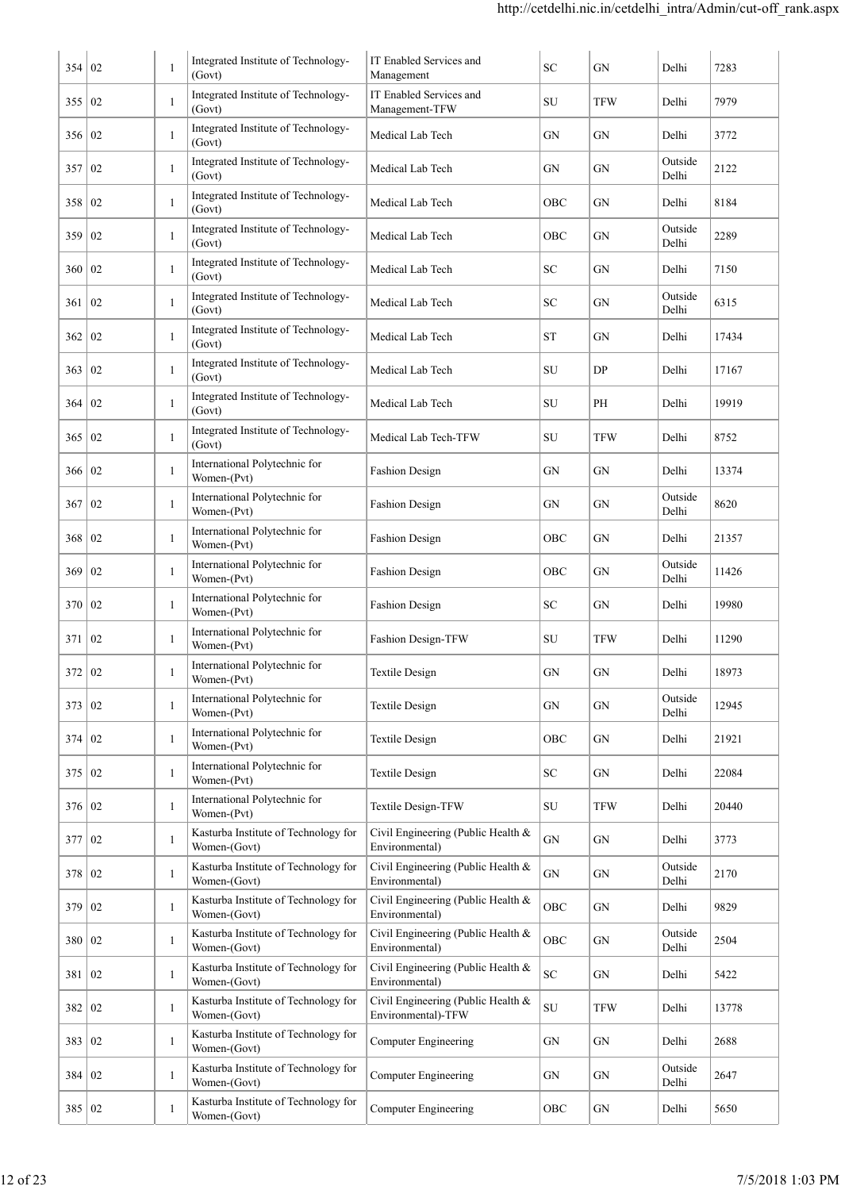| 354 02   |                  | $\mathbf{1}$ | Integrated Institute of Technology-<br>(Govt)        | IT Enabled Services and<br>Management                    | SC         | <b>GN</b>  | Delhi            | 7283  |
|----------|------------------|--------------|------------------------------------------------------|----------------------------------------------------------|------------|------------|------------------|-------|
| 355 02   |                  | $\mathbf{1}$ | Integrated Institute of Technology-<br>(Govt)        | IT Enabled Services and<br>Management-TFW                | SU         | <b>TFW</b> | Delhi            | 7979  |
| 356   02 |                  | $\mathbf{1}$ | Integrated Institute of Technology-<br>(Govt)        | Medical Lab Tech                                         | GN         | GN         | Delhi            | 3772  |
| 357 I    | 02               | $\mathbf{1}$ | Integrated Institute of Technology-<br>(Govt)        | Medical Lab Tech                                         | GN         | GN         | Outside<br>Delhi | 2122  |
| 358      | 02               | $\mathbf{1}$ | Integrated Institute of Technology-<br>(Govt)        | Medical Lab Tech                                         | OBC        | GN         | Delhi            | 8184  |
| 359      | 02               | $\mathbf{1}$ | Integrated Institute of Technology-<br>(Govt)        | Medical Lab Tech                                         | OBC        | GN         | Outside<br>Delhi | 2289  |
| 360      | 02               | $\mathbf{1}$ | Integrated Institute of Technology-<br>(Govt)        | Medical Lab Tech                                         | <b>SC</b>  | <b>GN</b>  | Delhi            | 7150  |
| 361      | 02               | $\mathbf{1}$ | Integrated Institute of Technology-<br>(Govt)        | Medical Lab Tech                                         | SC         | GN         | Outside<br>Delhi | 6315  |
| 362      | 02               | $\mathbf{1}$ | Integrated Institute of Technology-<br>(Govt)        | Medical Lab Tech                                         | <b>ST</b>  | GN         | Delhi            | 17434 |
| 363      | 02               | $\mathbf{1}$ | Integrated Institute of Technology-<br>(Govt)        | Medical Lab Tech                                         | SU         | DP         | Delhi            | 17167 |
| 364      | 02               | $\mathbf{1}$ | Integrated Institute of Technology-<br>(Govt)        | Medical Lab Tech                                         | SU         | PH         | Delhi            | 19919 |
| 365      | 02               | $\mathbf{1}$ | Integrated Institute of Technology-<br>(Govt)        | Medical Lab Tech-TFW                                     | SU         | <b>TFW</b> | Delhi            | 8752  |
| 366      | 02               | $\mathbf{1}$ | International Polytechnic for<br>Women-(Pvt)         | <b>Fashion Design</b>                                    | GN         | GN         | Delhi            | 13374 |
| 367      | 02               | $\mathbf{1}$ | International Polytechnic for<br>Women-(Pvt)         | <b>Fashion Design</b>                                    | GN         | GN         | Outside<br>Delhi | 8620  |
| 368      | 02               | 1            | International Polytechnic for<br>Women-(Pvt)         | Fashion Design                                           | OBC        | GN         | Delhi            | 21357 |
| 369      | 02               | 1            | International Polytechnic for<br>Women-(Pvt)         | <b>Fashion Design</b>                                    | OBC        | GN         | Outside<br>Delhi | 11426 |
| 370      | 02               | $\mathbf{1}$ | International Polytechnic for<br>Women-(Pvt)         | <b>Fashion Design</b>                                    | SС         | GN         | Delhi            | 19980 |
| 371      | 02               | 1            | International Polytechnic for<br>Women-(Pvt)         | Fashion Design-TFW                                       | SU         | <b>TFW</b> | Delhi            | 11290 |
| 372      | 02               |              | International Polytechnic for<br>Women-(Pvt)         | Textile Design                                           | ${\rm GN}$ | ${\rm GN}$ | Delhi            | 18973 |
| 373   02 |                  | $\mathbf{1}$ | International Polytechnic for<br>Women-(Pvt)         | <b>Textile Design</b>                                    | GN         | GN         | Outside<br>Delhi | 12945 |
| 374      | 02               | $\mathbf{1}$ | International Polytechnic for<br>Women-(Pvt)         | Textile Design                                           | OBC        | ${\rm GN}$ | Delhi            | 21921 |
| 375      | 02               | $\mathbf{1}$ | International Polytechnic for<br>Women-(Pvt)         | <b>Textile Design</b>                                    | ${\rm SC}$ | ${\rm GN}$ | Delhi            | 22084 |
| 376      | 02               | $\mathbf{1}$ | International Polytechnic for<br>Women-(Pvt)         | Textile Design-TFW                                       | SU         | <b>TFW</b> | Delhi            | 20440 |
| 377      | 02               | $\mathbf{1}$ | Kasturba Institute of Technology for<br>Women-(Govt) | Civil Engineering (Public Health &<br>Environmental)     | ${\rm GN}$ | GN         | Delhi            | 3773  |
| 378      | 02               | $\mathbf{1}$ | Kasturba Institute of Technology for<br>Women-(Govt) | Civil Engineering (Public Health &<br>Environmental)     | ${\rm GN}$ | GN         | Outside<br>Delhi | 2170  |
| 379      | 02               | $\mathbf{1}$ | Kasturba Institute of Technology for<br>Women-(Govt) | Civil Engineering (Public Health &<br>Environmental)     | OBC        | GN         | Delhi            | 9829  |
| 380 02   |                  | $\mathbf{1}$ | Kasturba Institute of Technology for<br>Women-(Govt) | Civil Engineering (Public Health &<br>Environmental)     | OBC        | ${\rm GN}$ | Outside<br>Delhi | 2504  |
| 381      | $\vert 02 \vert$ | $\mathbf{1}$ | Kasturba Institute of Technology for<br>Women-(Govt) | Civil Engineering (Public Health &<br>Environmental)     | ${\rm SC}$ | GN         | Delhi            | 5422  |
| 382   02 |                  | $\mathbf{1}$ | Kasturba Institute of Technology for<br>Women-(Govt) | Civil Engineering (Public Health &<br>Environmental)-TFW | SU         | <b>TFW</b> | Delhi            | 13778 |
| 383      | 02               | $\mathbf{1}$ | Kasturba Institute of Technology for<br>Women-(Govt) | <b>Computer Engineering</b>                              | ${\rm GN}$ | GN         | Delhi            | 2688  |
| 384 02   |                  | $\mathbf{1}$ | Kasturba Institute of Technology for<br>Women-(Govt) | <b>Computer Engineering</b>                              | GN         | GN         | Outside<br>Delhi | 2647  |
| 385 02   |                  | $\mathbf{1}$ | Kasturba Institute of Technology for<br>Women-(Govt) | <b>Computer Engineering</b>                              | OBC        | ${\rm GN}$ | Delhi            | 5650  |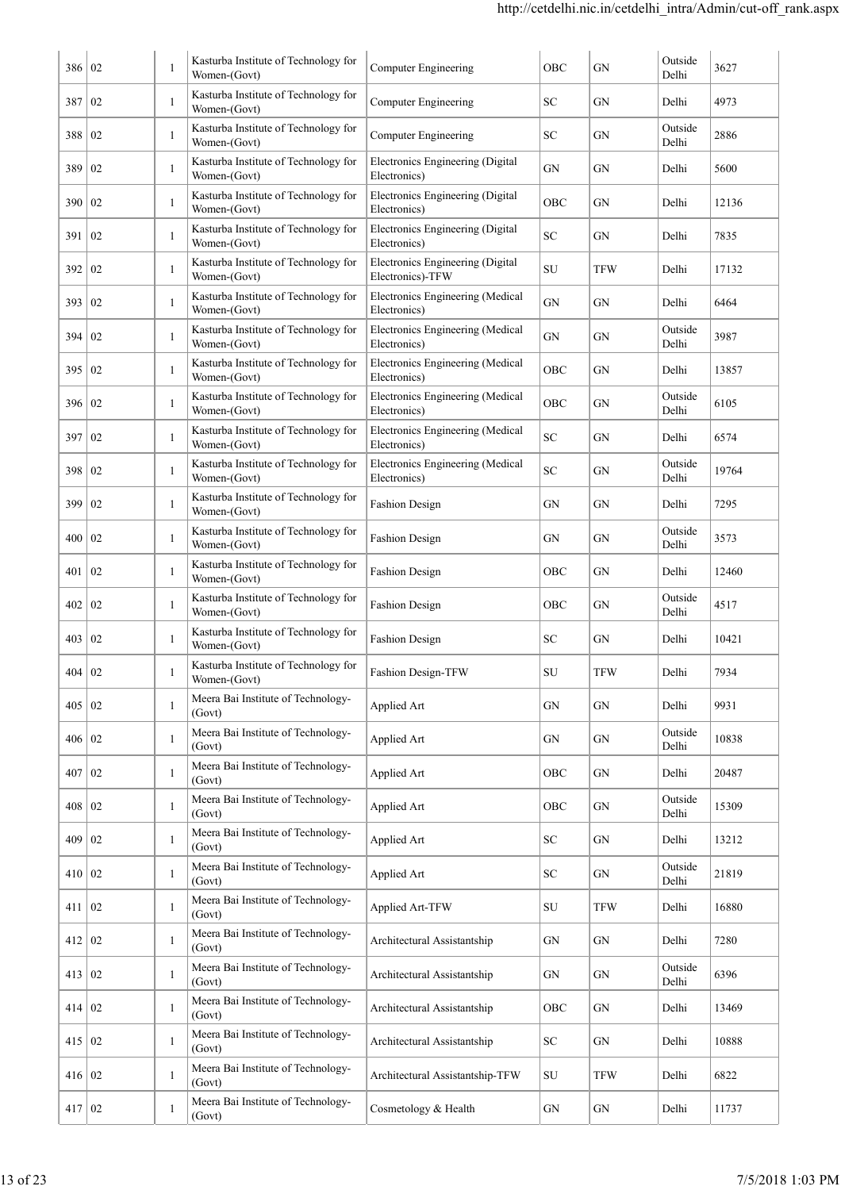| 386      | $\overline{0}$  | 1            | Kasturba Institute of Technology for<br>Women-(Govt) | <b>Computer Engineering</b>                          | OBC        | GN         | Outside<br>Delhi | 3627  |
|----------|-----------------|--------------|------------------------------------------------------|------------------------------------------------------|------------|------------|------------------|-------|
| 387      | 02              | 1            | Kasturba Institute of Technology for<br>Women-(Govt) | Computer Engineering                                 | SС         | GN         | Delhi            | 4973  |
| 388      | 02              | 1            | Kasturba Institute of Technology for<br>Women-(Govt) | Computer Engineering                                 | SС         | GN         | Outside<br>Delhi | 2886  |
| 389      | 02              | 1            | Kasturba Institute of Technology for<br>Women-(Govt) | Electronics Engineering (Digital<br>Electronics)     | GN         | GN         | Delhi            | 5600  |
| 390      | $\overline{02}$ | 1            | Kasturba Institute of Technology for<br>Women-(Govt) | Electronics Engineering (Digital<br>Electronics)     | OBC        | GN         | Delhi            | 12136 |
| 391      | 02              | 1            | Kasturba Institute of Technology for<br>Women-(Govt) | Electronics Engineering (Digital<br>Electronics)     | <b>SC</b>  | GN         | Delhi            | 7835  |
| 392      | 02              | 1            | Kasturba Institute of Technology for<br>Women-(Govt) | Electronics Engineering (Digital<br>Electronics)-TFW | SU         | <b>TFW</b> | Delhi            | 17132 |
| 393      | 02              | 1            | Kasturba Institute of Technology for<br>Women-(Govt) | Electronics Engineering (Medical<br>Electronics)     | <b>GN</b>  | GN         | Delhi            | 6464  |
| 394      | $\overline{02}$ | 1            | Kasturba Institute of Technology for<br>Women-(Govt) | Electronics Engineering (Medical<br>Electronics)     | GN         | GN         | Outside<br>Delhi | 3987  |
| 395      | 02              | 1            | Kasturba Institute of Technology for<br>Women-(Govt) | Electronics Engineering (Medical<br>Electronics)     | OBC        | GN         | Delhi            | 13857 |
| 396      | 02              | 1            | Kasturba Institute of Technology for<br>Women-(Govt) | Electronics Engineering (Medical<br>Electronics)     | OBC        | GN         | Outside<br>Delhi | 6105  |
| 397      | 02              | 1            | Kasturba Institute of Technology for<br>Women-(Govt) | Electronics Engineering (Medical<br>Electronics)     | <b>SC</b>  | GN         | Delhi            | 6574  |
| 398      | 02              | $\mathbf{1}$ | Kasturba Institute of Technology for<br>Women-(Govt) | Electronics Engineering (Medical<br>Electronics)     | <b>SC</b>  | GN         | Outside<br>Delhi | 19764 |
| 399      | 02              | 1            | Kasturba Institute of Technology for<br>Women-(Govt) | <b>Fashion Design</b>                                | <b>GN</b>  | GN         | Delhi            | 7295  |
| 400      | 02              | 1            | Kasturba Institute of Technology for<br>Women-(Govt) | <b>Fashion Design</b>                                | GN         | GN         | Outside<br>Delhi | 3573  |
| 401      | 02              | 1            | Kasturba Institute of Technology for<br>Women-(Govt) | <b>Fashion Design</b>                                | OBC        | GN         | Delhi            | 12460 |
| 402      | 02              | 1            | Kasturba Institute of Technology for<br>Women-(Govt) | <b>Fashion Design</b>                                | OBC        | GN         | Outside<br>Delhi | 4517  |
| 403      | 02              | 1            | Kasturba Institute of Technology for<br>Women-(Govt) | <b>Fashion Design</b>                                | SC         | GN         | Delhi            | 10421 |
| 404      | 02              |              | Kasturba Institute of Technology for<br>Women-(Govt) | Fashion Design-TFW                                   | ${\rm SU}$ | <b>TFW</b> | Delhi            | 7934  |
| 405      | $\overline{02}$ | 1            | Meera Bai Institute of Technology-<br>(Govt)         | Applied Art                                          | GN         | GN         | Delhi            | 9931  |
| 406      | 02              | 1            | Meera Bai Institute of Technology-<br>(Govt)         | Applied Art                                          | ${\rm GN}$ | GN         | Outside<br>Delhi | 10838 |
| 407      | 02              | 1            | Meera Bai Institute of Technology-<br>(Govt)         | Applied Art                                          | OBC        | GN         | Delhi            | 20487 |
| 408      | 02              | 1            | Meera Bai Institute of Technology-<br>(Govt)         | Applied Art                                          | OBC        | GN         | Outside<br>Delhi | 15309 |
| 409      | 02              | 1            | Meera Bai Institute of Technology-<br>(Govt)         | Applied Art                                          | SC         | ${\rm GN}$ | Delhi            | 13212 |
| 410 02   |                 | 1            | Meera Bai Institute of Technology-<br>(Govt)         | Applied Art                                          | SC         | GN         | Outside<br>Delhi | 21819 |
| 411 02   |                 | 1            | Meera Bai Institute of Technology-<br>(Govt)         | <b>Applied Art-TFW</b>                               | SU         | TFW        | Delhi            | 16880 |
| 412 02   |                 | 1            | Meera Bai Institute of Technology-<br>(Govt)         | Architectural Assistantship                          | GN         | GN         | Delhi            | 7280  |
| 413   02 |                 | 1            | Meera Bai Institute of Technology-<br>(Govt)         | Architectural Assistantship                          | GN         | GN         | Outside<br>Delhi | 6396  |
| 414 02   |                 | 1            | Meera Bai Institute of Technology-<br>(Govt)         | Architectural Assistantship                          | OBC        | GN         | Delhi            | 13469 |
| 415 02   |                 | 1            | Meera Bai Institute of Technology-<br>(Govt)         | Architectural Assistantship                          | ${\rm SC}$ | ${\rm GN}$ | Delhi            | 10888 |
| 416 02   |                 | 1            | Meera Bai Institute of Technology-<br>(Govt)         | Architectural Assistantship-TFW                      | SU         | TFW        | Delhi            | 6822  |
| 417 02   |                 | 1            | Meera Bai Institute of Technology-<br>(Govt)         | Cosmetology & Health                                 | GN         | GN         | Delhi            | 11737 |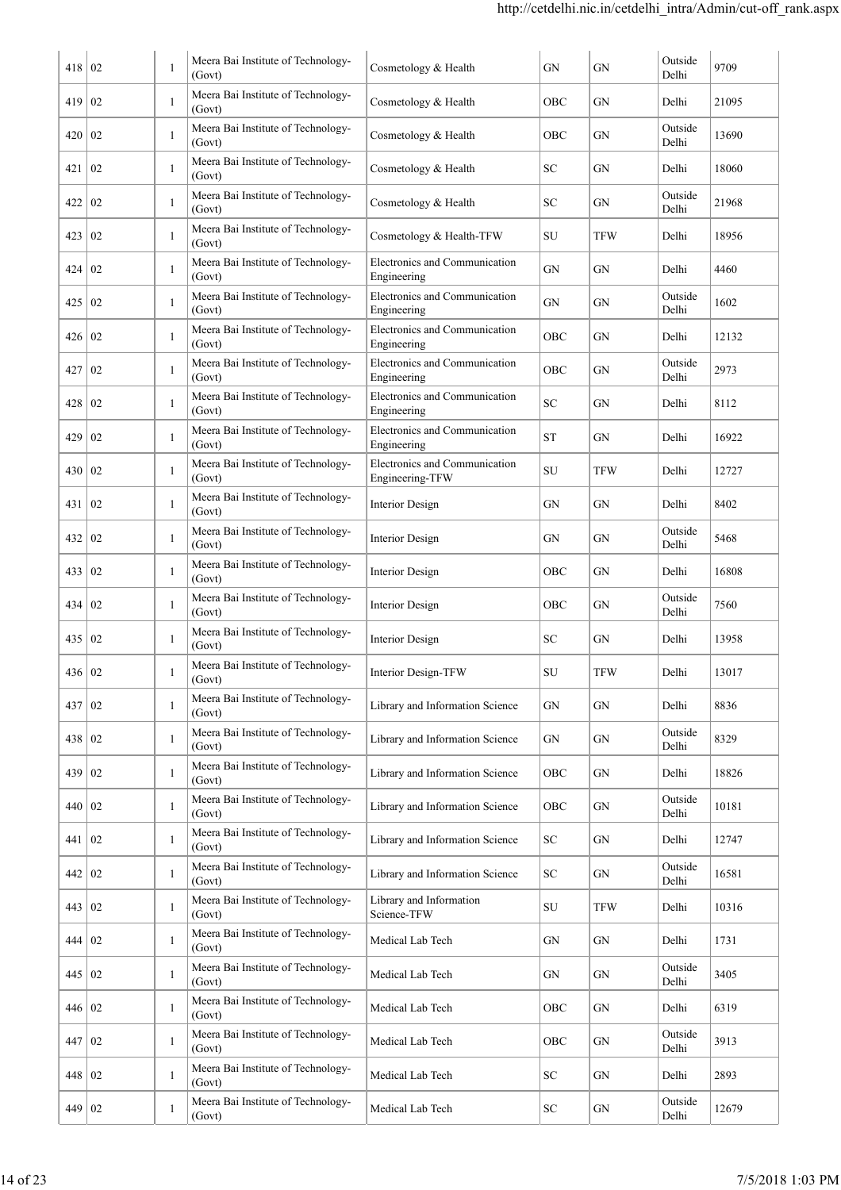| 418        | 02               | 1            | Meera Bai Institute of Technology-<br>(Govt) | Cosmetology & Health                             | GN        | GN         | Outside<br>Delhi | 9709  |
|------------|------------------|--------------|----------------------------------------------|--------------------------------------------------|-----------|------------|------------------|-------|
| 419        | 02               | $\mathbf{1}$ | Meera Bai Institute of Technology-<br>(Govt) | Cosmetology & Health                             | OBC       | GN         | Delhi            | 21095 |
| 420        | $\vert 02 \vert$ | 1            | Meera Bai Institute of Technology-<br>(Govt) | Cosmetology & Health                             | OBC       | GN         | Outside<br>Delhi | 13690 |
| 421        | $\overline{02}$  | $\mathbf{1}$ | Meera Bai Institute of Technology-<br>(Govt) | Cosmetology & Health                             | SС        | GN         | Delhi            | 18060 |
| 422        | $\overline{02}$  | -1           | Meera Bai Institute of Technology-<br>(Govt) | Cosmetology & Health                             | SC        | GN         | Outside<br>Delhi | 21968 |
| 423        | 02               | -1           | Meera Bai Institute of Technology-<br>(Govt) | Cosmetology & Health-TFW                         | SU        | <b>TFW</b> | Delhi            | 18956 |
| 424        | $\overline{02}$  | $\mathbf{1}$ | Meera Bai Institute of Technology-<br>(Govt) | Electronics and Communication<br>Engineering     | GN        | GN         | Delhi            | 4460  |
| 425        | $\overline{02}$  | -1           | Meera Bai Institute of Technology-<br>(Govt) | Electronics and Communication<br>Engineering     | GN        | GN         | Outside<br>Delhi | 1602  |
| 426        | $\vert 02 \vert$ | 1            | Meera Bai Institute of Technology-<br>(Govt) | Electronics and Communication<br>Engineering     | OBC       | GN         | Delhi            | 12132 |
| 427        | 02               | $\mathbf{1}$ | Meera Bai Institute of Technology-<br>(Govt) | Electronics and Communication<br>Engineering     | OBC       | GN         | Outside<br>Delhi | 2973  |
| 428        | 02               | 1            | Meera Bai Institute of Technology-<br>(Govt) | Electronics and Communication<br>Engineering     | <b>SC</b> | GN         | Delhi            | 8112  |
| 429        | 02               | $\mathbf{1}$ | Meera Bai Institute of Technology-<br>(Govt) | Electronics and Communication<br>Engineering     | <b>ST</b> | GN         | Delhi            | 16922 |
| 430        | 02               | $\mathbf{1}$ | Meera Bai Institute of Technology-<br>(Govt) | Electronics and Communication<br>Engineering-TFW | SU        | <b>TFW</b> | Delhi            | 12727 |
| 431        | 02               | $\mathbf{1}$ | Meera Bai Institute of Technology-<br>(Govt) | Interior Design                                  | GN        | GN         | Delhi            | 8402  |
| 432        | $\overline{02}$  | 1            | Meera Bai Institute of Technology-<br>(Govt) | Interior Design                                  | GN        | GN         | Outside<br>Delhi | 5468  |
| 433        | $\overline{02}$  | 1            | Meera Bai Institute of Technology-<br>(Govt) | <b>Interior Design</b>                           | OBC       | GN         | Delhi            | 16808 |
| 434        | 02               | 1            | Meera Bai Institute of Technology-<br>(Govt) | <b>Interior Design</b>                           | OBC       | GN         | Outside<br>Delhi | 7560  |
| 435        | 02               | 1            | Meera Bai Institute of Technology-<br>(Govt) | <b>Interior Design</b>                           | SС        | <b>GN</b>  | Delhi            | 13958 |
| 436        | $\vert 02 \vert$ | 1            | Meera Bai Institute of Technology-<br>(Govt) | Interior Design-TFW                              | SU        | TFW        | Delhi            | 13017 |
| 437        | 02               | 1            | Meera Bai Institute of Technology-<br>(Govt) | Library and Information Science                  | GN        | GN         | Delhi            | 8836  |
| 438        | $\vert 02 \vert$ | $\mathbf{1}$ | Meera Bai Institute of Technology-<br>(Govt) | Library and Information Science                  | GN        | GN         | Outside<br>Delhi | 8329  |
| 439        | 02               | 1            | Meera Bai Institute of Technology-<br>(Govt) | Library and Information Science                  | OBC       | GN         | Delhi            | 18826 |
| 440        | 02               | 1            | Meera Bai Institute of Technology-<br>(Govt) | Library and Information Science                  | OBC       | GN         | Outside<br>Delhi | 10181 |
| 441        | 02               | $\mathbf{1}$ | Meera Bai Institute of Technology-<br>(Govt) | Library and Information Science                  | SC        | GN         | Delhi            | 12747 |
| 442        | 02               | $\mathbf{1}$ | Meera Bai Institute of Technology-<br>(Govt) | Library and Information Science                  | SC        | GN         | Outside<br>Delhi | 16581 |
| 443        | $\vert 02 \vert$ | $\mathbf{1}$ | Meera Bai Institute of Technology-<br>(Govt) | Library and Information<br>Science-TFW           | SU        | <b>TFW</b> | Delhi            | 10316 |
| 444   02   |                  | $\,1\,$      | Meera Bai Institute of Technology-<br>(Govt) | Medical Lab Tech                                 | GN        | GN         | Delhi            | 1731  |
| 445   02   |                  | $\mathbf{1}$ | Meera Bai Institute of Technology-<br>(Govt) | Medical Lab Tech                                 | GN        | GN         | Outside<br>Delhi | 3405  |
| 446   02   |                  | 1            | Meera Bai Institute of Technology-<br>(Govt) | Medical Lab Tech                                 | OBC       | GN         | Delhi            | 6319  |
| 447        | $\mid$ 02        | $\mathbf{1}$ | Meera Bai Institute of Technology-<br>(Govt) | Medical Lab Tech                                 | OBC       | GN         | Outside<br>Delhi | 3913  |
| 448   02   |                  | $\mathbf{1}$ | Meera Bai Institute of Technology-<br>(Govt) | Medical Lab Tech                                 | SC        | GN         | Delhi            | 2893  |
| 449   $02$ |                  | 1            | Meera Bai Institute of Technology-<br>(Govt) | Medical Lab Tech                                 | SC        | GN         | Outside<br>Delhi | 12679 |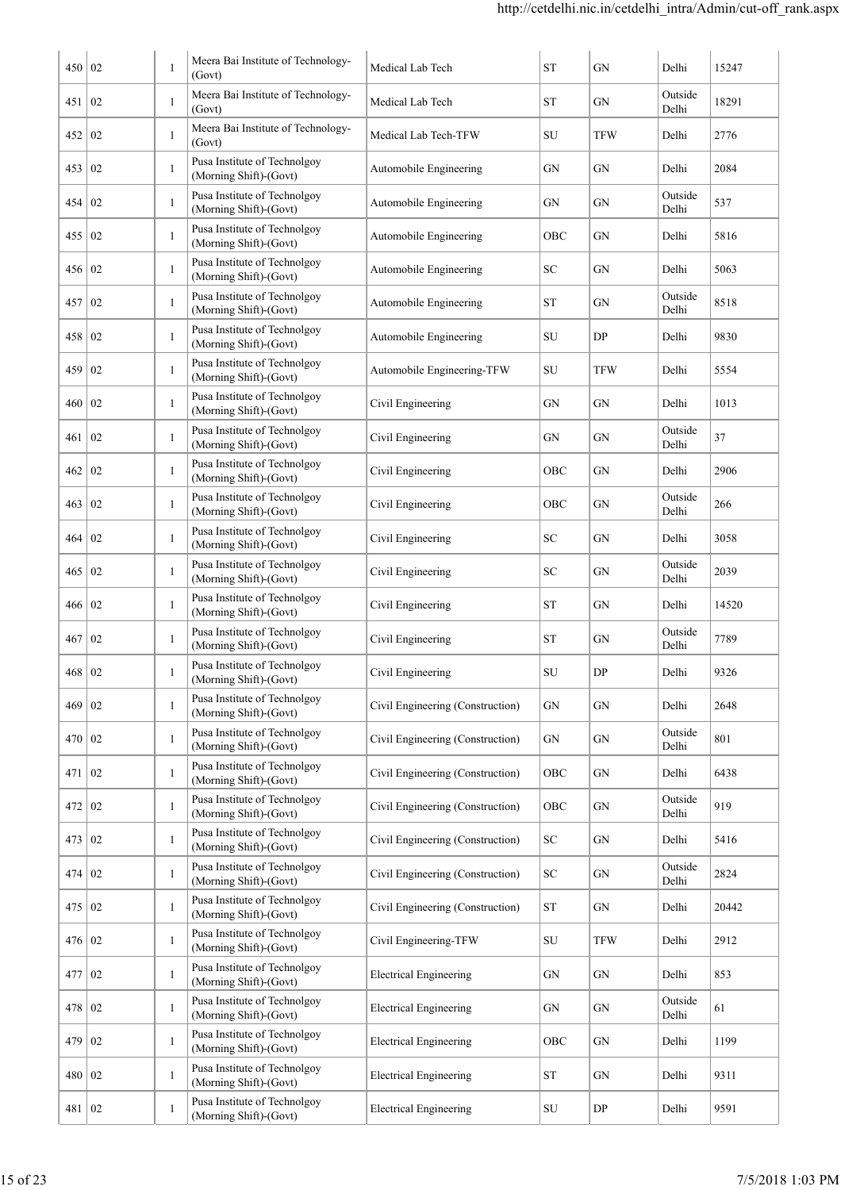| 450           | 02             | $\mathbf{1}$ | Meera Bai Institute of Technology-<br>(Govt)           | Medical Lab Tech                 | <b>ST</b>           | GN         | Delhi            | 15247 |
|---------------|----------------|--------------|--------------------------------------------------------|----------------------------------|---------------------|------------|------------------|-------|
| 451           | 02             | $\mathbf{1}$ | Meera Bai Institute of Technology-<br>(Govt)           | Medical Lab Tech                 | <b>ST</b>           | GN         | Outside<br>Delhi | 18291 |
| 452           | 02             | $\mathbf{1}$ | Meera Bai Institute of Technology-<br>(Govt)           | Medical Lab Tech-TFW             | SU                  | <b>TFW</b> | Delhi            | 2776  |
| 453           | $\overline{0}$ | 1            | Pusa Institute of Technolgoy<br>(Morning Shift)-(Govt) | Automobile Engineering           | GN                  | GN         | Delhi            | 2084  |
| 454           | 02             | 1            | Pusa Institute of Technolgoy<br>(Morning Shift)-(Govt) | Automobile Engineering           | GN                  | GN         | Outside<br>Delhi | 537   |
| 455   02      |                | 1            | Pusa Institute of Technolgoy<br>(Morning Shift)-(Govt) | Automobile Engineering           | OBC                 | GN         | Delhi            | 5816  |
| 456           | 02             | 1            | Pusa Institute of Technolgoy<br>(Morning Shift)-(Govt) | Automobile Engineering           | SC                  | GN         | Delhi            | 5063  |
| 457           | 02             | 1            | Pusa Institute of Technolgoy<br>(Morning Shift)-(Govt) | Automobile Engineering           | ST                  | GN         | Outside<br>Delhi | 8518  |
| 458           | 02             | 1            | Pusa Institute of Technolgoy<br>(Morning Shift)-(Govt) | Automobile Engineering           | SU                  | DP         | Delhi            | 9830  |
| 459           | 02             | 1            | Pusa Institute of Technolgoy<br>(Morning Shift)-(Govt) | Automobile Engineering-TFW       | SU                  | <b>TFW</b> | Delhi            | 5554  |
| 460           | 02             | 1            | Pusa Institute of Technolgoy<br>(Morning Shift)-(Govt) | Civil Engineering                | GN                  | GN         | Delhi            | 1013  |
| 461           | 02             | 1            | Pusa Institute of Technolgoy<br>(Morning Shift)-(Govt) | Civil Engineering                | GN                  | ${\rm GN}$ | Outside<br>Delhi | 37    |
| 462           | 02             | $\mathbf{1}$ | Pusa Institute of Technolgoy<br>(Morning Shift)-(Govt) | Civil Engineering                | OBC                 | GN         | Delhi            | 2906  |
| 463           | 02             | $\mathbf{1}$ | Pusa Institute of Technolgoy<br>(Morning Shift)-(Govt) | Civil Engineering                | OBC                 | GN         | Outside<br>Delhi | 266   |
| 464           | 02             | $\mathbf{1}$ | Pusa Institute of Technolgoy<br>(Morning Shift)-(Govt) | Civil Engineering                | SC                  | GN         | Delhi            | 3058  |
| 465           | $\overline{0}$ | $\mathbf{1}$ | Pusa Institute of Technolgoy<br>(Morning Shift)-(Govt) | Civil Engineering                | SC                  | GN         | Outside<br>Delhi | 2039  |
| 466   02      |                | $\mathbf{1}$ | Pusa Institute of Technolgoy<br>(Morning Shift)-(Govt) | Civil Engineering                | <b>ST</b>           | <b>GN</b>  | Delhi            | 14520 |
| 467 02        |                | $\mathbf{1}$ | Pusa Institute of Technolgoy<br>(Morning Shift)-(Govt) | Civil Engineering                | <b>ST</b>           | GN         | Outside<br>Delhi | 7789  |
| 468 02        |                | $\mathbf{1}$ | Pusa Institute of Technolgoy<br>(Morning Shift)-(Govt) | Civil Engineering                | SU                  | DP         | Delhi            | 9326  |
| $469 \mid 02$ |                | $\mathbf{1}$ | Pusa Institute of Technolgoy<br>(Morning Shift)-(Govt) | Civil Engineering (Construction) | ${\rm GN}$          | GN         | Delhi            | 2648  |
| 470 02        |                | 1            | Pusa Institute of Technolgoy<br>(Morning Shift)-(Govt) | Civil Engineering (Construction) | GN                  | GN         | Outside<br>Delhi | 801   |
| 471 02        |                | $\mathbf{1}$ | Pusa Institute of Technolgoy<br>(Morning Shift)-(Govt) | Civil Engineering (Construction) | OBC                 | GN         | Delhi            | 6438  |
| 472   02      |                | $\mathbf{1}$ | Pusa Institute of Technolgoy<br>(Morning Shift)-(Govt) | Civil Engineering (Construction) | OBC                 | GN         | Outside<br>Delhi | 919   |
| 473 02        |                | $\mathbf{1}$ | Pusa Institute of Technolgoy<br>(Morning Shift)-(Govt) | Civil Engineering (Construction) | SC                  | GN         | Delhi            | 5416  |
| 474   $02$    |                | $\mathbf{1}$ | Pusa Institute of Technolgoy<br>(Morning Shift)-(Govt) | Civil Engineering (Construction) | SC                  | ${\rm GN}$ | Outside<br>Delhi | 2824  |
| 475 02        |                | $\mathbf{1}$ | Pusa Institute of Technolgoy<br>(Morning Shift)-(Govt) | Civil Engineering (Construction) | <b>ST</b>           | GN         | Delhi            | 20442 |
| 476 02        |                | $\mathbf{1}$ | Pusa Institute of Technolgoy<br>(Morning Shift)-(Govt) | Civil Engineering-TFW            | SU                  | <b>TFW</b> | Delhi            | 2912  |
| 477           | 02             | $\mathbf{1}$ | Pusa Institute of Technolgoy<br>(Morning Shift)-(Govt) | <b>Electrical Engineering</b>    | GN                  | GN         | Delhi            | 853   |
| $478$   02    |                | 1            | Pusa Institute of Technolgoy<br>(Morning Shift)-(Govt) | <b>Electrical Engineering</b>    | GN                  | GN         | Outside<br>Delhi | 61    |
| 479           | 02             | 1            | Pusa Institute of Technolgoy<br>(Morning Shift)-(Govt) | <b>Electrical Engineering</b>    | OBC                 | ${\rm GN}$ | Delhi            | 1199  |
| 480           | 02             | 1            | Pusa Institute of Technolgoy<br>(Morning Shift)-(Govt) | <b>Electrical Engineering</b>    | $\operatorname{ST}$ | ${\rm GN}$ | Delhi            | 9311  |
| 481   02      |                | -1           | Pusa Institute of Technolgoy<br>(Morning Shift)-(Govt) | <b>Electrical Engineering</b>    | ${\rm SU}$          | DP         | Delhi            | 9591  |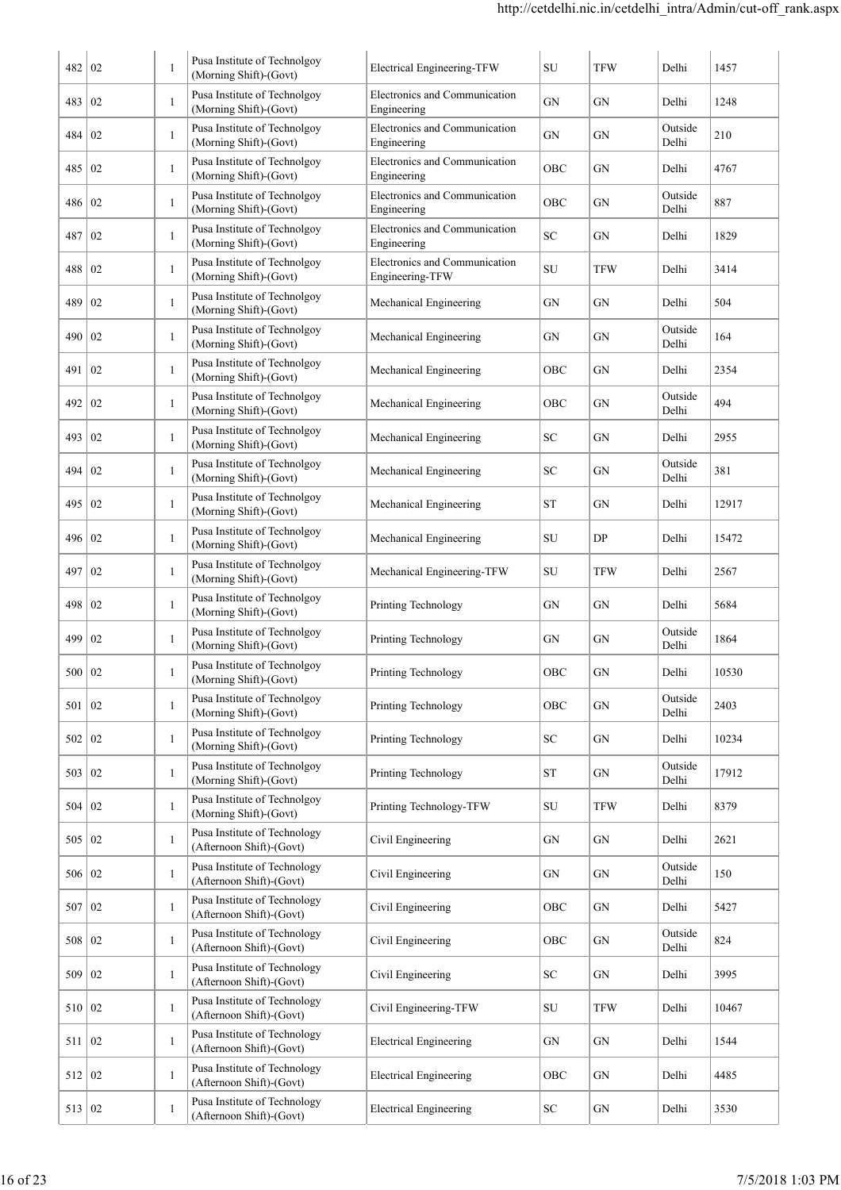| 482      | 02             | 1            | Pusa Institute of Technolgoy<br>(Morning Shift)-(Govt)   | Electrical Engineering-TFW                       | SU         | <b>TFW</b> | Delhi            | 1457  |
|----------|----------------|--------------|----------------------------------------------------------|--------------------------------------------------|------------|------------|------------------|-------|
| 483      | 02             | $\mathbf{1}$ | Pusa Institute of Technolgoy<br>(Morning Shift)-(Govt)   | Electronics and Communication<br>Engineering     | GN         | GN         | Delhi            | 1248  |
| 484      | 02             | $\mathbf{1}$ | Pusa Institute of Technolgoy<br>(Morning Shift)-(Govt)   | Electronics and Communication<br>Engineering     | GN         | GN         | Outside<br>Delhi | 210   |
| 485      | 02             | 1            | Pusa Institute of Technolgoy<br>(Morning Shift)-(Govt)   | Electronics and Communication<br>Engineering     | OBC        | GN         | Delhi            | 4767  |
| 486      | 02             | 1            | Pusa Institute of Technolgoy<br>(Morning Shift)-(Govt)   | Electronics and Communication<br>Engineering     | OBC        | GN         | Outside<br>Delhi | 887   |
| 487      | 02             | 1            | Pusa Institute of Technolgoy<br>(Morning Shift)-(Govt)   | Electronics and Communication<br>Engineering     | SC         | GN         | Delhi            | 1829  |
| 488      | 02             | 1            | Pusa Institute of Technolgoy<br>(Morning Shift)-(Govt)   | Electronics and Communication<br>Engineering-TFW | SU         | <b>TFW</b> | Delhi            | 3414  |
| 489      | 02             | 1            | Pusa Institute of Technolgoy<br>(Morning Shift)-(Govt)   | Mechanical Engineering                           | GN         | GN         | Delhi            | 504   |
| 490      | 02             | 1            | Pusa Institute of Technolgoy<br>(Morning Shift)-(Govt)   | Mechanical Engineering                           | GN         | GN         | Outside<br>Delhi | 164   |
| 491      | 02             | 1            | Pusa Institute of Technolgoy<br>(Morning Shift)-(Govt)   | Mechanical Engineering                           | OBC        | GN         | Delhi            | 2354  |
| 492      | 02             | 1            | Pusa Institute of Technolgoy<br>(Morning Shift)-(Govt)   | Mechanical Engineering                           | OBC        | GN         | Outside<br>Delhi | 494   |
| 493      | 02             | 1            | Pusa Institute of Technolgoy<br>(Morning Shift)-(Govt)   | Mechanical Engineering                           | SC         | GN         | Delhi            | 2955  |
| 494      | 02             | $\mathbf{1}$ | Pusa Institute of Technolgoy<br>(Morning Shift)-(Govt)   | Mechanical Engineering                           | SC         | GN         | Outside<br>Delhi | 381   |
| 495      | 02             | $\mathbf{1}$ | Pusa Institute of Technolgoy<br>(Morning Shift)-(Govt)   | Mechanical Engineering                           | <b>ST</b>  | GN         | Delhi            | 12917 |
| 496      | 02             | 1            | Pusa Institute of Technolgoy<br>(Morning Shift)-(Govt)   | Mechanical Engineering                           | SU         | DP         | Delhi            | 15472 |
| 497      | 02             | 1            | Pusa Institute of Technolgoy<br>(Morning Shift)-(Govt)   | Mechanical Engineering-TFW                       | SU         | <b>TFW</b> | Delhi            | 2567  |
| 498      | 02             | 1            | Pusa Institute of Technolgoy<br>(Morning Shift)-(Govt)   | Printing Technology                              | GN         | GN         | Delhi            | 5684  |
| 499      | 02             | 1            | Pusa Institute of Technolgoy<br>(Morning Shift)-(Govt)   | Printing Technology                              | GN         | GN         | Outside<br>Delhi | 1864  |
| 500 02   |                | 1            | Pusa Institute of Technolgoy<br>(Morning Shift)-(Govt)   | Printing Technology                              | OBC        | GN         | Delhi            | 10530 |
| 501   02 |                | $\mathbf{1}$ | Pusa Institute of Technolgoy<br>(Morning Shift)-(Govt)   | Printing Technology                              | OBC        | ${\rm GN}$ | Outside<br>Delhi | 2403  |
| 502   02 |                | 1            | Pusa Institute of Technolgoy<br>(Morning Shift)-(Govt)   | Printing Technology                              | SC         | GN         | Delhi            | 10234 |
| 503   02 |                | 1            | Pusa Institute of Technolgoy<br>(Morning Shift)-(Govt)   | Printing Technology                              | <b>ST</b>  | ${\rm GN}$ | Outside<br>Delhi | 17912 |
| 504   02 |                | 1            | Pusa Institute of Technolgoy<br>(Morning Shift)-(Govt)   | Printing Technology-TFW                          | SU         | TFW        | Delhi            | 8379  |
| 505 02   |                | $\mathbf{1}$ | Pusa Institute of Technology<br>(Afternoon Shift)-(Govt) | Civil Engineering                                | GN         | GN         | Delhi            | 2621  |
| 506 02   |                | $\mathbf{1}$ | Pusa Institute of Technology<br>(Afternoon Shift)-(Govt) | Civil Engineering                                | GN         | GN         | Outside<br>Delhi | 150   |
| 507      | $\overline{0}$ | $\mathbf{1}$ | Pusa Institute of Technology<br>(Afternoon Shift)-(Govt) | Civil Engineering                                | OBC        | ${\rm GN}$ | Delhi            | 5427  |
| 508   02 |                | $\mathbf{1}$ | Pusa Institute of Technology<br>(Afternoon Shift)-(Govt) | Civil Engineering                                | OBC        | GN         | Outside<br>Delhi | 824   |
| 509      | $\overline{0}$ | 1            | Pusa Institute of Technology<br>(Afternoon Shift)-(Govt) | Civil Engineering                                | ${\rm SC}$ | GN         | Delhi            | 3995  |
| 510 02   |                | $\mathbf{1}$ | Pusa Institute of Technology<br>(Afternoon Shift)-(Govt) | Civil Engineering-TFW                            | SU         | TFW        | Delhi            | 10467 |
| 511   02 |                | 1            | Pusa Institute of Technology<br>(Afternoon Shift)-(Govt) | <b>Electrical Engineering</b>                    | ${\rm GN}$ | GN         | Delhi            | 1544  |
| 512      | 02             | 1            | Pusa Institute of Technology<br>(Afternoon Shift)-(Govt) | <b>Electrical Engineering</b>                    | OBC        | GN         | Delhi            | 4485  |
| 513      | 02             | 1            | Pusa Institute of Technology<br>(Afternoon Shift)-(Govt) | <b>Electrical Engineering</b>                    | ${\rm SC}$ | GN         | Delhi            | 3530  |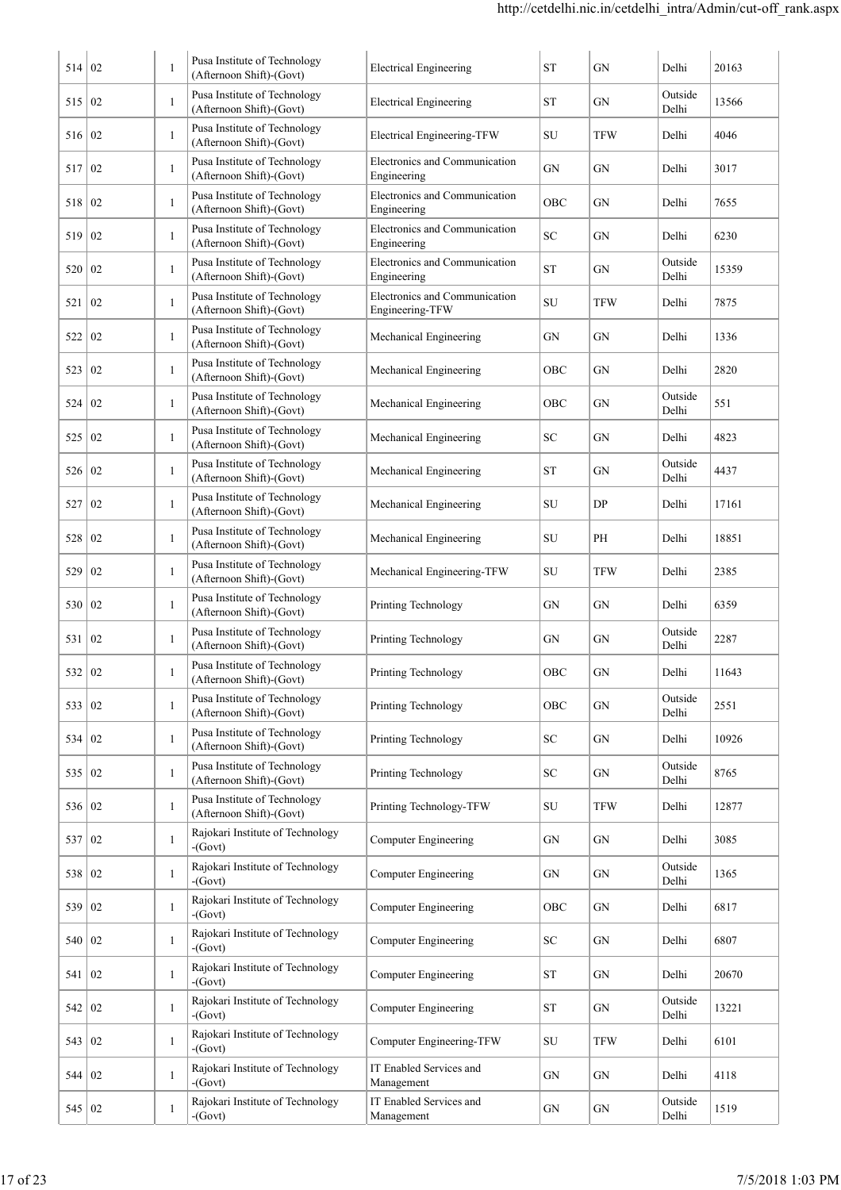| 514      | 02               | $\mathbf{1}$ | Pusa Institute of Technology<br>(Afternoon Shift)-(Govt) | <b>Electrical Engineering</b>                    | <b>ST</b>          | GN         | Delhi            | 20163 |
|----------|------------------|--------------|----------------------------------------------------------|--------------------------------------------------|--------------------|------------|------------------|-------|
| 515      | 02               | 1            | Pusa Institute of Technology<br>(Afternoon Shift)-(Govt) | <b>Electrical Engineering</b>                    | ST                 | GN         | Outside<br>Delhi | 13566 |
| 516      | 02               | 1            | Pusa Institute of Technology<br>(Afternoon Shift)-(Govt) | Electrical Engineering-TFW                       | SU                 | TFW        | Delhi            | 4046  |
| 517      | 02               | $\mathbf{1}$ | Pusa Institute of Technology<br>(Afternoon Shift)-(Govt) | Electronics and Communication<br>Engineering     | GN                 | GN         | Delhi            | 3017  |
| 518      | 02               | $\mathbf{1}$ | Pusa Institute of Technology<br>(Afternoon Shift)-(Govt) | Electronics and Communication<br>Engineering     | OBC                | GN         | Delhi            | 7655  |
| 519      | 02               | $\mathbf{1}$ | Pusa Institute of Technology<br>(Afternoon Shift)-(Govt) | Electronics and Communication<br>Engineering     | SC                 | GN         | Delhi            | 6230  |
| 520      | 02               | 1            | Pusa Institute of Technology<br>(Afternoon Shift)-(Govt) | Electronics and Communication<br>Engineering     | <b>ST</b>          | GN         | Outside<br>Delhi | 15359 |
| 521      | 02               | 1            | Pusa Institute of Technology<br>(Afternoon Shift)-(Govt) | Electronics and Communication<br>Engineering-TFW | SU                 | TFW        | Delhi            | 7875  |
| 522      | 02               | 1            | Pusa Institute of Technology<br>(Afternoon Shift)-(Govt) | Mechanical Engineering                           | GN                 | GN         | Delhi            | 1336  |
| 523      | 02               | $\mathbf{1}$ | Pusa Institute of Technology<br>(Afternoon Shift)-(Govt) | Mechanical Engineering                           | OBC                | GN         | Delhi            | 2820  |
| 524      | 02               | $\mathbf{1}$ | Pusa Institute of Technology<br>(Afternoon Shift)-(Govt) | Mechanical Engineering                           | OBC                | GN         | Outside<br>Delhi | 551   |
| 525      | 02               | $\mathbf{1}$ | Pusa Institute of Technology<br>(Afternoon Shift)-(Govt) | Mechanical Engineering                           | SC                 | GN         | Delhi            | 4823  |
| 526      | 02               | $\mathbf{1}$ | Pusa Institute of Technology<br>(Afternoon Shift)-(Govt) | Mechanical Engineering                           | <b>ST</b>          | GN         | Outside<br>Delhi | 4437  |
| 527      | 02               | 1            | Pusa Institute of Technology<br>(Afternoon Shift)-(Govt) | Mechanical Engineering                           | SU                 | DP         | Delhi            | 17161 |
| 528      | 02               | 1            | Pusa Institute of Technology<br>(Afternoon Shift)-(Govt) | Mechanical Engineering                           | SU                 | PH         | Delhi            | 18851 |
| 529      | 02               | -1           | Pusa Institute of Technology<br>(Afternoon Shift)-(Govt) | Mechanical Engineering-TFW                       | SU                 | TFW        | Delhi            | 2385  |
| 530      | 02               | -1           | Pusa Institute of Technology<br>(Afternoon Shift)-(Govt) | Printing Technology                              | GN                 | GN         | Delhi            | 6359  |
| 531      | 02               | -1           | Pusa Institute of Technology<br>(Afternoon Shift)-(Govt) | Printing Technology                              | GN                 | GN         | Outside<br>Delhi | 2287  |
| 532      | 02               |              | Pusa Institute of Technology<br>(Afternoon Shift)-(Govt) | Printing Technology                              | OBC                | GN         | Delhi            | 11643 |
| 533      | 02               | 1            | Pusa Institute of Technology<br>(Afternoon Shift)-(Govt) | Printing Technology                              | OBC                | GN         | Outside<br>Delhi | 2551  |
| 534      | 02               | 1            | Pusa Institute of Technology<br>(Afternoon Shift)-(Govt) | Printing Technology                              | ${\rm SC}$         | GN         | Delhi            | 10926 |
| 535      | 02               | $\mathbf{1}$ | Pusa Institute of Technology<br>(Afternoon Shift)-(Govt) | Printing Technology                              | ${\rm SC}$         | ${\rm GN}$ | Outside<br>Delhi | 8765  |
| 536      | 02               | 1            | Pusa Institute of Technology<br>(Afternoon Shift)-(Govt) | Printing Technology-TFW                          | ${\rm SU}$         | <b>TFW</b> | Delhi            | 12877 |
| 537      | 02               | $\mathbf{1}$ | Rajokari Institute of Technology<br>$-Govt)$             | <b>Computer Engineering</b>                      | GN                 | GN         | Delhi            | 3085  |
| 538      | $ 02\rangle$     | 1            | Rajokari Institute of Technology<br>$-Govt)$             | <b>Computer Engineering</b>                      | GN                 | GN         | Outside<br>Delhi | 1365  |
| 539      | $\vert 02 \vert$ | 1            | Rajokari Institute of Technology<br>$-Govt)$             | <b>Computer Engineering</b>                      | OBC                | GN         | Delhi            | 6817  |
| 540   02 |                  | $\mathbf{1}$ | Rajokari Institute of Technology<br>$-Govt)$             | <b>Computer Engineering</b>                      | SC                 | GN         | Delhi            | 6807  |
| 541 02   |                  | $\mathbf{1}$ | Rajokari Institute of Technology<br>$-Govt)$             | <b>Computer Engineering</b>                      | ST                 | GN         | Delhi            | 20670 |
| 542   02 |                  | 1            | Rajokari Institute of Technology<br>$-Govt)$             | <b>Computer Engineering</b>                      | ${\cal S}{\cal T}$ | GN         | Outside<br>Delhi | 13221 |
| 543   02 |                  | 1            | Rajokari Institute of Technology<br>$-Govt)$             | Computer Engineering-TFW                         | SU                 | TFW        | Delhi            | 6101  |
|          |                  |              | Rajokari Institute of Technology                         | IT Enabled Services and                          | GN                 | GN         | Delhi            | 4118  |
| 544   02 |                  | 1            | $-Govt)$                                                 | Management                                       |                    |            |                  |       |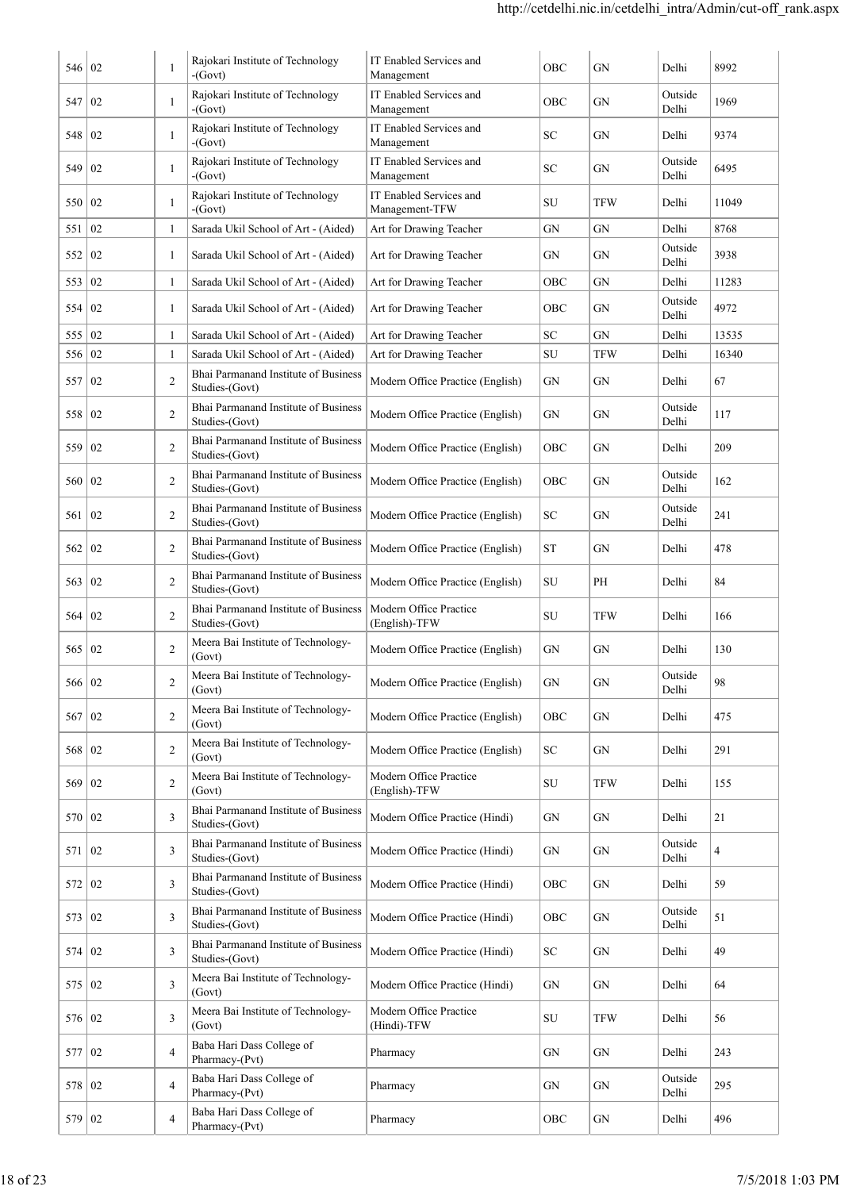| 546      | 02 | $\mathbf{1}$   | Rajokari Institute of Technology<br>$-Govt)$           | IT Enabled Services and<br>Management     | OBC                | <b>GN</b>  | Delhi            | 8992  |
|----------|----|----------------|--------------------------------------------------------|-------------------------------------------|--------------------|------------|------------------|-------|
| 547      | 02 | $\mathbf{1}$   | Rajokari Institute of Technology<br>$-Govt)$           | IT Enabled Services and<br>Management     | OBC                | GN         | Outside<br>Delhi | 1969  |
| 548      | 02 | $\mathbf{1}$   | Rajokari Institute of Technology<br>$-Govt)$           | IT Enabled Services and<br>Management     | SC                 | GN         | Delhi            | 9374  |
| 549      | 02 | $\mathbf{1}$   | Rajokari Institute of Technology<br>$-Govt)$           | IT Enabled Services and<br>Management     | SC                 | GN         | Outside<br>Delhi | 6495  |
| 550      | 02 | $\mathbf{1}$   | Rajokari Institute of Technology<br>$-Govt)$           | IT Enabled Services and<br>Management-TFW | SU                 | <b>TFW</b> | Delhi            | 11049 |
| 551      | 02 | $\mathbf{1}$   | Sarada Ukil School of Art - (Aided)                    | Art for Drawing Teacher                   | GN                 | GN         | Delhi            | 8768  |
| 552      | 02 | 1              | Sarada Ukil School of Art - (Aided)                    | Art for Drawing Teacher                   | GN                 | GN         | Outside<br>Delhi | 3938  |
| 553      | 02 | $\mathbf{1}$   | Sarada Ukil School of Art - (Aided)                    | Art for Drawing Teacher                   | OBC                | GN         | Delhi            | 11283 |
| 554      | 02 | $\mathbf{1}$   | Sarada Ukil School of Art - (Aided)                    | Art for Drawing Teacher                   | OBC                | GN         | Outside<br>Delhi | 4972  |
| 555   02 |    | $\mathbf{1}$   | Sarada Ukil School of Art - (Aided)                    | Art for Drawing Teacher                   | SC                 | GN         | Delhi            | 13535 |
| 556      | 02 | 1              | Sarada Ukil School of Art - (Aided)                    | Art for Drawing Teacher                   | SU                 | <b>TFW</b> | Delhi            | 16340 |
| 557      | 02 | $\mathfrak{2}$ | Bhai Parmanand Institute of Business<br>Studies-(Govt) | Modern Office Practice (English)          | GN                 | GN         | Delhi            | 67    |
| 558      | 02 | $\mathfrak{2}$ | Bhai Parmanand Institute of Business<br>Studies-(Govt) | Modern Office Practice (English)          | GN                 | GN         | Outside<br>Delhi | 117   |
| 559      | 02 | $\overline{2}$ | Bhai Parmanand Institute of Business<br>Studies-(Govt) | Modern Office Practice (English)          | OBC                | GN         | Delhi            | 209   |
| 560      | 02 | $\overline{2}$ | Bhai Parmanand Institute of Business<br>Studies-(Govt) | Modern Office Practice (English)          | OBC                | GN         | Outside<br>Delhi | 162   |
| 561      | 02 | $\overline{2}$ | Bhai Parmanand Institute of Business<br>Studies-(Govt) | Modern Office Practice (English)          | ${\rm SC}$         | GN         | Outside<br>Delhi | 241   |
| 562      | 02 | $\overline{2}$ | Bhai Parmanand Institute of Business<br>Studies-(Govt) | Modern Office Practice (English)          | ${\cal S}{\cal T}$ | GN         | Delhi            | 478   |
| 563      | 02 | $\overline{2}$ | Bhai Parmanand Institute of Business<br>Studies-(Govt) | Modern Office Practice (English)          | SU                 | PH         | Delhi            | 84    |
| 564      | 02 | $\overline{2}$ | Bhai Parmanand Institute of Business<br>Studies-(Govt) | Modern Office Practice<br>(English)-TFW   | SU                 | <b>TFW</b> | Delhi            | 166   |
| 565      | 02 | $\overline{2}$ | Meera Bai Institute of Technology-<br>(Govt)           | Modern Office Practice (English)          | GN                 | GN         | Delhi            | 130   |
| 566 02   |    | $\overline{2}$ | Meera Bai Institute of Technology-<br>(Govt)           | Modern Office Practice (English)          | ${\rm GN}$         | ${\rm GN}$ | Outside<br>Delhi | 98    |
| 567      | 02 | $\overline{2}$ | Meera Bai Institute of Technology-<br>(Govt)           | Modern Office Practice (English)          | OBC                | GN         | Delhi            | 475   |
| 568   02 |    | $\overline{2}$ | Meera Bai Institute of Technology-<br>(Govt)           | Modern Office Practice (English)          | ${\rm SC}$         | GN         | Delhi            | 291   |
| 569      | 02 | $\overline{2}$ | Meera Bai Institute of Technology-<br>(Govt)           | Modern Office Practice<br>(English)-TFW   | SU                 | <b>TFW</b> | Delhi            | 155   |
| 570      | 02 | 3              | Bhai Parmanand Institute of Business<br>Studies-(Govt) | Modern Office Practice (Hindi)            | ${\rm GN}$         | GN         | Delhi            | 21    |
| 571      | 02 | 3              | Bhai Parmanand Institute of Business<br>Studies-(Govt) | Modern Office Practice (Hindi)            | ${\rm GN}$         | ${\rm GN}$ | Outside<br>Delhi | 4     |
| 572      | 02 | 3              | Bhai Parmanand Institute of Business<br>Studies-(Govt) | Modern Office Practice (Hindi)            | OBC                | GN         | Delhi            | 59    |
| 573      | 02 | 3              | Bhai Parmanand Institute of Business<br>Studies-(Govt) | Modern Office Practice (Hindi)            | OBC                | GN         | Outside<br>Delhi | 51    |
| 574      | 02 | 3              | Bhai Parmanand Institute of Business<br>Studies-(Govt) | Modern Office Practice (Hindi)            | <b>SC</b>          | GN         | Delhi            | 49    |
| 575      | 02 | 3              | Meera Bai Institute of Technology-<br>(Govt)           | Modern Office Practice (Hindi)            | ${\rm GN}$         | GN         | Delhi            | 64    |
| 576      | 02 | 3              | Meera Bai Institute of Technology-<br>(Govt)           | Modern Office Practice<br>(Hindi)-TFW     | SU                 | <b>TFW</b> | Delhi            | 56    |
| 577      | 02 | $\overline{4}$ | Baba Hari Dass College of<br>Pharmacy-(Pvt)            | Pharmacy                                  | GN                 | GN         | Delhi            | 243   |
| 578      | 02 | $\overline{4}$ | Baba Hari Dass College of<br>Pharmacy-(Pvt)            | Pharmacy                                  | GN                 | GN         | Outside<br>Delhi | 295   |
| 579      | 02 | $\overline{4}$ | Baba Hari Dass College of<br>Pharmacy-(Pvt)            | Pharmacy                                  | OBC                | GN         | Delhi            | 496   |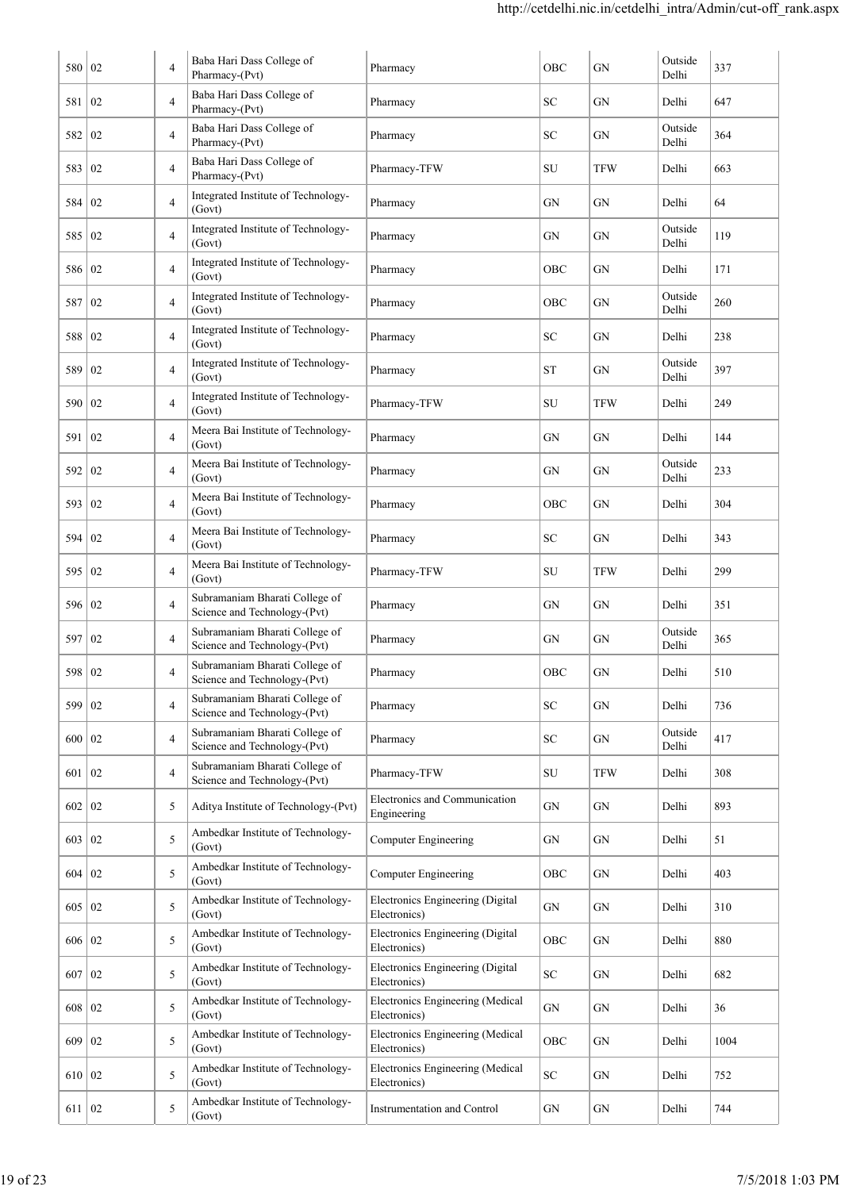| 580   02 |                | 4              | Baba Hari Dass College of<br>Pharmacy-(Pvt)                    | Pharmacy                                         | OBC        | GN         | Outside<br>Delhi | 337  |
|----------|----------------|----------------|----------------------------------------------------------------|--------------------------------------------------|------------|------------|------------------|------|
| 581      | 02             | $\overline{4}$ | Baba Hari Dass College of<br>Pharmacy-(Pvt)                    | Pharmacy                                         | SC         | GN         | Delhi            | 647  |
| 582      | 02             | 4              | Baba Hari Dass College of<br>Pharmacy-(Pvt)                    | Pharmacy                                         | SC         | GN         | Outside<br>Delhi | 364  |
| 583      | 02             | 4              | Baba Hari Dass College of<br>Pharmacy-(Pvt)                    | Pharmacy-TFW                                     | SU         | <b>TFW</b> | Delhi            | 663  |
| 584      | 02             | 4              | Integrated Institute of Technology-<br>(Govt)                  | Pharmacy                                         | GN         | GN         | Delhi            | 64   |
| 585      | $\overline{0}$ | 4              | Integrated Institute of Technology-<br>(Govt)                  | Pharmacy                                         | GN         | GN         | Outside<br>Delhi | 119  |
| 586   02 |                | 4              | Integrated Institute of Technology-<br>(Govt)                  | Pharmacy                                         | OBC        | GN         | Delhi            | 171  |
| 587      | 02             | 4              | Integrated Institute of Technology-<br>(Govt)                  | Pharmacy                                         | OBC        | ${\rm GN}$ | Outside<br>Delhi | 260  |
| 588      | 02             | 4              | Integrated Institute of Technology-<br>(Govt)                  | Pharmacy                                         | SC         | GN         | Delhi            | 238  |
| 589      | 02             | 4              | Integrated Institute of Technology-<br>(Govt)                  | Pharmacy                                         | ST         | GN         | Outside<br>Delhi | 397  |
| 590      | 02             | 4              | Integrated Institute of Technology-<br>(Govt)                  | Pharmacy-TFW                                     | SU         | <b>TFW</b> | Delhi            | 249  |
| 591      | 02             | 4              | Meera Bai Institute of Technology-<br>(Govt)                   | Pharmacy                                         | GN         | GN         | Delhi            | 144  |
| 592      | 02             | $\overline{4}$ | Meera Bai Institute of Technology-<br>(Govt)                   | Pharmacy                                         | GN         | GN         | Outside<br>Delhi | 233  |
| 593      | 02             | $\overline{4}$ | Meera Bai Institute of Technology-<br>(Govt)                   | Pharmacy                                         | OBC        | GN         | Delhi            | 304  |
| 594      | 02             | $\overline{4}$ | Meera Bai Institute of Technology-<br>(Govt)                   | Pharmacy                                         | SC         | GN         | Delhi            | 343  |
| 595      | 02             | $\overline{4}$ | Meera Bai Institute of Technology-<br>(Govt)                   | Pharmacy-TFW                                     | SU         | TFW        | Delhi            | 299  |
| 596      | 02             | 4              | Subramaniam Bharati College of<br>Science and Technology-(Pvt) | Pharmacy                                         | GN         | GN         | Delhi            | 351  |
| 597      | $\overline{0}$ | 4              | Subramaniam Bharati College of<br>Science and Technology-(Pvt) | Pharmacy                                         | GN         | GN         | Outside<br>Delhi | 365  |
| 598   02 |                | 4              | Subramaniam Bharati College of<br>Science and Technology-(Pvt) | Pharmacy                                         | OBC        | GN         | Delhi            | 510  |
| 599      | 02             | 4              | Subramaniam Bharati College of<br>Science and Technology-(Pvt) | Pharmacy                                         | SC         | GN         | Delhi            | 736  |
| 600   02 |                | $\overline{4}$ | Subramaniam Bharati College of<br>Science and Technology-(Pvt) | Pharmacy                                         | SC         | GN         | Outside<br>Delhi | 417  |
| 601      | 02             | $\overline{4}$ | Subramaniam Bharati College of<br>Science and Technology-(Pvt) | Pharmacy-TFW                                     | SU         | TFW        | Delhi            | 308  |
| 602      | 02             | 5              | Aditya Institute of Technology-(Pvt)                           | Electronics and Communication<br>Engineering     | GN         | GN         | Delhi            | 893  |
| 603   02 |                | 5              | Ambedkar Institute of Technology-<br>(Govt)                    | <b>Computer Engineering</b>                      | GN         | GN         | Delhi            | 51   |
| 604   02 |                | 5              | Ambedkar Institute of Technology-<br>(Govt)                    | <b>Computer Engineering</b>                      | OBC        | GN         | Delhi            | 403  |
| 605   02 |                | 5              | Ambedkar Institute of Technology-<br>(Govt)                    | Electronics Engineering (Digital<br>Electronics) | GN         | GN         | Delhi            | 310  |
| 606 02   |                | 5              | Ambedkar Institute of Technology-<br>(Govt)                    | Electronics Engineering (Digital<br>Electronics) | OBC        | GN         | Delhi            | 880  |
| 607      | 02             | 5              | Ambedkar Institute of Technology-<br>(Govt)                    | Electronics Engineering (Digital<br>Electronics) | SC         | GN         | Delhi            | 682  |
| 608   02 |                | 5              | Ambedkar Institute of Technology-<br>(Govt)                    | Electronics Engineering (Medical<br>Electronics) | GN         | GN         | Delhi            | 36   |
| 609      | 02             | 5              | Ambedkar Institute of Technology-<br>(Govt)                    | Electronics Engineering (Medical<br>Electronics) | OBC        | GN         | Delhi            | 1004 |
| 610 02   |                | 5              | Ambedkar Institute of Technology-<br>(Govt)                    | Electronics Engineering (Medical<br>Electronics) | ${\rm SC}$ | GN         | Delhi            | 752  |
| 611   02 |                | 5              | Ambedkar Institute of Technology-<br>(Govt)                    | Instrumentation and Control                      | GN         | GN         | Delhi            | 744  |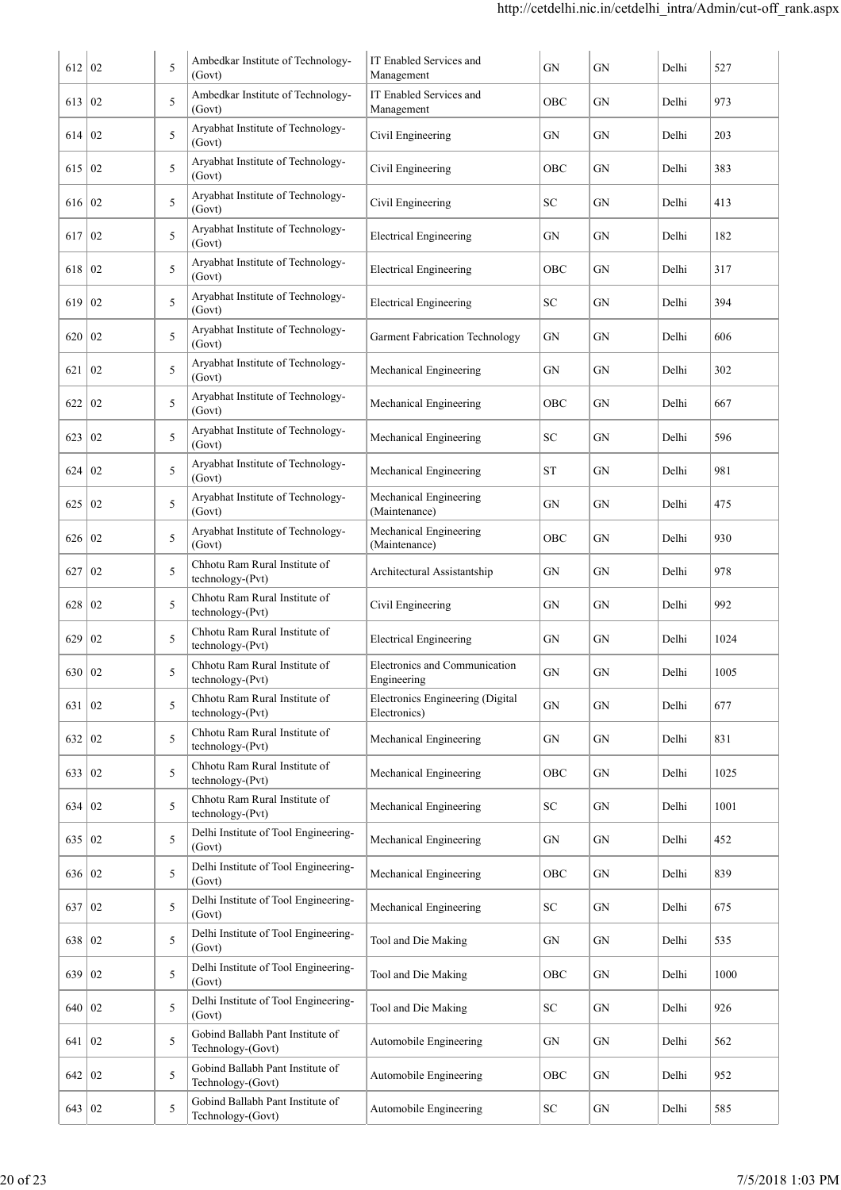| 612      | 02               | 5 | Ambedkar Institute of Technology-<br>(Govt)           | IT Enabled Services and<br>Management            | GN         | GN         | Delhi | 527  |
|----------|------------------|---|-------------------------------------------------------|--------------------------------------------------|------------|------------|-------|------|
| 613      | 02               | 5 | Ambedkar Institute of Technology-<br>(Govt)           | IT Enabled Services and<br>Management            | OBC        | GN         | Delhi | 973  |
| 614      | 02               | 5 | Aryabhat Institute of Technology-<br>(Govt)           | Civil Engineering                                | GN         | GN         | Delhi | 203  |
| 615      | 02               | 5 | Aryabhat Institute of Technology-<br>(Govt)           | Civil Engineering                                | OBC        | GN         | Delhi | 383  |
| 616      | 02               | 5 | Aryabhat Institute of Technology-<br>(Govt)           | Civil Engineering                                | SC         | GN         | Delhi | 413  |
| 617      | $\vert 02 \vert$ | 5 | Aryabhat Institute of Technology-<br>(Govt)           | <b>Electrical Engineering</b>                    | GN         | GN         | Delhi | 182  |
| 618      | $\overline{02}$  | 5 | Aryabhat Institute of Technology-<br>(Govt)           | <b>Electrical Engineering</b>                    | OBC        | GN         | Delhi | 317  |
| 619      | 02               | 5 | Aryabhat Institute of Technology-<br>(Govt)           | <b>Electrical Engineering</b>                    | SC         | GN         | Delhi | 394  |
| 620      | 02               | 5 | Aryabhat Institute of Technology-<br>(Govt)           | <b>Garment Fabrication Technology</b>            | GN         | GN         | Delhi | 606  |
| 621      | 02               | 5 | Aryabhat Institute of Technology-<br>(Govt)           | Mechanical Engineering                           | GN         | GN         | Delhi | 302  |
| 622      | $\overline{02}$  | 5 | Aryabhat Institute of Technology-<br>(Govt)           | Mechanical Engineering                           | OBC        | GN         | Delhi | 667  |
| 623      | $\overline{02}$  | 5 | Aryabhat Institute of Technology-<br>(Govt)           | Mechanical Engineering                           | SC         | GN         | Delhi | 596  |
| 624      | 02               | 5 | Aryabhat Institute of Technology-<br>(Govt)           | Mechanical Engineering                           | <b>ST</b>  | GN         | Delhi | 981  |
| 625      | 02               | 5 | Aryabhat Institute of Technology-<br>(Govt)           | Mechanical Engineering<br>(Maintenance)          | GN         | GN         | Delhi | 475  |
| 626      | 02               | 5 | Aryabhat Institute of Technology-<br>(Govt)           | Mechanical Engineering<br>(Maintenance)          | OBC        | GN         | Delhi | 930  |
| 627      | 02               | 5 | Chhotu Ram Rural Institute of<br>technology-(Pvt)     | Architectural Assistantship                      | GN         | GN         | Delhi | 978  |
| 628      | 02               | 5 | Chhotu Ram Rural Institute of<br>technology-(Pvt)     | Civil Engineering                                | GN         | GN         | Delhi | 992  |
| 629      | 02               | 5 | Chhotu Ram Rural Institute of<br>technology-(Pvt)     | <b>Electrical Engineering</b>                    | GN         | GN         | Delhi | 1024 |
| 630 02   |                  | 5 | Chhotu Ram Rural Institute of<br>technology-(Pvt)     | Electronics and Communication<br>Engineering     | GN         | GN         | Delhi | 1005 |
| 631      | $\overline{0}$   | 5 | Chhotu Ram Rural Institute of<br>technology-(Pvt)     | Electronics Engineering (Digital<br>Electronics) | GN         | <b>GN</b>  | Delhi | 677  |
| 632      | 02               | 5 | Chhotu Ram Rural Institute of<br>technology-(Pvt)     | Mechanical Engineering                           | GN         | <b>GN</b>  | Delhi | 831  |
| 633      | $\overline{02}$  | 5 | Chhotu Ram Rural Institute of<br>technology-(Pvt)     | Mechanical Engineering                           | OBC        | GN         | Delhi | 1025 |
| 634      | 02               | 5 | Chhotu Ram Rural Institute of<br>technology-(Pvt)     | Mechanical Engineering                           | SC         | GN         | Delhi | 1001 |
| 635   02 |                  | 5 | Delhi Institute of Tool Engineering-<br>(Govt)        | Mechanical Engineering                           | ${\rm GN}$ | GN         | Delhi | 452  |
| 636 02   |                  | 5 | Delhi Institute of Tool Engineering-<br>(Govt)        | Mechanical Engineering                           | OBC        | GN         | Delhi | 839  |
| 637      | $ 02\rangle$     | 5 | Delhi Institute of Tool Engineering-<br>(Govt)        | Mechanical Engineering                           | SC         | GN         | Delhi | 675  |
| 638      | 02               | 5 | Delhi Institute of Tool Engineering-<br>(Govt)        | Tool and Die Making                              | ${\rm GN}$ | GN         | Delhi | 535  |
| 639      | $\overline{0}$   | 5 | Delhi Institute of Tool Engineering-<br>(Govt)        | Tool and Die Making                              | OBC        | ${\rm GN}$ | Delhi | 1000 |
| 640      | 02               | 5 | Delhi Institute of Tool Engineering-<br>(Govt)        | Tool and Die Making                              | ${\rm SC}$ | GN         | Delhi | 926  |
| 641      | $\vert 02 \vert$ | 5 | Gobind Ballabh Pant Institute of<br>Technology-(Govt) | Automobile Engineering                           | GN         | GN         | Delhi | 562  |
| 642   02 |                  | 5 | Gobind Ballabh Pant Institute of<br>Technology-(Govt) | Automobile Engineering                           | OBC        | GN         | Delhi | 952  |
| 643   02 |                  | 5 | Gobind Ballabh Pant Institute of<br>Technology-(Govt) | Automobile Engineering                           | ${\rm SC}$ | GN         | Delhi | 585  |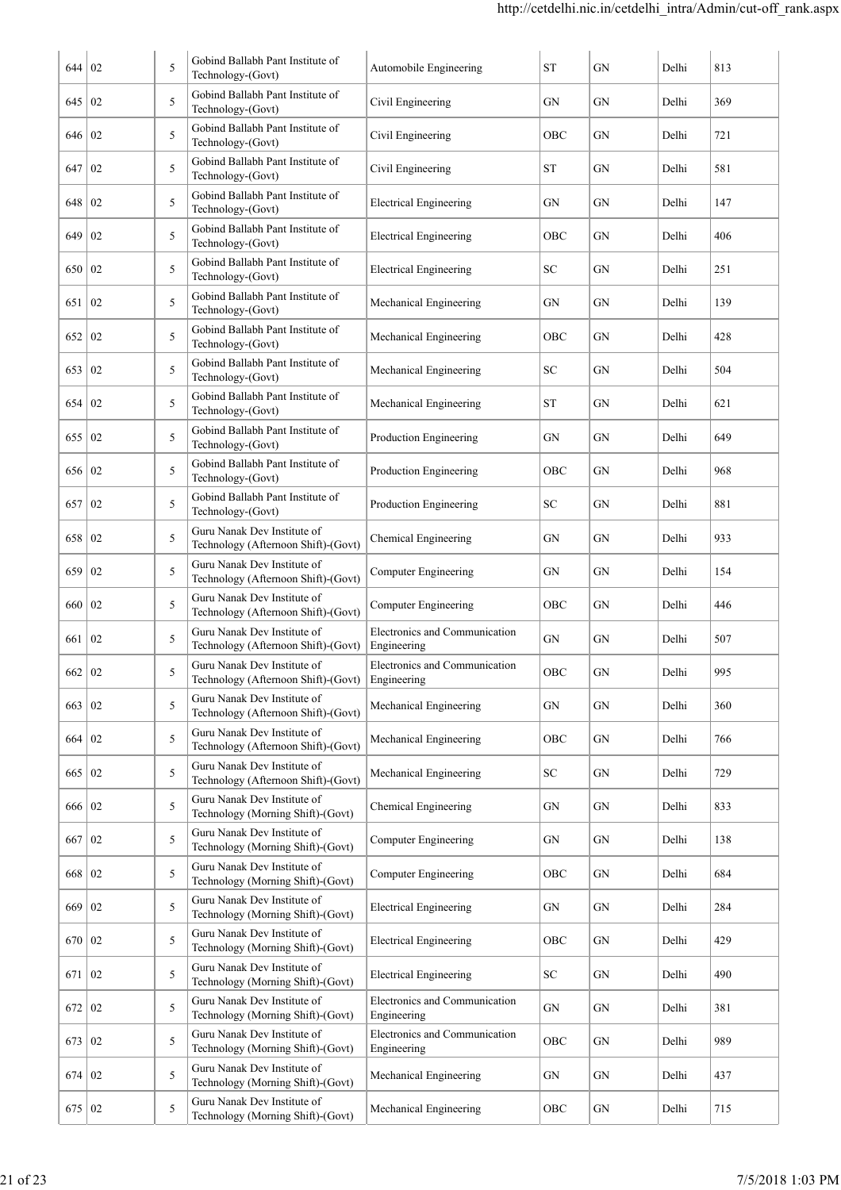| 644    | 02 | 5 | Gobind Ballabh Pant Institute of<br>Technology-(Govt)              | Automobile Engineering                       | <b>ST</b>  | GN         | Delhi | 813 |
|--------|----|---|--------------------------------------------------------------------|----------------------------------------------|------------|------------|-------|-----|
| 645    | 02 | 5 | Gobind Ballabh Pant Institute of<br>Technology-(Govt)              | Civil Engineering                            | GN         | GN         | Delhi | 369 |
| 646    | 02 | 5 | Gobind Ballabh Pant Institute of<br>Technology-(Govt)              | Civil Engineering                            | OBC        | GN         | Delhi | 721 |
| 647    | 02 | 5 | Gobind Ballabh Pant Institute of<br>Technology-(Govt)              | Civil Engineering                            | ST         | GN         | Delhi | 581 |
| 648    | 02 | 5 | Gobind Ballabh Pant Institute of<br>Technology-(Govt)              | <b>Electrical Engineering</b>                | GN         | GN         | Delhi | 147 |
| 649    | 02 | 5 | Gobind Ballabh Pant Institute of<br>Technology-(Govt)              | <b>Electrical Engineering</b>                | <b>OBC</b> | GN         | Delhi | 406 |
| 650    | 02 | 5 | Gobind Ballabh Pant Institute of<br>Technology-(Govt)              | <b>Electrical Engineering</b>                | <b>SC</b>  | GN         | Delhi | 251 |
| 651    | 02 | 5 | Gobind Ballabh Pant Institute of<br>Technology-(Govt)              | Mechanical Engineering                       | GN         | GN         | Delhi | 139 |
| 652    | 02 | 5 | Gobind Ballabh Pant Institute of<br>Technology-(Govt)              | Mechanical Engineering                       | OBC        | GN         | Delhi | 428 |
| 653    | 02 | 5 | Gobind Ballabh Pant Institute of<br>Technology-(Govt)              | Mechanical Engineering                       | SC         | GN         | Delhi | 504 |
| 654    | 02 | 5 | Gobind Ballabh Pant Institute of<br>Technology-(Govt)              | Mechanical Engineering                       | <b>ST</b>  | GN         | Delhi | 621 |
| 655    | 02 | 5 | Gobind Ballabh Pant Institute of<br>Technology-(Govt)              | Production Engineering                       | GN         | GN         | Delhi | 649 |
| 656    | 02 | 5 | Gobind Ballabh Pant Institute of<br>Technology-(Govt)              | Production Engineering                       | <b>OBC</b> | GN         | Delhi | 968 |
| 657    | 02 | 5 | Gobind Ballabh Pant Institute of<br>Technology-(Govt)              | Production Engineering                       | SC         | GN         | Delhi | 881 |
| 658    | 02 | 5 | Guru Nanak Dev Institute of<br>Technology (Afternoon Shift)-(Govt) | Chemical Engineering                         | GN         | GN         | Delhi | 933 |
| 659    | 02 | 5 | Guru Nanak Dev Institute of<br>Technology (Afternoon Shift)-(Govt) | Computer Engineering                         | GN         | GN         | Delhi | 154 |
| 660    | 02 | 5 | Guru Nanak Dev Institute of<br>Technology (Afternoon Shift)-(Govt) | Computer Engineering                         | OBC        | GN         | Delhi | 446 |
| 661    | 02 | 5 | Guru Nanak Dev Institute of<br>Technology (Afternoon Shift)-(Govt) | Electronics and Communication<br>Engineering | GN         | GN         | Delhi | 507 |
| 662    | 02 | 5 | Guru Nanak Dev Institute of<br>Technology (Afternoon Shift)-(Govt) | Electronics and Communication<br>Engineering | <b>OBC</b> | GN         | Delhi | 995 |
| 663    | 02 | 5 | Guru Nanak Dev Institute of<br>Technology (Afternoon Shift)-(Govt) | Mechanical Engineering                       | GN         | GN         | Delhi | 360 |
| 664    | 02 | 5 | Guru Nanak Dev Institute of<br>Technology (Afternoon Shift)-(Govt) | Mechanical Engineering                       | OBC        | GN         | Delhi | 766 |
| 665    | 02 | 5 | Guru Nanak Dev Institute of<br>Technology (Afternoon Shift)-(Govt) | Mechanical Engineering                       | SC         | ${\rm GN}$ | Delhi | 729 |
| 666    | 02 | 5 | Guru Nanak Dev Institute of<br>Technology (Morning Shift)-(Govt)   | Chemical Engineering                         | GN         | ${\rm GN}$ | Delhi | 833 |
| 667    | 02 | 5 | Guru Nanak Dev Institute of<br>Technology (Morning Shift)-(Govt)   | <b>Computer Engineering</b>                  | GN         | ${\rm GN}$ | Delhi | 138 |
| 668    | 02 | 5 | Guru Nanak Dev Institute of<br>Technology (Morning Shift)-(Govt)   | <b>Computer Engineering</b>                  | OBC        | GN         | Delhi | 684 |
| 669    | 02 | 5 | Guru Nanak Dev Institute of<br>Technology (Morning Shift)-(Govt)   | <b>Electrical Engineering</b>                | GN         | GN         | Delhi | 284 |
| 670    | 02 | 5 | Guru Nanak Dev Institute of<br>Technology (Morning Shift)-(Govt)   | <b>Electrical Engineering</b>                | OBC        | GN         | Delhi | 429 |
| 671    | 02 | 5 | Guru Nanak Dev Institute of<br>Technology (Morning Shift)-(Govt)   | <b>Electrical Engineering</b>                | SC         | GN         | Delhi | 490 |
| 672    | 02 | 5 | Guru Nanak Dev Institute of<br>Technology (Morning Shift)-(Govt)   | Electronics and Communication<br>Engineering | GN         | GN         | Delhi | 381 |
| 673    | 02 | 5 | Guru Nanak Dev Institute of<br>Technology (Morning Shift)-(Govt)   | Electronics and Communication<br>Engineering | OBC        | ${\rm GN}$ | Delhi | 989 |
| 674 02 |    | 5 | Guru Nanak Dev Institute of<br>Technology (Morning Shift)-(Govt)   | Mechanical Engineering                       | GN         | GN         | Delhi | 437 |
| 675    | 02 | 5 | Guru Nanak Dev Institute of<br>Technology (Morning Shift)-(Govt)   | Mechanical Engineering                       | OBC        | GN         | Delhi | 715 |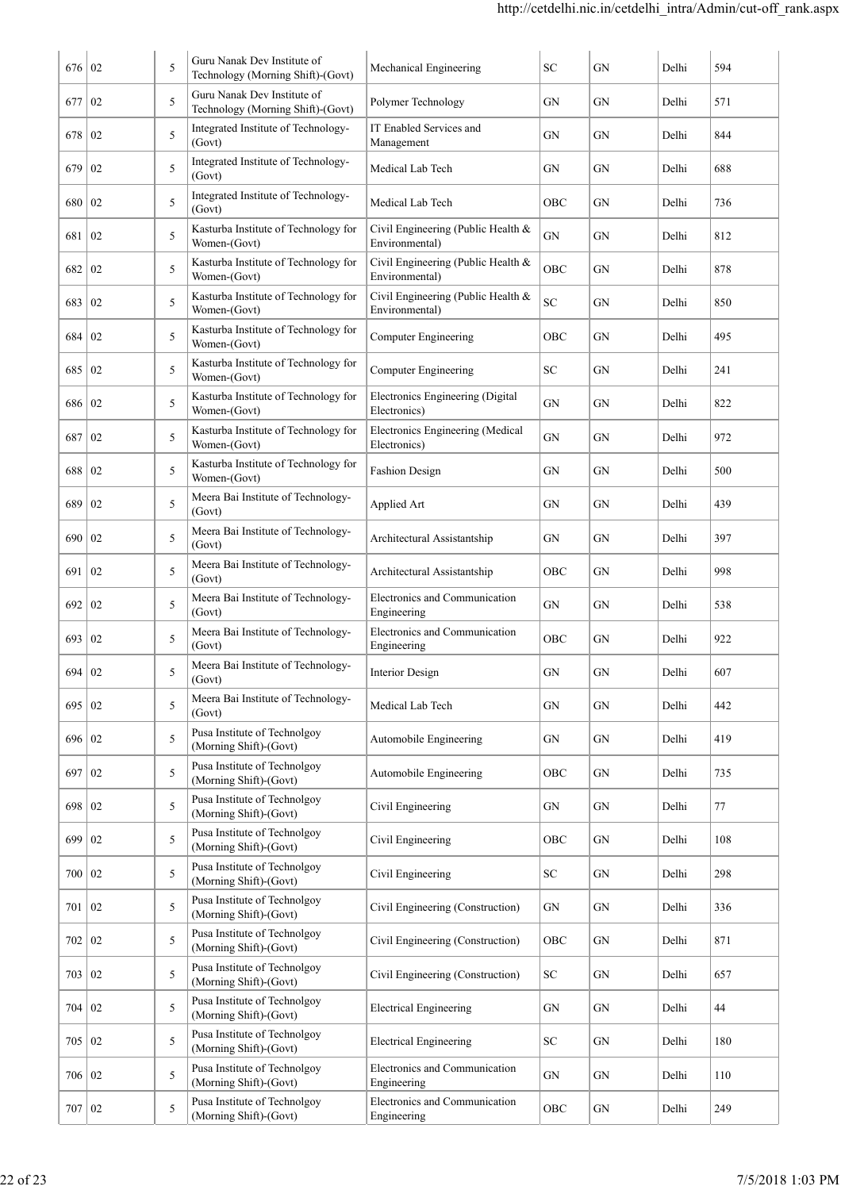| 676      | 02 | 5 | Guru Nanak Dev Institute of<br>Technology (Morning Shift)-(Govt) | Mechanical Engineering                               | SC         | GN         | Delhi | 594 |
|----------|----|---|------------------------------------------------------------------|------------------------------------------------------|------------|------------|-------|-----|
| 677      | 02 | 5 | Guru Nanak Dev Institute of<br>Technology (Morning Shift)-(Govt) | Polymer Technology                                   | GN         | GN         | Delhi | 571 |
| 678      | 02 | 5 | Integrated Institute of Technology-<br>(Govt)                    | IT Enabled Services and<br>Management                | GN         | GN         | Delhi | 844 |
| 679      | 02 | 5 | Integrated Institute of Technology-<br>(Govt)                    | Medical Lab Tech                                     | GN         | <b>GN</b>  | Delhi | 688 |
| 680      | 02 | 5 | Integrated Institute of Technology-<br>(Govt)                    | Medical Lab Tech                                     | OBC        | <b>GN</b>  | Delhi | 736 |
| 681      | 02 | 5 | Kasturba Institute of Technology for<br>Women-(Govt)             | Civil Engineering (Public Health &<br>Environmental) | GN         | GN         | Delhi | 812 |
| 682      | 02 | 5 | Kasturba Institute of Technology for<br>Women-(Govt)             | Civil Engineering (Public Health &<br>Environmental) | OBC        | GN         | Delhi | 878 |
| 683      | 02 | 5 | Kasturba Institute of Technology for<br>Women-(Govt)             | Civil Engineering (Public Health &<br>Environmental) | SC         | GN         | Delhi | 850 |
| 684      | 02 | 5 | Kasturba Institute of Technology for<br>Women-(Govt)             | Computer Engineering                                 | OBC        | <b>GN</b>  | Delhi | 495 |
| 685      | 02 | 5 | Kasturba Institute of Technology for<br>Women-(Govt)             | <b>Computer Engineering</b>                          | SС         | GN         | Delhi | 241 |
| 686      | 02 | 5 | Kasturba Institute of Technology for<br>Women-(Govt)             | Electronics Engineering (Digital<br>Electronics)     | GN         | GN         | Delhi | 822 |
| 687      | 02 | 5 | Kasturba Institute of Technology for<br>Women-(Govt)             | Electronics Engineering (Medical<br>Electronics)     | GN         | GN         | Delhi | 972 |
| 688      | 02 | 5 | Kasturba Institute of Technology for<br>Women-(Govt)             | <b>Fashion Design</b>                                | GN         | GN         | Delhi | 500 |
| 689      | 02 | 5 | Meera Bai Institute of Technology-<br>(Govt)                     | Applied Art                                          | GN         | <b>GN</b>  | Delhi | 439 |
| 690   02 |    | 5 | Meera Bai Institute of Technology-<br>(Govt)                     | Architectural Assistantship                          | GN         | <b>GN</b>  | Delhi | 397 |
| 691      | 02 | 5 | Meera Bai Institute of Technology-<br>(Govt)                     | Architectural Assistantship                          | OBC        | <b>GN</b>  | Delhi | 998 |
| 692   02 |    | 5 | Meera Bai Institute of Technology-<br>(Govt)                     | <b>Electronics and Communication</b><br>Engineering  | GN         | <b>GN</b>  | Delhi | 538 |
| 693      | 02 | 5 | Meera Bai Institute of Technology-<br>(Govt)                     | Electronics and Communication<br>Engineering         | OBC        | GN         | Delhi | 922 |
| 694      | 02 | 5 | Meera Bai Institute of Technology-<br>(Govt)                     | <b>Interior Design</b>                               | ${\rm GN}$ | ${\rm GN}$ | Delhi | 607 |
| 695 02   |    | 5 | Meera Bai Institute of Technology-<br>(Govt)                     | Medical Lab Tech                                     | GN         | ${\rm GN}$ | Delhi | 442 |
| 696 02   |    | 5 | Pusa Institute of Technolgoy<br>(Morning Shift)-(Govt)           | Automobile Engineering                               | GN         | GN         | Delhi | 419 |
| 697      | 02 | 5 | Pusa Institute of Technolgoy<br>(Morning Shift)-(Govt)           | Automobile Engineering                               | OBC        | ${\rm GN}$ | Delhi | 735 |
| 698      | 02 | 5 | Pusa Institute of Technolgoy<br>(Morning Shift)-(Govt)           | Civil Engineering                                    | <b>GN</b>  | ${\rm GN}$ | Delhi | 77  |
| 699      | 02 | 5 | Pusa Institute of Technolgoy<br>(Morning Shift)-(Govt)           | Civil Engineering                                    | OBC        | GN         | Delhi | 108 |
| 700      | 02 | 5 | Pusa Institute of Technolgoy<br>(Morning Shift)-(Govt)           | Civil Engineering                                    | ${\rm SC}$ | GN         | Delhi | 298 |
| 701      | 02 | 5 | Pusa Institute of Technolgoy<br>(Morning Shift)-(Govt)           | Civil Engineering (Construction)                     | <b>GN</b>  | GN         | Delhi | 336 |
| 702      | 02 | 5 | Pusa Institute of Technolgoy<br>(Morning Shift)-(Govt)           | Civil Engineering (Construction)                     | OBC        | ${\rm GN}$ | Delhi | 871 |
| 703      | 02 | 5 | Pusa Institute of Technolgoy<br>(Morning Shift)-(Govt)           | Civil Engineering (Construction)                     | ${\rm SC}$ | ${\rm GN}$ | Delhi | 657 |
| 704      | 02 | 5 | Pusa Institute of Technolgoy<br>(Morning Shift)-(Govt)           | <b>Electrical Engineering</b>                        | GN         | ${\rm GN}$ | Delhi | 44  |
| 705   02 |    | 5 | Pusa Institute of Technolgoy<br>(Morning Shift)-(Govt)           | <b>Electrical Engineering</b>                        | ${\rm SC}$ | GN         | Delhi | 180 |
| 706   02 |    | 5 | Pusa Institute of Technolgoy<br>(Morning Shift)-(Govt)           | Electronics and Communication<br>Engineering         | GN         | GN         | Delhi | 110 |
| 707   02 |    | 5 | Pusa Institute of Technolgoy<br>(Morning Shift)-(Govt)           | Electronics and Communication<br>Engineering         | OBC        | ${\rm GN}$ | Delhi | 249 |